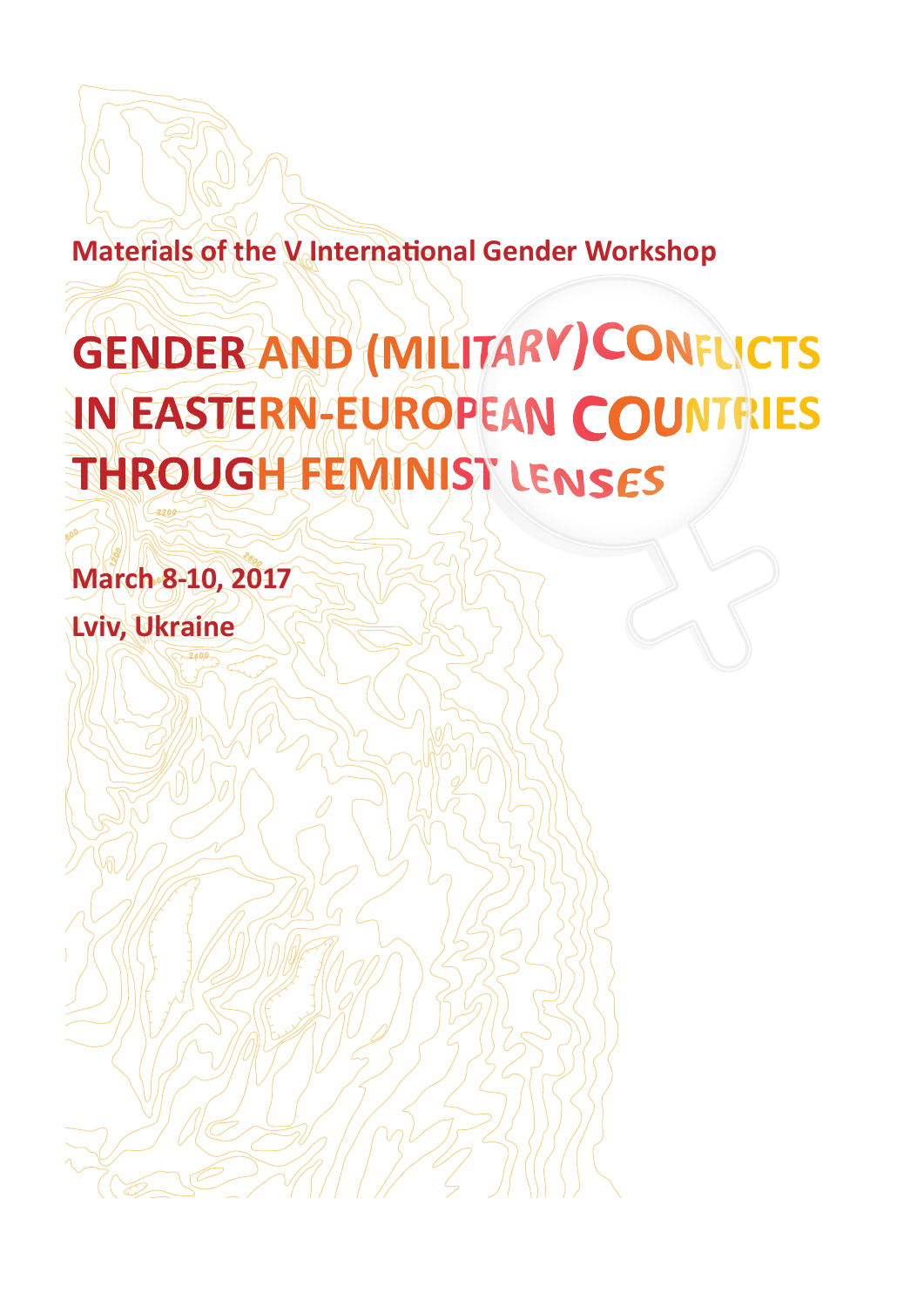# **Materials of the V International Gender Workshop**

# GENDER AND (MILITARY) CONFUCTS IN EASTERN-EUROPEAN COUNTRIES THROUGH FEMINIST LENSES

**March 8-10, 2017**

**Lviv, Ukraine**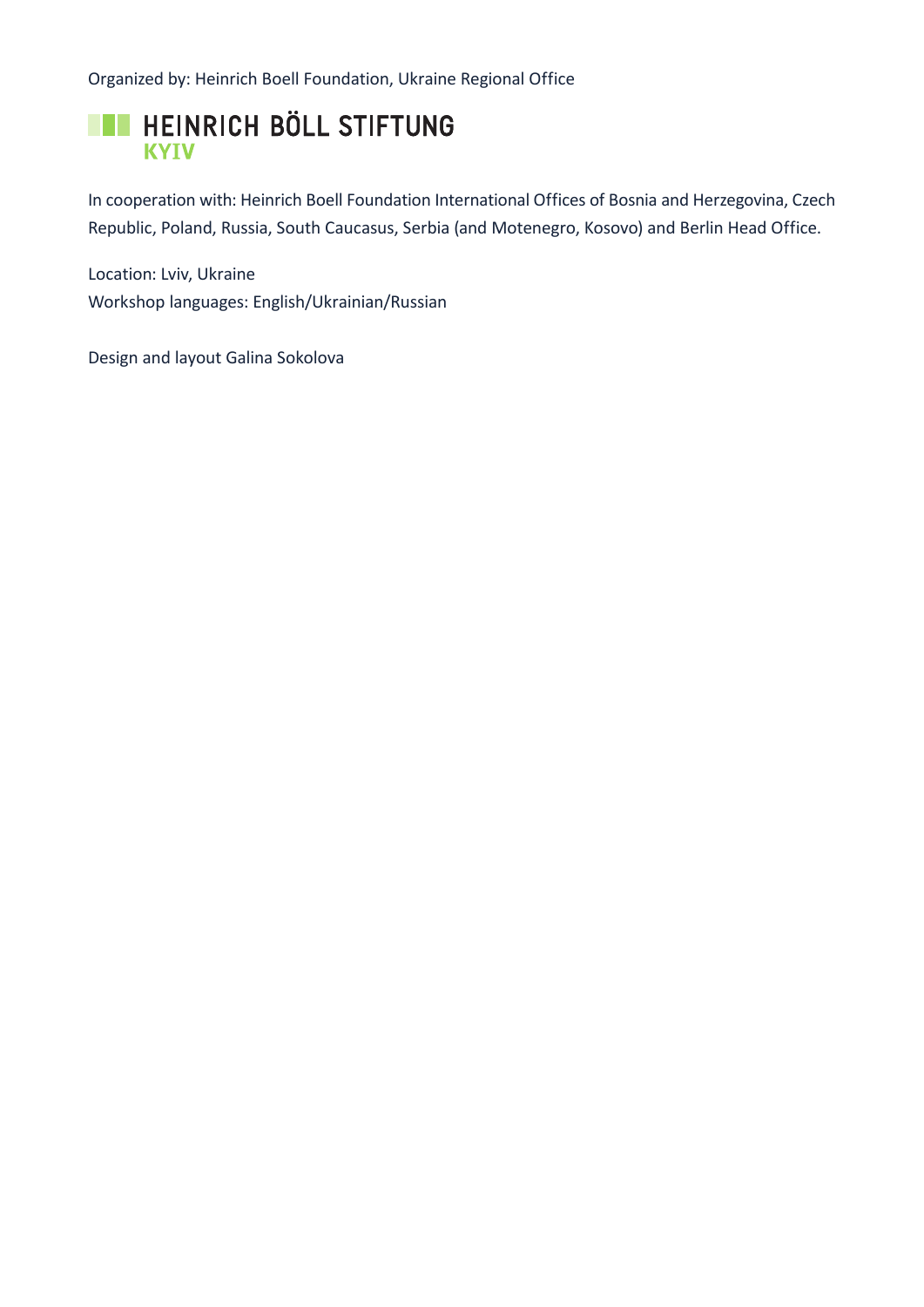Organized by: Heinrich Boell Foundation, Ukraine Regional Office



In cooperation with: Heinrich Boell Foundation International Offices of Bosnia and Herzegovina, Czech Republic, Poland, Russia, South Caucasus, Serbia (and Motenegro, Kosovo) and Berlin Head Office.

Location: Lviv, Ukraine Workshop languages: English/Ukrainian/Russian

Design and layout Galina Sokolova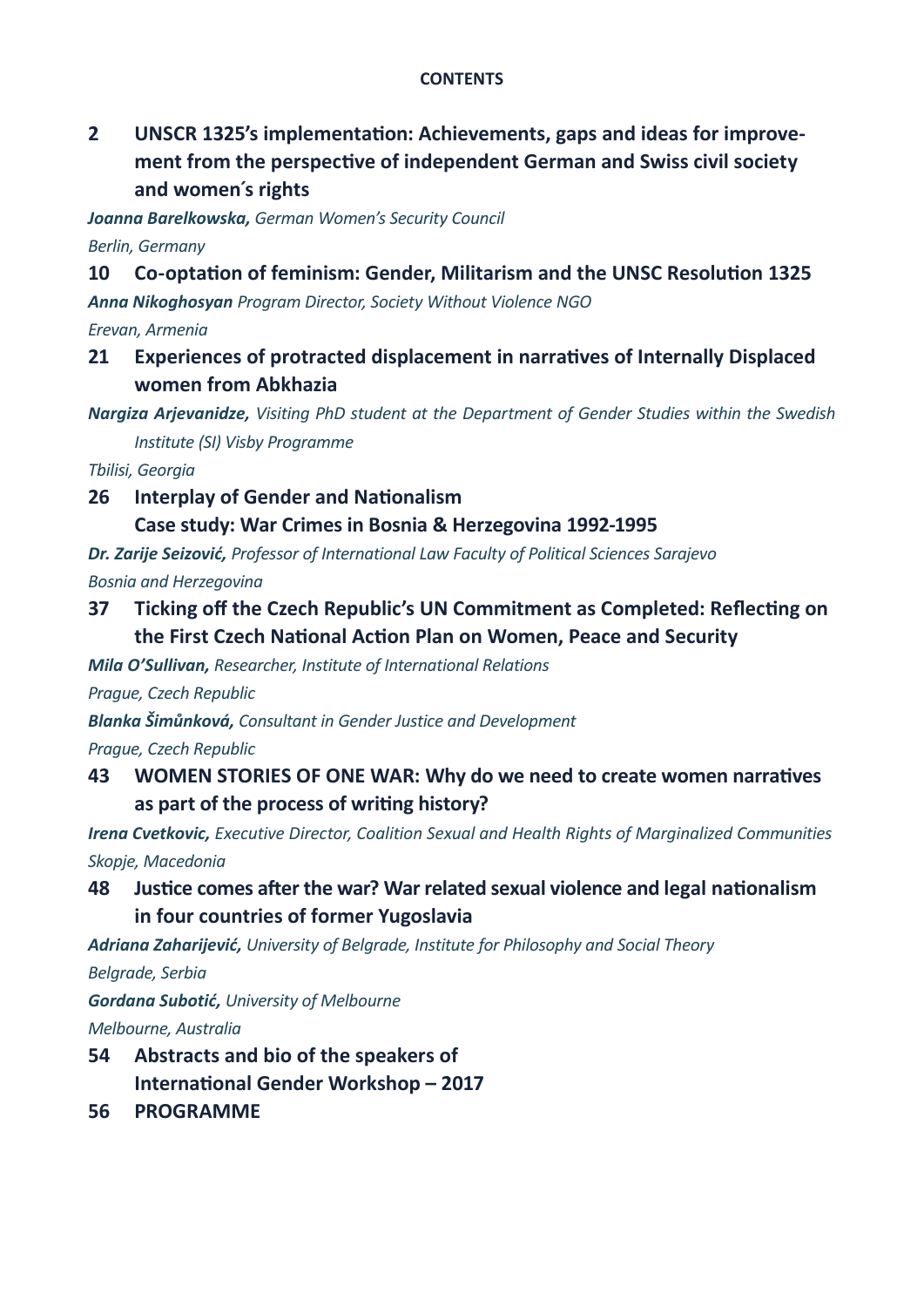#### **CONTENTS**

### **2 [UNSCR 1325's implementation: Achievements, gaps and ideas for improve](#page-3-0)[ment from the perspective of independent German and Swiss civil society](#page-3-0)  [and women´s rights](#page-3-0)**

*Joanna Barelkowska, German Women's Security Council*

*Berlin, Germany*

#### **10 [Co-optation of feminism: Gender, Militarism and the UNSC Resolution 1325](#page-11-0)**

*Anna Nikoghosyan Program Director, Society Without Violence NGO*

*Erevan, Armenia*

#### **21 [Experiences of protracted displacement in narratives of Internally Displaced](#page-22-0)  [women from Abkhazia](#page-22-0)**

*Nargiza Arjevanidze, Visiting PhD student at the Department of Gender Studies within the Swedish Institute (SI) Visby Programme* 

*Tbilisi, Georgia*

#### **26 [Interplay of Gender and Nationalism](#page-27-0)**

**[Case study: War Crimes in Bosnia & Herzegovina 1992-1995](#page-27-0)**

*Dr. Zarije Seizović, Professor of International Law Faculty of Political Sciences Sarajevo Bosnia and Herzegovina*

### **37 [Ticking off the Czech Republic's UN Commitment as Completed: Reflecting on](#page-38-0)  [the First Czech National Action Plan on Women, Peace and Security](#page-38-0)**

*Mila O'Sullivan, Researcher, Institute of International Relations*

*Prague, Czech Republic*

*Blanka Šimůnková, Consultant in Gender Justice and Development*

*Prague, Czech Republic*

#### **43 [WOMEN STORIES OF ONE WAR: Why do we need to create women narratives](#page-44-0)  [as part of the process of writing history?](#page-44-0)**

*Irena Cvetkovic, Executive Director, Coalition Sexual and Health Rights of Marginalized Communities Skopje, Macedonia*

**48 [Justice comes after the war? War related sexual violence and legal nationalism](#page-49-0)  [in four countries of former Yugoslavia](#page-49-0)**

*Adriana Zaharijević, University of Belgrade, Institute for Philosophy and Social Theory* 

*Belgrade, Serbia*

*Gordana Subotić, University of Melbourne Melbourne, Australia*

- **54 [Abstracts and bio of the speakers of](#page-55-0) [International Gender Workshop – 2017](#page-55-0)**
- **56 [PROGRAMME](#page-57-0)**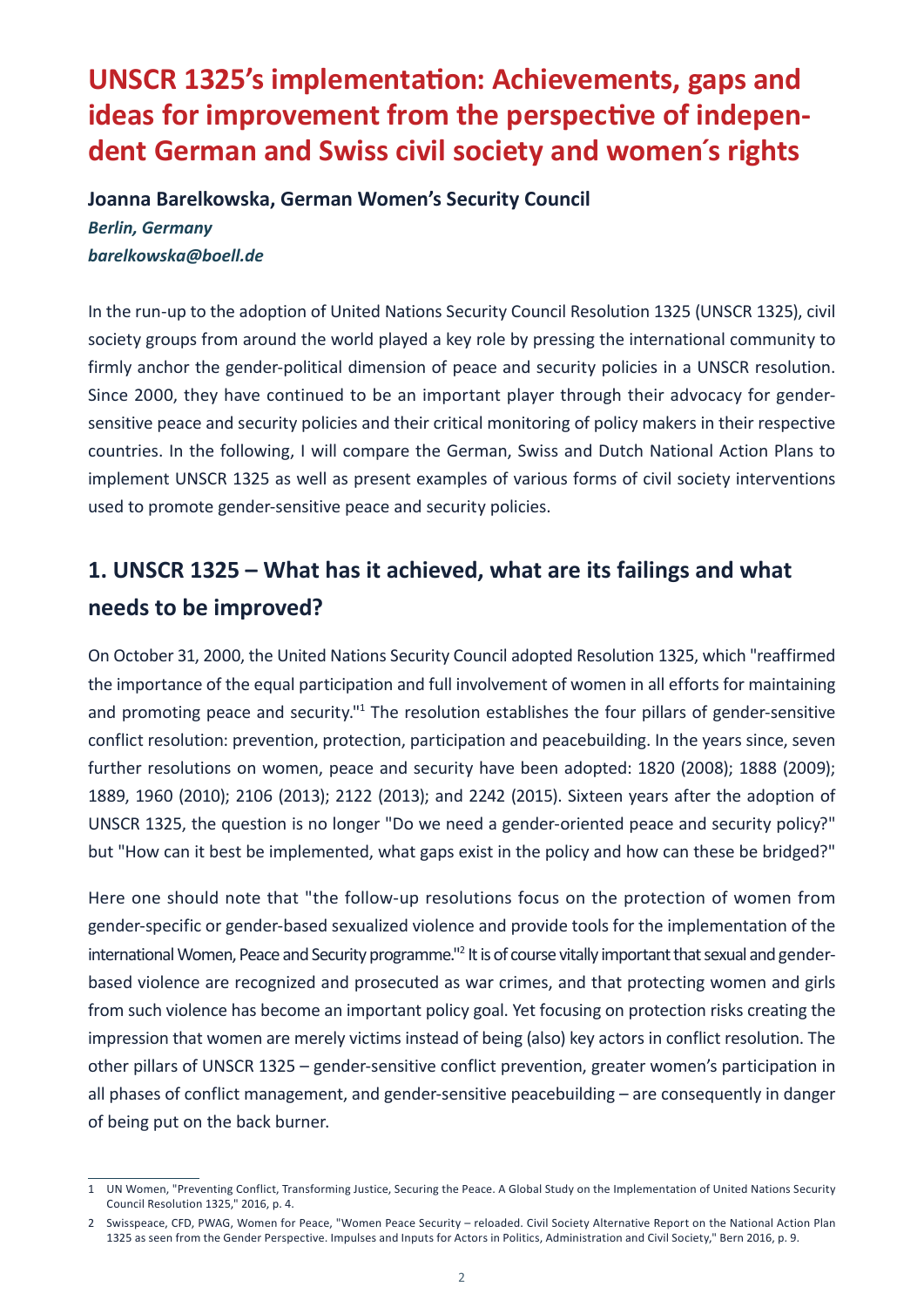# <span id="page-3-0"></span>**UNSCR 1325's implementation: Achievements, gaps and ideas for improvement from the perspective of independent German and Swiss civil society and women´s rights**

**Joanna Barelkowska, German Women's Security Council** *Berlin, Germany barelkowska@boell.de*

In the run-up to the adoption of United Nations Security Council Resolution 1325 (UNSCR 1325), civil society groups from around the world played a key role by pressing the international community to firmly anchor the gender-political dimension of peace and security policies in a UNSCR resolution. Since 2000, they have continued to be an important player through their advocacy for gendersensitive peace and security policies and their critical monitoring of policy makers in their respective countries. In the following, I will compare the German, Swiss and Dutch National Action Plans to implement UNSCR 1325 as well as present examples of various forms of civil society interventions used to promote gender-sensitive peace and security policies.

# **1. UNSCR 1325 – What has it achieved, what are its failings and what needs to be improved?**

On October 31, 2000, the United Nations Security Council adopted Resolution 1325, which "reaffirmed the importance of the equal participation and full involvement of women in all efforts for maintaining and promoting peace and security."<sup>1</sup> The resolution establishes the four pillars of gender-sensitive conflict resolution: prevention, protection, participation and peacebuilding. In the years since, seven further resolutions on women, peace and security have been adopted: 1820 (2008); 1888 (2009); 1889, 1960 (2010); 2106 (2013); 2122 (2013); and 2242 (2015). Sixteen years after the adoption of UNSCR 1325, the question is no longer "Do we need a gender-oriented peace and security policy?" but "How can it best be implemented, what gaps exist in the policy and how can these be bridged?"

Here one should note that "the follow-up resolutions focus on the protection of women from gender-specific or gender-based sexualized violence and provide tools for the implementation of the international Women, Peace and Security programme."<sup>2</sup> It is of course vitally important that sexual and genderbased violence are recognized and prosecuted as war crimes, and that protecting women and girls from such violence has become an important policy goal. Yet focusing on protection risks creating the impression that women are merely victims instead of being (also) key actors in conflict resolution. The other pillars of UNSCR 1325 – gender-sensitive conflict prevention, greater women's participation in all phases of conflict management, and gender-sensitive peacebuilding – are consequently in danger of being put on the back burner.

<sup>1</sup> UN Women, "Preventing Conflict, Transforming Justice, Securing the Peace. A Global Study on the Implementation of United Nations Security Council Resolution 1325," 2016, p. 4.

<sup>2</sup> Swisspeace, CFD, PWAG, Women for Peace, "Women Peace Security – reloaded. Civil Society Alternative Report on the National Action Plan 1325 as seen from the Gender Perspective. Impulses and Inputs for Actors in Politics, Administration and Civil Society," Bern 2016, p. 9.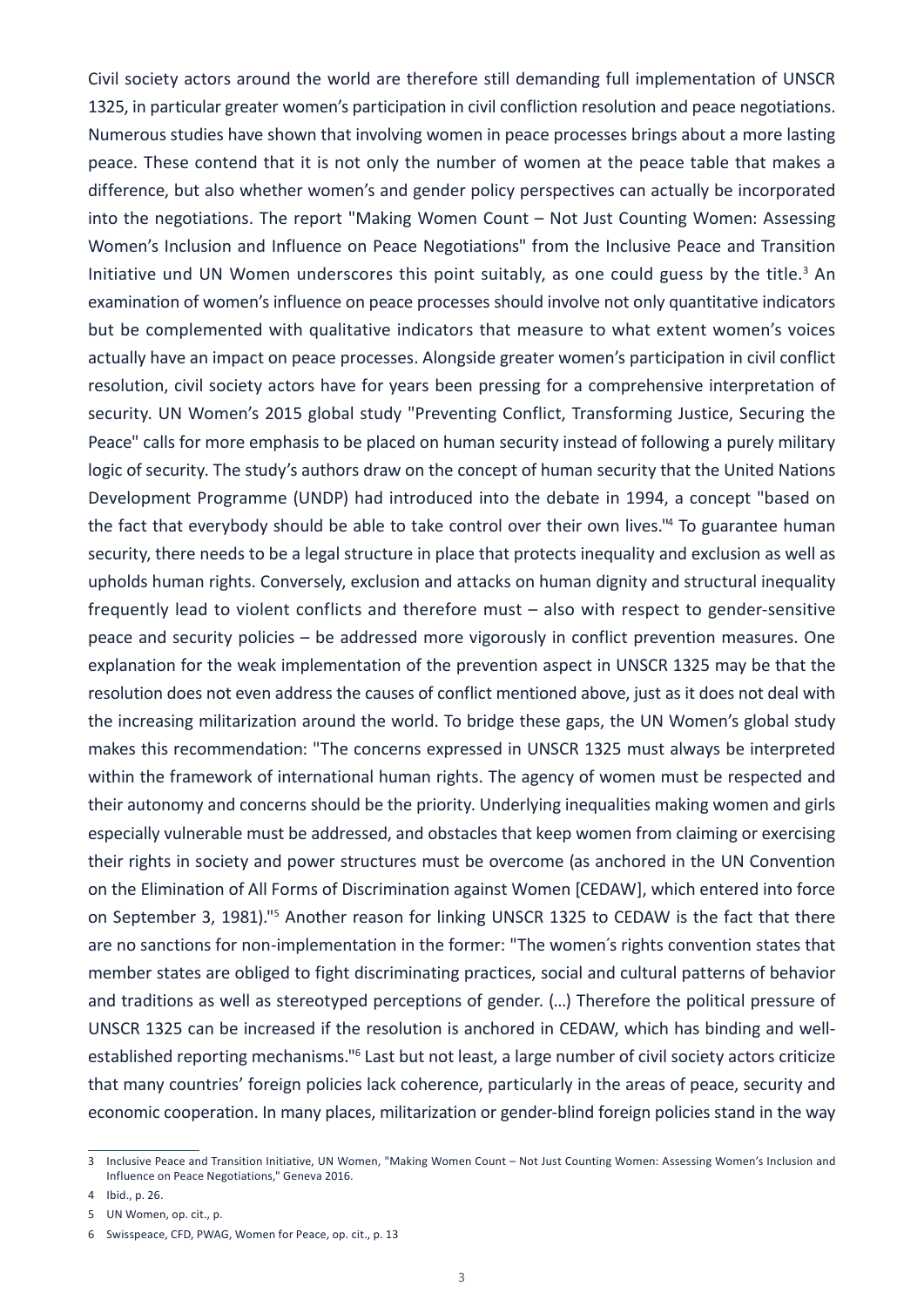Civil society actors around the world are therefore still demanding full implementation of UNSCR 1325, in particular greater women's participation in civil confliction resolution and peace negotiations. Numerous studies have shown that involving women in peace processes brings about a more lasting peace. These contend that it is not only the number of women at the peace table that makes a difference, but also whether women's and gender policy perspectives can actually be incorporated into the negotiations. The report "Making Women Count – Not Just Counting Women: Assessing Women's Inclusion and Influence on Peace Negotiations" from the Inclusive Peace and Transition Initiative und UN Women underscores this point suitably, as one could guess by the title.<sup>3</sup> An examination of women's influence on peace processes should involve not only quantitative indicators but be complemented with qualitative indicators that measure to what extent women's voices actually have an impact on peace processes. Alongside greater women's participation in civil conflict resolution, civil society actors have for years been pressing for a comprehensive interpretation of security. UN Women's 2015 global study "Preventing Conflict, Transforming Justice, Securing the Peace" calls for more emphasis to be placed on human security instead of following a purely military logic of security. The study's authors draw on the concept of human security that the United Nations Development Programme (UNDP) had introduced into the debate in 1994, a concept "based on the fact that everybody should be able to take control over their own lives."<sup>4</sup> To guarantee human security, there needs to be a legal structure in place that protects inequality and exclusion as well as upholds human rights. Conversely, exclusion and attacks on human dignity and structural inequality frequently lead to violent conflicts and therefore must – also with respect to gender-sensitive peace and security policies – be addressed more vigorously in conflict prevention measures. One explanation for the weak implementation of the prevention aspect in UNSCR 1325 may be that the resolution does not even address the causes of conflict mentioned above, just as it does not deal with the increasing militarization around the world. To bridge these gaps, the UN Women's global study makes this recommendation: "The concerns expressed in UNSCR 1325 must always be interpreted within the framework of international human rights. The agency of women must be respected and their autonomy and concerns should be the priority. Underlying inequalities making women and girls especially vulnerable must be addressed, and obstacles that keep women from claiming or exercising their rights in society and power structures must be overcome (as anchored in the UN Convention on the Elimination of All Forms of Discrimination against Women [CEDAW], which entered into force on September 3, 1981)."<sup>5</sup> Another reason for linking UNSCR 1325 to CEDAW is the fact that there are no sanctions for non-implementation in the former: "The women´s rights convention states that member states are obliged to fight discriminating practices, social and cultural patterns of behavior and traditions as well as stereotyped perceptions of gender. (…) Therefore the political pressure of UNSCR 1325 can be increased if the resolution is anchored in CEDAW, which has binding and wellestablished reporting mechanisms."<sup>6</sup> Last but not least, a large number of civil society actors criticize that many countries' foreign policies lack coherence, particularly in the areas of peace, security and economic cooperation. In many places, militarization or gender-blind foreign policies stand in the way

<sup>3</sup> Inclusive Peace and Transition Initiative, UN Women, "Making Women Count – Not Just Counting Women: Assessing Women's Inclusion and Influence on Peace Negotiations," Geneva 2016.

<sup>4</sup> Ibid., p. 26.

<sup>5</sup> UN Women, op. cit., p.

<sup>6</sup> Swisspeace, CFD, PWAG, Women for Peace, op. cit., p. 13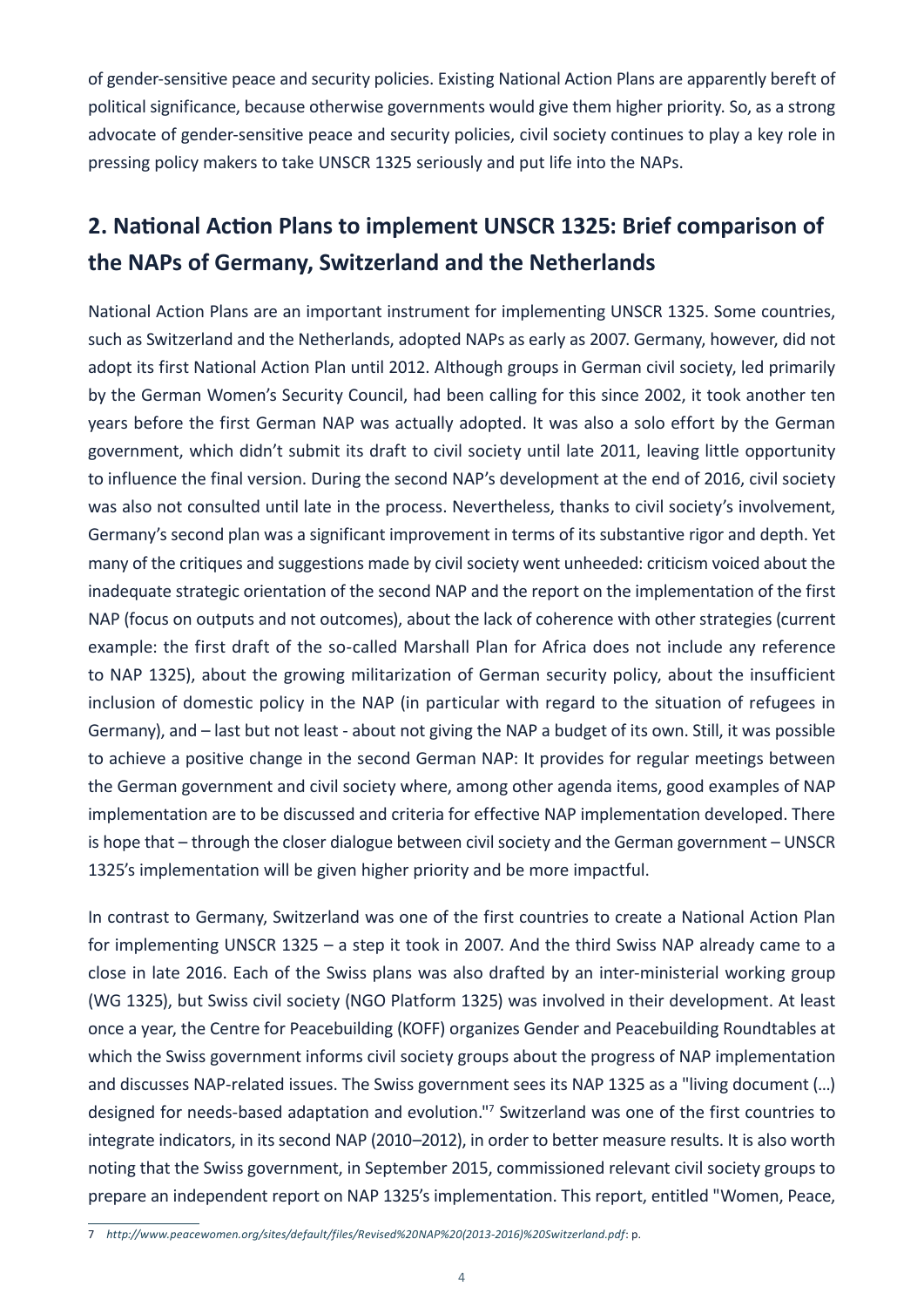of gender-sensitive peace and security policies. Existing National Action Plans are apparently bereft of political significance, because otherwise governments would give them higher priority. So, as a strong advocate of gender-sensitive peace and security policies, civil society continues to play a key role in pressing policy makers to take UNSCR 1325 seriously and put life into the NAPs.

# **2. National Action Plans to implement UNSCR 1325: Brief comparison of the NAPs of Germany, Switzerland and the Netherlands**

National Action Plans are an important instrument for implementing UNSCR 1325. Some countries, such as Switzerland and the Netherlands, adopted NAPs as early as 2007. Germany, however, did not adopt its first National Action Plan until 2012. Although groups in German civil society, led primarily by the German Women's Security Council, had been calling for this since 2002, it took another ten years before the first German NAP was actually adopted. It was also a solo effort by the German government, which didn't submit its draft to civil society until late 2011, leaving little opportunity to influence the final version. During the second NAP's development at the end of 2016, civil society was also not consulted until late in the process. Nevertheless, thanks to civil society's involvement, Germany's second plan was a significant improvement in terms of its substantive rigor and depth. Yet many of the critiques and suggestions made by civil society went unheeded: criticism voiced about the inadequate strategic orientation of the second NAP and the report on the implementation of the first NAP (focus on outputs and not outcomes), about the lack of coherence with other strategies (current example: the first draft of the so-called Marshall Plan for Africa does not include any reference to NAP 1325), about the growing militarization of German security policy, about the insufficient inclusion of domestic policy in the NAP (in particular with regard to the situation of refugees in Germany), and – last but not least - about not giving the NAP a budget of its own. Still, it was possible to achieve a positive change in the second German NAP: It provides for regular meetings between the German government and civil society where, among other agenda items, good examples of NAP implementation are to be discussed and criteria for effective NAP implementation developed. There is hope that – through the closer dialogue between civil society and the German government – UNSCR 1325's implementation will be given higher priority and be more impactful.

In contrast to Germany, Switzerland was one of the first countries to create a National Action Plan for implementing UNSCR 1325 – a step it took in 2007. And the third Swiss NAP already came to a close in late 2016. Each of the Swiss plans was also drafted by an inter-ministerial working group (WG 1325), but Swiss civil society (NGO Platform 1325) was involved in their development. At least once a year, the Centre for Peacebuilding (KOFF) organizes Gender and Peacebuilding Roundtables at which the Swiss government informs civil society groups about the progress of NAP implementation and discusses NAP-related issues. The Swiss government sees its NAP 1325 as a "living document (…) designed for needs-based adaptation and evolution."7 Switzerland was one of the first countries to integrate indicators, in its second NAP (2010–2012), in order to better measure results. It is also worth noting that the Swiss government, in September 2015, commissioned relevant civil society groups to prepare an independent report on NAP 1325's implementation. This report, entitled "Women, Peace,

<sup>7</sup> *[http://www.peacewomen.org/sites/default/files/Revised%20NAP%20\(2013-2016\)%20Switzerland.pdf](http://www.peacewomen.org/sites/default/files/Revised%20NAP%20(2013-2016)%20Switzerland.pdf)*: p.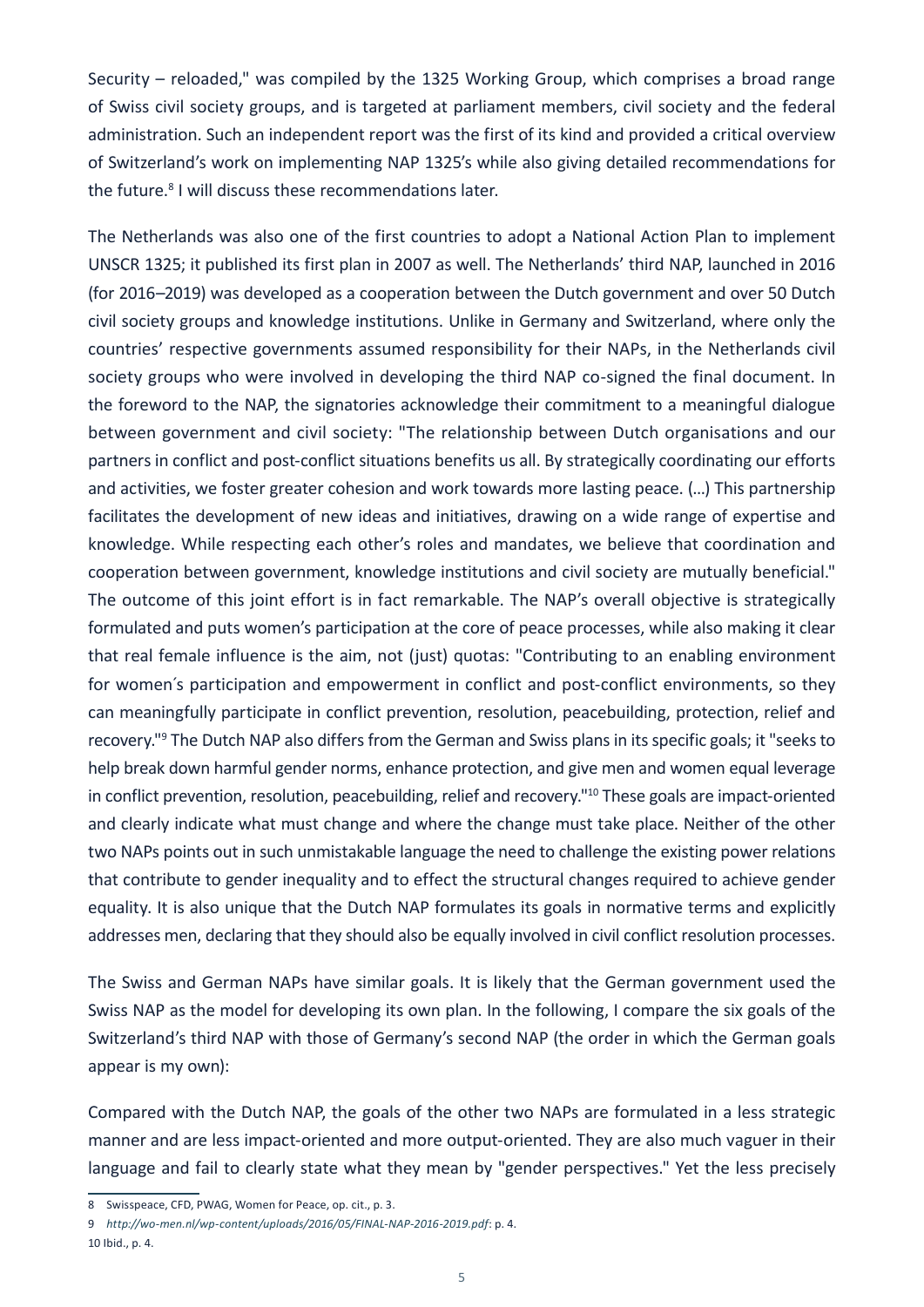Security – reloaded," was compiled by the 1325 Working Group, which comprises a broad range of Swiss civil society groups, and is targeted at parliament members, civil society and the federal administration. Such an independent report was the first of its kind and provided a critical overview of Switzerland's work on implementing NAP 1325's while also giving detailed recommendations for the future.<sup>8</sup> I will discuss these recommendations later.

The Netherlands was also one of the first countries to adopt a National Action Plan to implement UNSCR 1325; it published its first plan in 2007 as well. The Netherlands' third NAP, launched in 2016 (for 2016–2019) was developed as a cooperation between the Dutch government and over 50 Dutch civil society groups and knowledge institutions. Unlike in Germany and Switzerland, where only the countries' respective governments assumed responsibility for their NAPs, in the Netherlands civil society groups who were involved in developing the third NAP co-signed the final document. In the foreword to the NAP, the signatories acknowledge their commitment to a meaningful dialogue between government and civil society: "The relationship between Dutch organisations and our partners in conflict and post-conflict situations benefits us all. By strategically coordinating our efforts and activities, we foster greater cohesion and work towards more lasting peace. (…) This partnership facilitates the development of new ideas and initiatives, drawing on a wide range of expertise and knowledge. While respecting each other's roles and mandates, we believe that coordination and cooperation between government, knowledge institutions and civil society are mutually beneficial." The outcome of this joint effort is in fact remarkable. The NAP's overall objective is strategically formulated and puts women's participation at the core of peace processes, while also making it clear that real female influence is the aim, not (just) quotas: "Contributing to an enabling environment for women's participation and empowerment in conflict and post-conflict environments, so they can meaningfully participate in conflict prevention, resolution, peacebuilding, protection, relief and recovery."9 The Dutch NAP also differs from the German and Swiss plans in its specific goals; it "seeks to help break down harmful gender norms, enhance protection, and give men and women equal leverage in conflict prevention, resolution, peacebuilding, relief and recovery."<sup>10</sup> These goals are impact-oriented and clearly indicate what must change and where the change must take place. Neither of the other two NAPs points out in such unmistakable language the need to challenge the existing power relations that contribute to gender inequality and to effect the structural changes required to achieve gender equality. It is also unique that the Dutch NAP formulates its goals in normative terms and explicitly addresses men, declaring that they should also be equally involved in civil conflict resolution processes.

The Swiss and German NAPs have similar goals. It is likely that the German government used the Swiss NAP as the model for developing its own plan. In the following, I compare the six goals of the Switzerland's third NAP with those of Germany's second NAP (the order in which the German goals appear is my own):

Compared with the Dutch NAP, the goals of the other two NAPs are formulated in a less strategic manner and are less impact-oriented and more output-oriented. They are also much vaguer in their language and fail to clearly state what they mean by "gender perspectives." Yet the less precisely

<sup>8</sup> Swisspeace, CFD, PWAG, Women for Peace, op. cit., p. 3.

<sup>9</sup> *<http://wo-men.nl/wp-content/uploads/2016/05/FINAL-NAP-2016-2019.pdf>*: p. 4.

<sup>10</sup> Ibid., p. 4.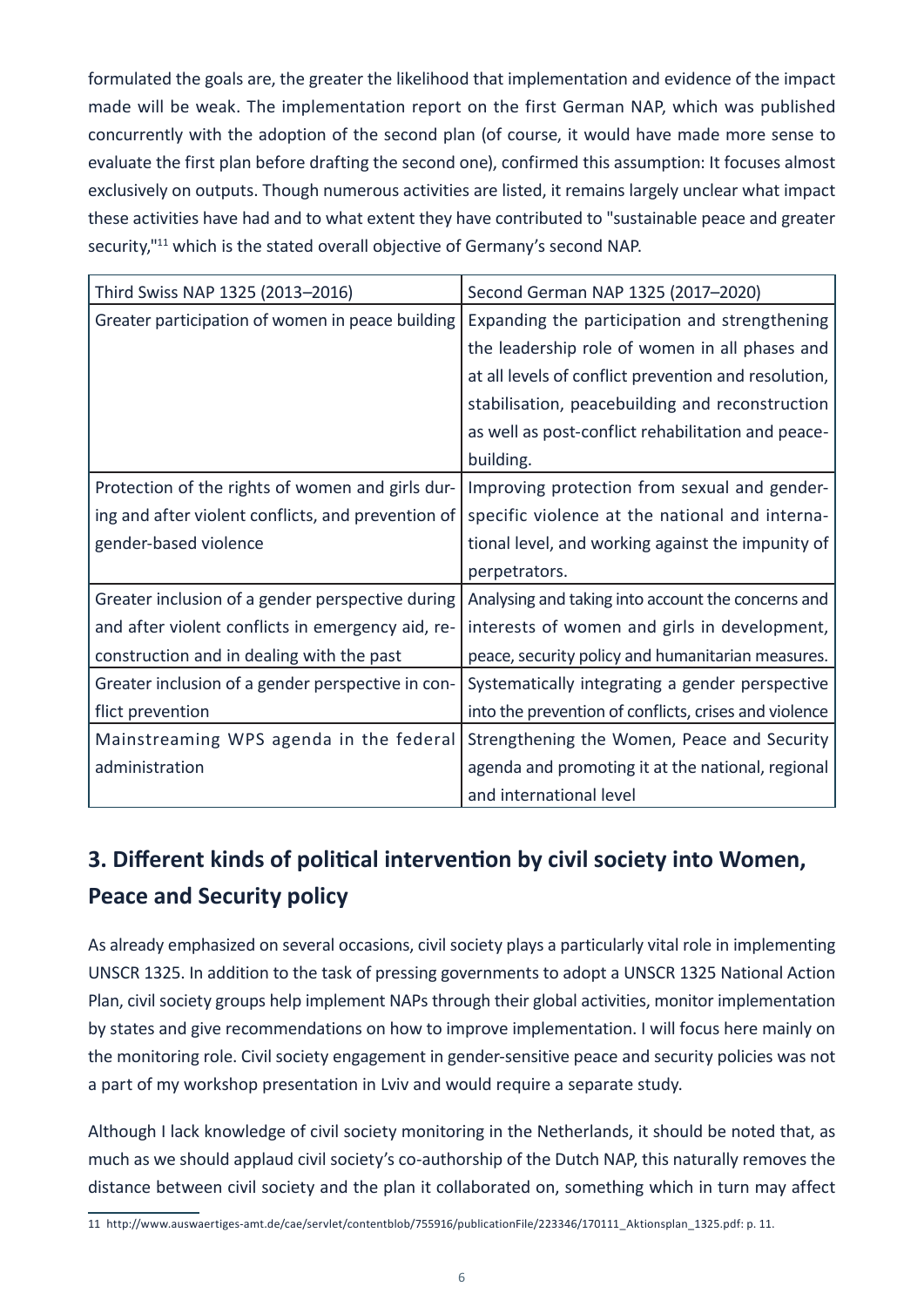formulated the goals are, the greater the likelihood that implementation and evidence of the impact made will be weak. The implementation report on the first German NAP, which was published concurrently with the adoption of the second plan (of course, it would have made more sense to evaluate the first plan before drafting the second one), confirmed this assumption: It focuses almost exclusively on outputs. Though numerous activities are listed, it remains largely unclear what impact these activities have had and to what extent they have contributed to "sustainable peace and greater security,"<sup>11</sup> which is the stated overall objective of Germany's second NAP.

| Third Swiss NAP 1325 (2013-2016)                   | Second German NAP 1325 (2017-2020)                    |
|----------------------------------------------------|-------------------------------------------------------|
| Greater participation of women in peace building   | Expanding the participation and strengthening         |
|                                                    | the leadership role of women in all phases and        |
|                                                    | at all levels of conflict prevention and resolution,  |
|                                                    | stabilisation, peacebuilding and reconstruction       |
|                                                    | as well as post-conflict rehabilitation and peace-    |
|                                                    | building.                                             |
| Protection of the rights of women and girls dur-   | Improving protection from sexual and gender-          |
| ing and after violent conflicts, and prevention of | specific violence at the national and interna-        |
| gender-based violence                              | tional level, and working against the impunity of     |
|                                                    | perpetrators.                                         |
| Greater inclusion of a gender perspective during   | Analysing and taking into account the concerns and    |
| and after violent conflicts in emergency aid, re-  | interests of women and girls in development,          |
| construction and in dealing with the past          | peace, security policy and humanitarian measures.     |
| Greater inclusion of a gender perspective in con-  | Systematically integrating a gender perspective       |
| flict prevention                                   | into the prevention of conflicts, crises and violence |
| Mainstreaming WPS agenda in the federal            | Strengthening the Women, Peace and Security           |
| administration                                     | agenda and promoting it at the national, regional     |
|                                                    | and international level                               |

# **3. Different kinds of political intervention by civil society into Women, Peace and Security policy**

As already emphasized on several occasions, civil society plays a particularly vital role in implementing UNSCR 1325. In addition to the task of pressing governments to adopt a UNSCR 1325 National Action Plan, civil society groups help implement NAPs through their global activities, monitor implementation by states and give recommendations on how to improve implementation. I will focus here mainly on the monitoring role. Civil society engagement in gender-sensitive peace and security policies was not a part of my workshop presentation in Lviv and would require a separate study.

Although I lack knowledge of civil society monitoring in the Netherlands, it should be noted that, as much as we should applaud civil society's co-authorship of the Dutch NAP, this naturally removes the distance between civil society and the plan it collaborated on, something which in turn may affect

<sup>11</sup> http://www.auswaertiges-amt.de/cae/servlet/contentblob/755916/publicationFile/223346/170111\_Aktionsplan\_1325.pdf: p. 11.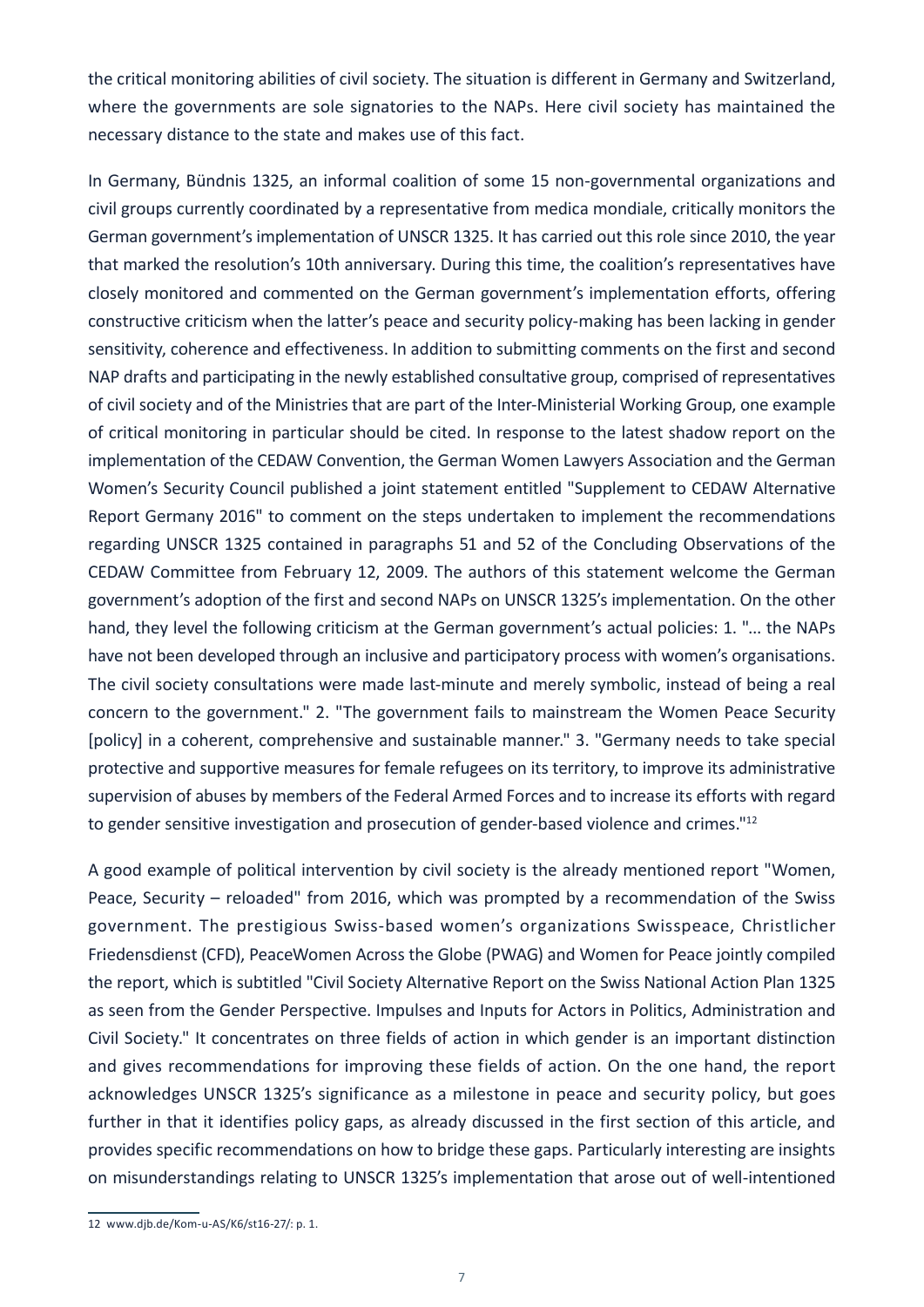the critical monitoring abilities of civil society. The situation is different in Germany and Switzerland, where the governments are sole signatories to the NAPs. Here civil society has maintained the necessary distance to the state and makes use of this fact.

In Germany, Bündnis 1325, an informal coalition of some 15 non-governmental organizations and civil groups currently coordinated by a representative from medica mondiale, critically monitors the German government's implementation of UNSCR 1325. It has carried out this role since 2010, the year that marked the resolution's 10th anniversary. During this time, the coalition's representatives have closely monitored and commented on the German government's implementation efforts, offering constructive criticism when the latter's peace and security policy-making has been lacking in gender sensitivity, coherence and effectiveness. In addition to submitting comments on the first and second NAP drafts and participating in the newly established consultative group, comprised of representatives of civil society and of the Ministries that are part of the Inter-Ministerial Working Group, one example of critical monitoring in particular should be cited. In response to the latest shadow report on the implementation of the CEDAW Convention, the German Women Lawyers Association and the German Women's Security Council published a joint statement entitled "Supplement to CEDAW Alternative Report Germany 2016" to comment on the steps undertaken to implement the recommendations regarding UNSCR 1325 contained in paragraphs 51 and 52 of the Concluding Observations of the CEDAW Committee from February 12, 2009. The authors of this statement welcome the German government's adoption of the first and second NAPs on UNSCR 1325's implementation. On the other hand, they level the following criticism at the German government's actual policies: 1. "... the NAPs have not been developed through an inclusive and participatory process with women's organisations. The civil society consultations were made last-minute and merely symbolic, instead of being a real concern to the government." 2. "The government fails to mainstream the Women Peace Security [policy] in a coherent, comprehensive and sustainable manner." 3. "Germany needs to take special protective and supportive measures for female refugees on its territory, to improve its administrative supervision of abuses by members of the Federal Armed Forces and to increase its efforts with regard to gender sensitive investigation and prosecution of gender-based violence and crimes."<sup>12</sup>

A good example of political intervention by civil society is the already mentioned report "Women, Peace, Security – reloaded" from 2016, which was prompted by a recommendation of the Swiss government. The prestigious Swiss-based women's organizations Swisspeace, Christlicher Friedensdienst (CFD), PeaceWomen Across the Globe (PWAG) and Women for Peace jointly compiled the report, which is subtitled "Civil Society Alternative Report on the Swiss National Action Plan 1325 as seen from the Gender Perspective. Impulses and Inputs for Actors in Politics, Administration and Civil Society." It concentrates on three fields of action in which gender is an important distinction and gives recommendations for improving these fields of action. On the one hand, the report acknowledges UNSCR 1325's significance as a milestone in peace and security policy, but goes further in that it identifies policy gaps, as already discussed in the first section of this article, and provides specific recommendations on how to bridge these gaps. Particularly interesting are insights on misunderstandings relating to UNSCR 1325's implementation that arose out of well-intentioned

<sup>12</sup> www.djb.de/Kom-u-AS/K6/st16-27/: p. 1.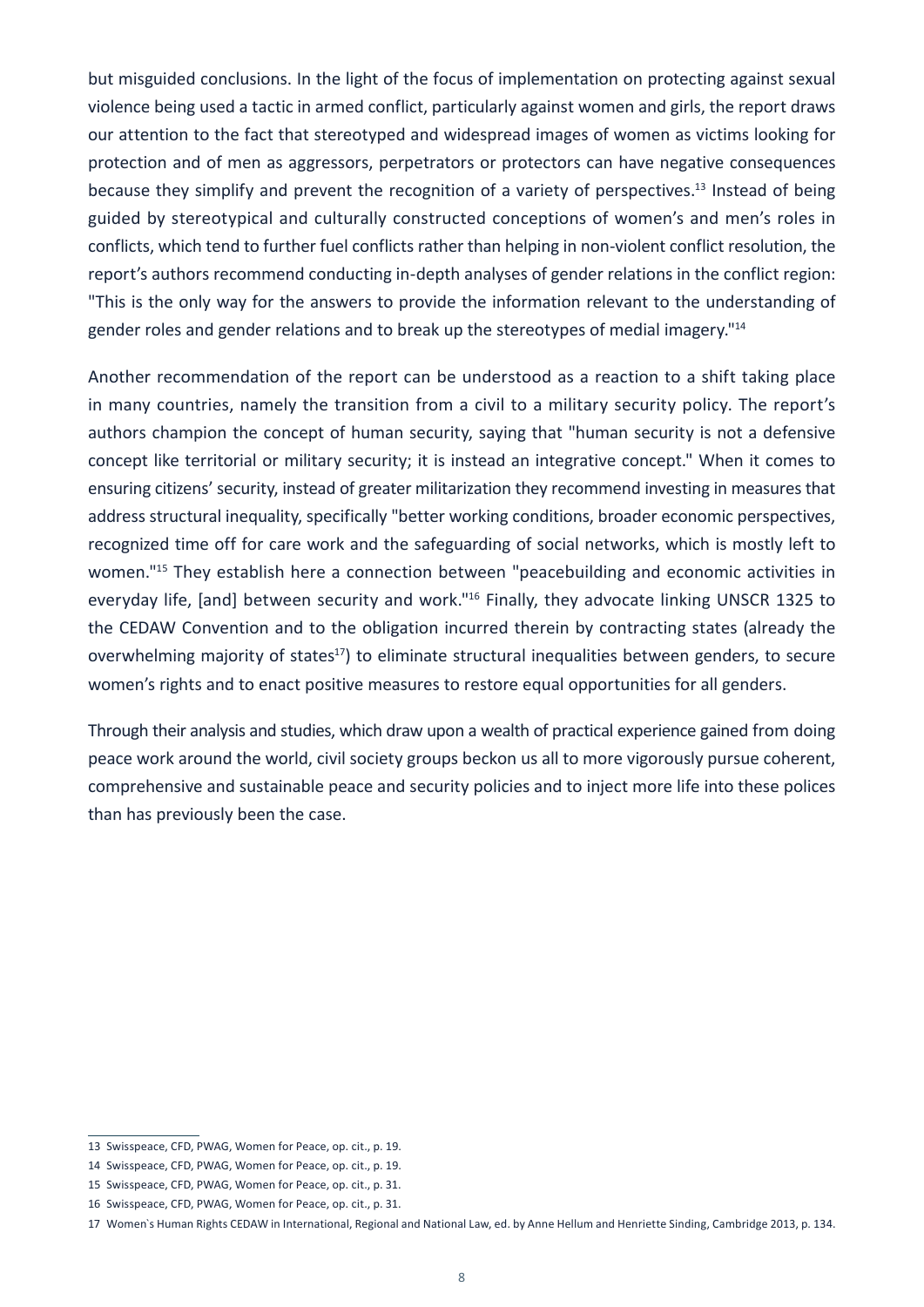but misguided conclusions. In the light of the focus of implementation on protecting against sexual violence being used a tactic in armed conflict, particularly against women and girls, the report draws our attention to the fact that stereotyped and widespread images of women as victims looking for protection and of men as aggressors, perpetrators or protectors can have negative consequences because they simplify and prevent the recognition of a variety of perspectives.<sup>13</sup> Instead of being guided by stereotypical and culturally constructed conceptions of women's and men's roles in conflicts, which tend to further fuel conflicts rather than helping in non-violent conflict resolution, the report's authors recommend conducting in-depth analyses of gender relations in the conflict region: "This is the only way for the answers to provide the information relevant to the understanding of gender roles and gender relations and to break up the stereotypes of medial imagery."14

Another recommendation of the report can be understood as a reaction to a shift taking place in many countries, namely the transition from a civil to a military security policy. The report's authors champion the concept of human security, saying that "human security is not a defensive concept like territorial or military security; it is instead an integrative concept." When it comes to ensuring citizens' security, instead of greater militarization they recommend investing in measures that address structural inequality, specifically "better working conditions, broader economic perspectives, recognized time off for care work and the safeguarding of social networks, which is mostly left to women."<sup>15</sup> They establish here a connection between "peacebuilding and economic activities in everyday life, [and] between security and work."<sup>16</sup> Finally, they advocate linking UNSCR 1325 to the CEDAW Convention and to the obligation incurred therein by contracting states (already the overwhelming majority of states<sup>17</sup>) to eliminate structural inequalities between genders, to secure women's rights and to enact positive measures to restore equal opportunities for all genders.

Through their analysis and studies, which draw upon a wealth of practical experience gained from doing peace work around the world, civil society groups beckon us all to more vigorously pursue coherent, comprehensive and sustainable peace and security policies and to inject more life into these polices than has previously been the case.

<sup>13</sup> Swisspeace, CFD, PWAG, Women for Peace, op. cit., p. 19.

<sup>14</sup> Swisspeace, CFD, PWAG, Women for Peace, op. cit., p. 19.

<sup>15</sup> Swisspeace, CFD, PWAG, Women for Peace, op. cit., p. 31.

<sup>16</sup> Swisspeace, CFD, PWAG, Women for Peace, op. cit., p. 31.

<sup>17</sup> Women`s Human Rights CEDAW in International, Regional and National Law, ed. by Anne Hellum and Henriette Sinding, Cambridge 2013, p. 134.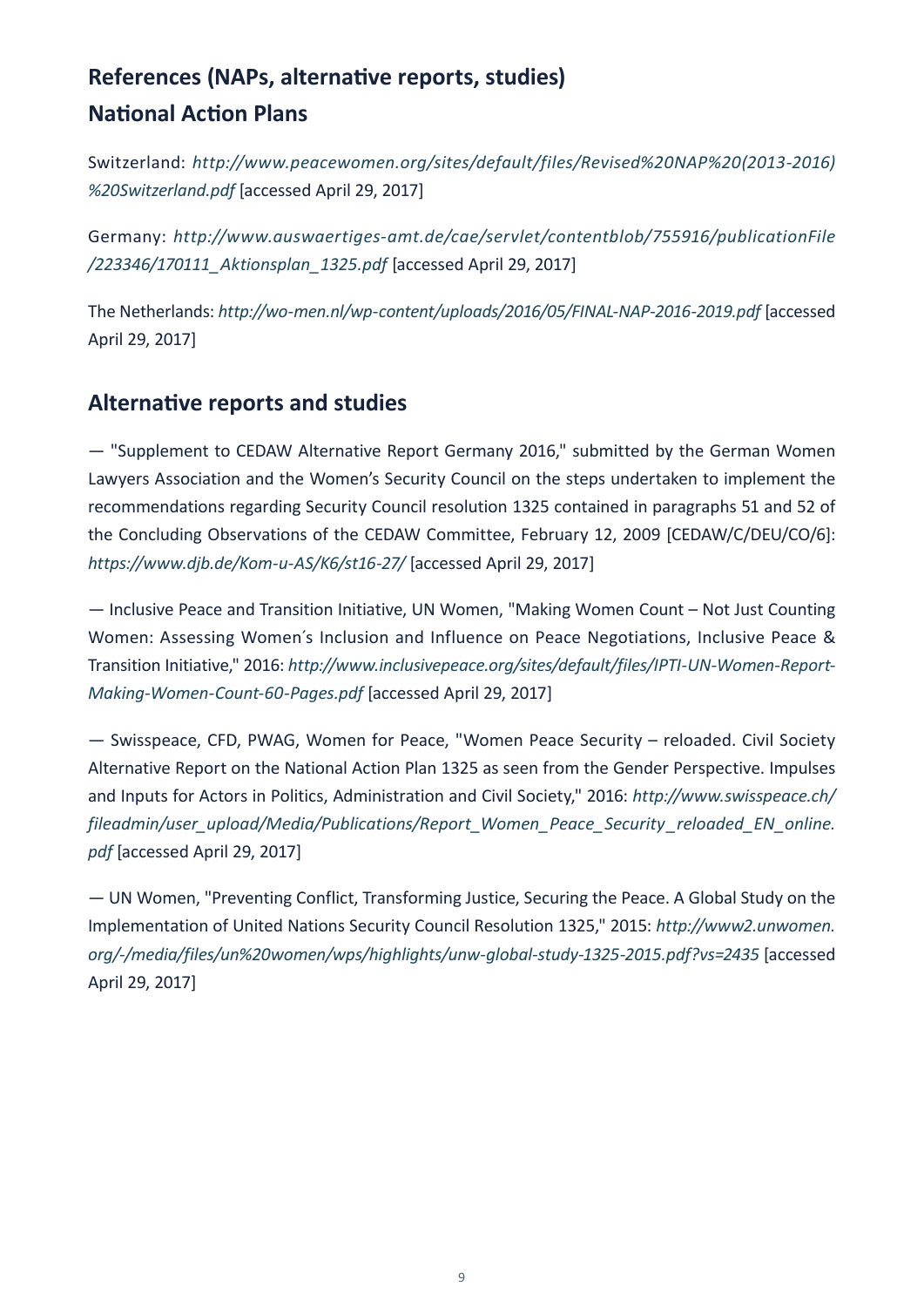# **References (NAPs, alternative reports, studies) National Action Plans**

Switzerland: *[http://www.peacewomen.org/sites/default/files/Revised%20NAP%20\(2013-2016\)](http://www.peacewomen.org/sites/default/files/Revised%20NAP%20(2013-2016)%20Switzerland.pdf) [%20Switzerland.pdf](http://www.peacewomen.org/sites/default/files/Revised%20NAP%20(2013-2016)%20Switzerland.pdf)* [accessed April 29, 2017]

Germany: *[http://www.auswaertiges-amt.de/cae/servlet/contentblob/755916/publicationFile](http://www.auswaertiges-amt.de/cae/servlet/contentblob/755916/publicationFile/223346/170111_Aktionsplan_1325.pdf) [/223346/170111\\_Aktionsplan\\_1325.pdf](http://www.auswaertiges-amt.de/cae/servlet/contentblob/755916/publicationFile/223346/170111_Aktionsplan_1325.pdf)* [accessed April 29, 2017]

The Netherlands: *<http://wo-men.nl/wp-content/uploads/2016/05/FINAL-NAP-2016-2019.pdf>* [accessed April 29, 2017]

### **Alternative reports and studies**

— "Supplement to CEDAW Alternative Report Germany 2016," submitted by the German Women Lawyers Association and the Women's Security Council on the steps undertaken to implement the recommendations regarding Security Council resolution 1325 contained in paragraphs 51 and 52 of the Concluding Observations of the CEDAW Committee, February 12, 2009 [CEDAW/C/DEU/CO/6]: *<https://www.djb.de/Kom-u-AS/K6/st16-27/>* [accessed April 29, 2017]

— Inclusive Peace and Transition Initiative, UN Women, "Making Women Count – Not Just Counting Women: Assessing Women´s Inclusion and Influence on Peace Negotiations, Inclusive Peace & Transition Initiative," 2016: *[http://www.inclusivepeace.org/sites/default/files/IPTI-UN-Women-Report-](http://www.inclusivepeace.org/sites/default/files/IPTI-UN-Women-Report-Making-Women-Count-60-Pages.pdf)[Making-Women-Count-60-Pages.pdf](http://www.inclusivepeace.org/sites/default/files/IPTI-UN-Women-Report-Making-Women-Count-60-Pages.pdf)* [accessed April 29, 2017]

— Swisspeace, CFD, PWAG, Women for Peace, "Women Peace Security – reloaded. Civil Society Alternative Report on the National Action Plan 1325 as seen from the Gender Perspective. Impulses and Inputs for Actors in Politics, Administration and Civil Society," 2016: *[http://www.swisspeace.ch/](http://www.swisspeace.ch/fileadmin/user_upload/Media/Publications/Report_Women_Peace_Security_reloaded_EN_online.pdf) [fileadmin/user\\_upload/Media/Publications/Report\\_Women\\_Peace\\_Security \\_reloaded\\_EN\\_online.](http://www.swisspeace.ch/fileadmin/user_upload/Media/Publications/Report_Women_Peace_Security_reloaded_EN_online.pdf) [pdf](http://www.swisspeace.ch/fileadmin/user_upload/Media/Publications/Report_Women_Peace_Security_reloaded_EN_online.pdf)* [accessed April 29, 2017]

— UN Women, "Preventing Conflict, Transforming Justice, Securing the Peace. A Global Study on the Implementation of United Nations Security Council Resolution 1325," 2015: *[http://www2.unwomen.](http://www2.unwomen.org/-/media/files/un%20women/wps/highlights/unw-global-study-1325-2015.pdf?vs=2435) [org/-/media/files/un%20women/wps/highlights/unw-global-study-1325-2015.pdf?vs=2435](http://www2.unwomen.org/-/media/files/un%20women/wps/highlights/unw-global-study-1325-2015.pdf?vs=2435)* [accessed April 29, 2017]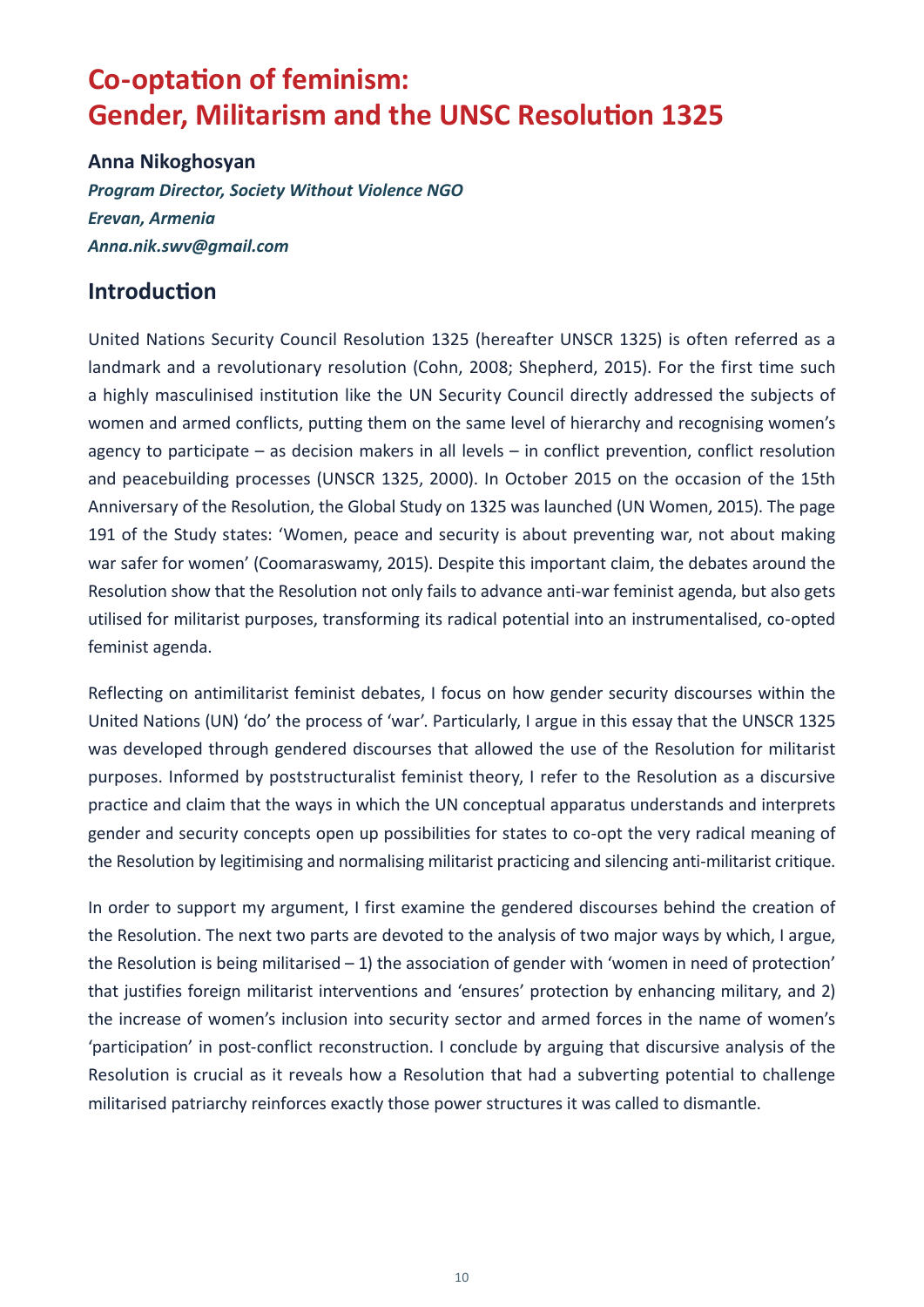# <span id="page-11-0"></span>**Co-optation of feminism: Gender, Militarism and the UNSC Resolution 1325**

#### **Anna Nikoghosyan**

*Program Director, Society Without Violence NGO Erevan, Armenia Anna.nik.swv@gmail.com*

### **Introduction**

United Nations Security Council Resolution 1325 (hereafter UNSCR 1325) is often referred as a landmark and a revolutionary resolution (Cohn, 2008; Shepherd, 2015). For the first time such a highly masculinised institution like the UN Security Council directly addressed the subjects of women and armed conflicts, putting them on the same level of hierarchy and recognising women's agency to participate – as decision makers in all levels – in conflict prevention, conflict resolution and peacebuilding processes (UNSCR 1325, 2000). In October 2015 on the occasion of the 15th Anniversary of the Resolution, the Global Study on 1325 was launched (UN Women, 2015). The page 191 of the Study states: 'Women, peace and security is about preventing war, not about making war safer for women' (Coomaraswamy, 2015). Despite this important claim, the debates around the Resolution show that the Resolution not only fails to advance anti-war feminist agenda, but also gets utilised for militarist purposes, transforming its radical potential into an instrumentalised, co-opted feminist agenda.

Reflecting on antimilitarist feminist debates, I focus on how gender security discourses within the United Nations (UN) 'do' the process of 'war'. Particularly, I argue in this essay that the UNSCR 1325 was developed through gendered discourses that allowed the use of the Resolution for militarist purposes. Informed by poststructuralist feminist theory, I refer to the Resolution as a discursive practice and claim that the ways in which the UN conceptual apparatus understands and interprets gender and security concepts open up possibilities for states to co-opt the very radical meaning of the Resolution by legitimising and normalising militarist practicing and silencing anti-militarist critique.

In order to support my argument, I first examine the gendered discourses behind the creation of the Resolution. The next two parts are devoted to the analysis of two major ways by which, I argue, the Resolution is being militarised  $-1$ ) the association of gender with 'women in need of protection' that justifies foreign militarist interventions and 'ensures' protection by enhancing military, and 2) the increase of women's inclusion into security sector and armed forces in the name of women's 'participation' in post-conflict reconstruction. I conclude by arguing that discursive analysis of the Resolution is crucial as it reveals how a Resolution that had a subverting potential to challenge militarised patriarchy reinforces exactly those power structures it was called to dismantle.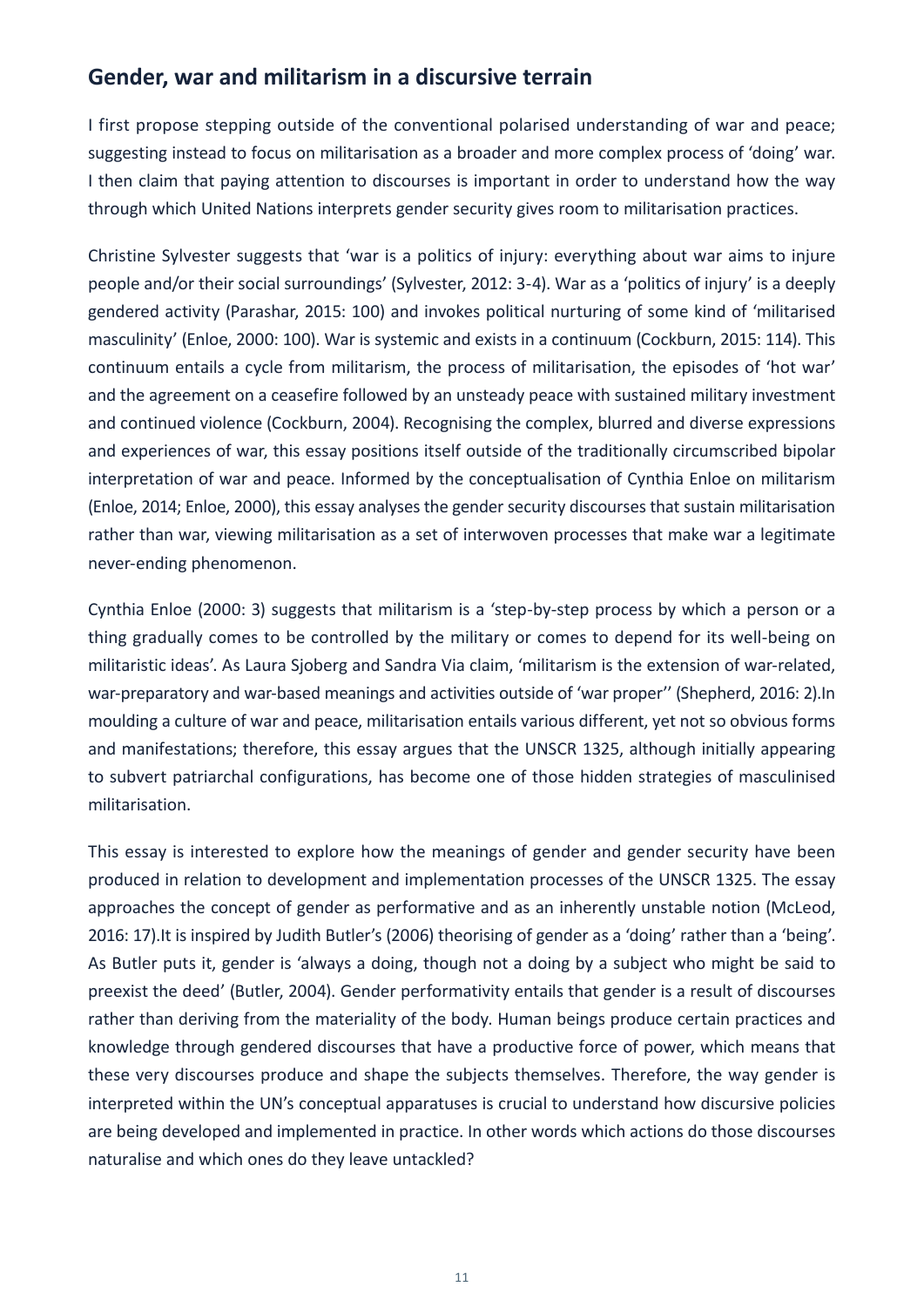### **Gender, war and militarism in a discursive terrain**

I first propose stepping outside of the conventional polarised understanding of war and peace; suggesting instead to focus on militarisation as a broader and more complex process of 'doing' war. I then claim that paying attention to discourses is important in order to understand how the way through which United Nations interprets gender security gives room to militarisation practices.

Christine Sylvester suggests that 'war is a politics of injury: everything about war aims to injure people and/or their social surroundings' (Sylvester, 2012: 3-4). War as a 'politics of injury' is a deeply gendered activity (Parashar, 2015: 100) and invokes political nurturing of some kind of 'militarised masculinity' (Enloe, 2000: 100). War is systemic and exists in a continuum (Cockburn, 2015: 114). This continuum entails a cycle from militarism, the process of militarisation, the episodes of 'hot war' and the agreement on a ceasefire followed by an unsteady peace with sustained military investment and continued violence (Cockburn, 2004). Recognising the complex, blurred and diverse expressions and experiences of war, this essay positions itself outside of the traditionally circumscribed bipolar interpretation of war and peace. Informed by the conceptualisation of Cynthia Enloe on militarism (Enloe, 2014; Enloe, 2000), this essay analyses the gender security discourses that sustain militarisation rather than war, viewing militarisation as a set of interwoven processes that make war a legitimate never-ending phenomenon.

Cynthia Enloe (2000: 3) suggests that militarism is a 'step-by-step process by which a person or a thing gradually comes to be controlled by the military or comes to depend for its well-being on militaristic ideas'. As Laura Sjoberg and Sandra Via claim, 'militarism is the extension of war-related, war-preparatory and war-based meanings and activities outside of 'war proper'' (Shepherd, 2016: 2).In moulding a culture of war and peace, militarisation entails various different, yet not so obvious forms and manifestations; therefore, this essay argues that the UNSCR 1325, although initially appearing to subvert patriarchal configurations, has become one of those hidden strategies of masculinised militarisation.

This essay is interested to explore how the meanings of gender and gender security have been produced in relation to development and implementation processes of the UNSCR 1325. The essay approaches the concept of gender as performative and as an inherently unstable notion (McLeod, 2016: 17).It is inspired by Judith Butler's (2006) theorising of gender as a 'doing' rather than a 'being'. As Butler puts it, gender is 'always a doing, though not a doing by a subject who might be said to preexist the deed' (Butler, 2004). Gender performativity entails that gender is a result of discourses rather than deriving from the materiality of the body. Human beings produce certain practices and knowledge through gendered discourses that have a productive force of power, which means that these very discourses produce and shape the subjects themselves. Therefore, the way gender is interpreted within the UN's conceptual apparatuses is crucial to understand how discursive policies are being developed and implemented in practice. In other words which actions do those discourses naturalise and which ones do they leave untackled?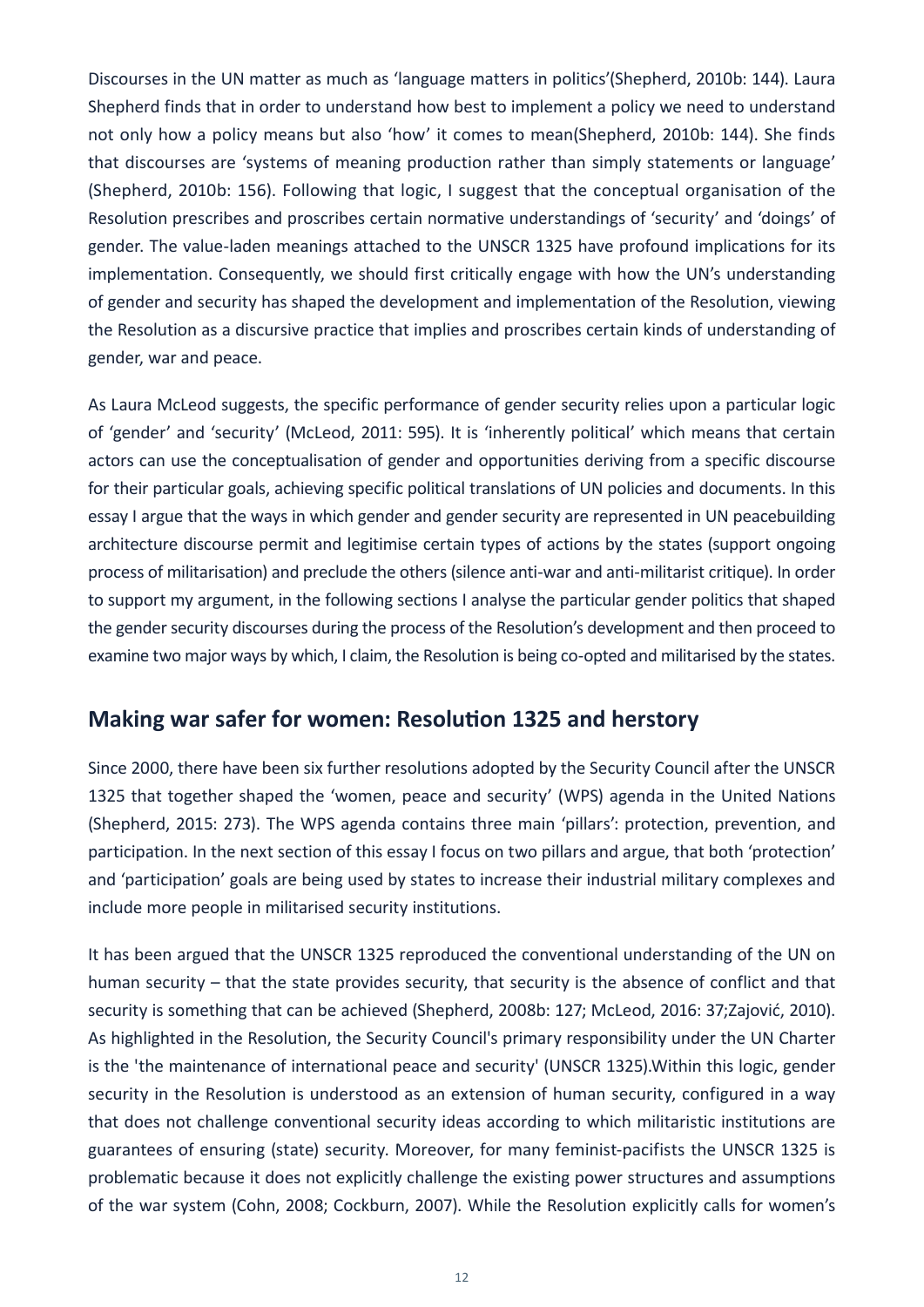Discourses in the UN matter as much as 'language matters in politics'(Shepherd, 2010b: 144). Laura Shepherd finds that in order to understand how best to implement a policy we need to understand not only how a policy means but also 'how' it comes to mean(Shepherd, 2010b: 144). She finds that discourses are 'systems of meaning production rather than simply statements or language' (Shepherd, 2010b: 156). Following that logic, I suggest that the conceptual organisation of the Resolution prescribes and proscribes certain normative understandings of 'security' and 'doings' of gender. The value-laden meanings attached to the UNSCR 1325 have profound implications for its implementation. Consequently, we should first critically engage with how the UN's understanding of gender and security has shaped the development and implementation of the Resolution, viewing the Resolution as a discursive practice that implies and proscribes certain kinds of understanding of gender, war and peace.

As Laura McLeod suggests, the specific performance of gender security relies upon a particular logic of 'gender' and 'security' (McLeod, 2011: 595). It is 'inherently political' which means that certain actors can use the conceptualisation of gender and opportunities deriving from a specific discourse for their particular goals, achieving specific political translations of UN policies and documents. In this essay I argue that the ways in which gender and gender security are represented in UN peacebuilding architecture discourse permit and legitimise certain types of actions by the states (support ongoing process of militarisation) and preclude the others (silence anti-war and anti-militarist critique). In order to support my argument, in the following sections I analyse the particular gender politics that shaped the gender security discourses during the process of the Resolution's development and then proceed to examine two major ways by which, I claim, the Resolution is being co-opted and militarised by the states.

### **Making war safer for women: Resolution 1325 and herstory**

Since 2000, there have been six further resolutions adopted by the Security Council after the UNSCR 1325 that together shaped the 'women, peace and security' (WPS) agenda in the United Nations (Shepherd, 2015: 273). The WPS agenda contains three main 'pillars': protection, prevention, and participation. In the next section of this essay I focus on two pillars and argue, that both 'protection' and 'participation' goals are being used by states to increase their industrial military complexes and include more people in militarised security institutions.

It has been argued that the UNSCR 1325 reproduced the conventional understanding of the UN on human security – that the state provides security, that security is the absence of conflict and that security is something that can be achieved (Shepherd, 2008b: 127; McLeod, 2016: 37;Zajović, 2010). As highlighted in the Resolution, the Security Council's primary responsibility under the UN Charter is the 'the maintenance of international peace and security' (UNSCR 1325).Within this logic, gender security in the Resolution is understood as an extension of human security, configured in a way that does not challenge conventional security ideas according to which militaristic institutions are guarantees of ensuring (state) security. Moreover, for many feminist-pacifists the UNSCR 1325 is problematic because it does not explicitly challenge the existing power structures and assumptions of the war system (Cohn, 2008; Cockburn, 2007). While the Resolution explicitly calls for women's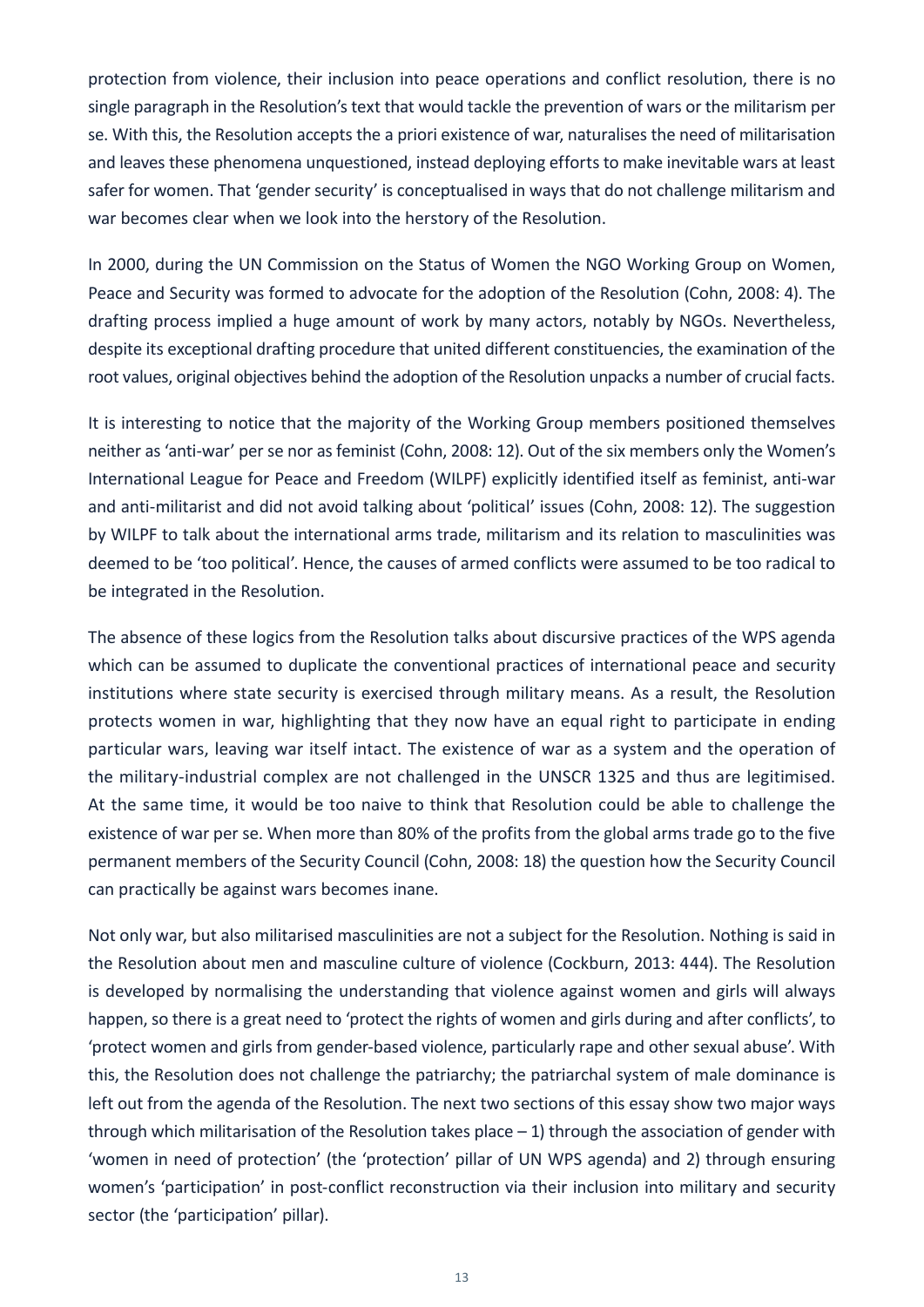protection from violence, their inclusion into peace operations and conflict resolution, there is no single paragraph in the Resolution's text that would tackle the prevention of wars or the militarism per se. With this, the Resolution accepts the a priori existence of war, naturalises the need of militarisation and leaves these phenomena unquestioned, instead deploying efforts to make inevitable wars at least safer for women. That 'gender security' is conceptualised in ways that do not challenge militarism and war becomes clear when we look into the herstory of the Resolution.

In 2000, during the UN Commission on the Status of Women the NGO Working Group on Women, Peace and Security was formed to advocate for the adoption of the Resolution (Cohn, 2008: 4). The drafting process implied a huge amount of work by many actors, notably by NGOs. Nevertheless, despite its exceptional drafting procedure that united different constituencies, the examination of the root values, original objectives behind the adoption of the Resolution unpacks a number of crucial facts.

It is interesting to notice that the majority of the Working Group members positioned themselves neither as 'anti-war' per se nor as feminist (Cohn, 2008: 12). Out of the six members only the Women's International League for Peace and Freedom (WILPF) explicitly identified itself as feminist, anti-war and anti-militarist and did not avoid talking about 'political' issues (Cohn, 2008: 12). The suggestion by WILPF to talk about the international arms trade, militarism and its relation to masculinities was deemed to be 'too political'. Hence, the causes of armed conflicts were assumed to be too radical to be integrated in the Resolution.

The absence of these logics from the Resolution talks about discursive practices of the WPS agenda which can be assumed to duplicate the conventional practices of international peace and security institutions where state security is exercised through military means. As a result, the Resolution protects women in war, highlighting that they now have an equal right to participate in ending particular wars, leaving war itself intact. The existence of war as a system and the operation of the military-industrial complex are not challenged in the UNSCR 1325 and thus are legitimised. At the same time, it would be too naive to think that Resolution could be able to challenge the existence of war per se. When more than 80% of the profits from the global arms trade go to the five permanent members of the Security Council (Cohn, 2008: 18) the question how the Security Council can practically be against wars becomes inane.

Not only war, but also militarised masculinities are not a subject for the Resolution. Nothing is said in the Resolution about men and masculine culture of violence (Cockburn, 2013: 444). The Resolution is developed by normalising the understanding that violence against women and girls will always happen, so there is a great need to 'protect the rights of women and girls during and after conflicts', to 'protect women and girls from gender-based violence, particularly rape and other sexual abuse'. With this, the Resolution does not challenge the patriarchy; the patriarchal system of male dominance is left out from the agenda of the Resolution. The next two sections of this essay show two major ways through which militarisation of the Resolution takes place  $-1$ ) through the association of gender with 'women in need of protection' (the 'protection' pillar of UN WPS agenda) and 2) through ensuring women's 'participation' in post-conflict reconstruction via their inclusion into military and security sector (the 'participation' pillar).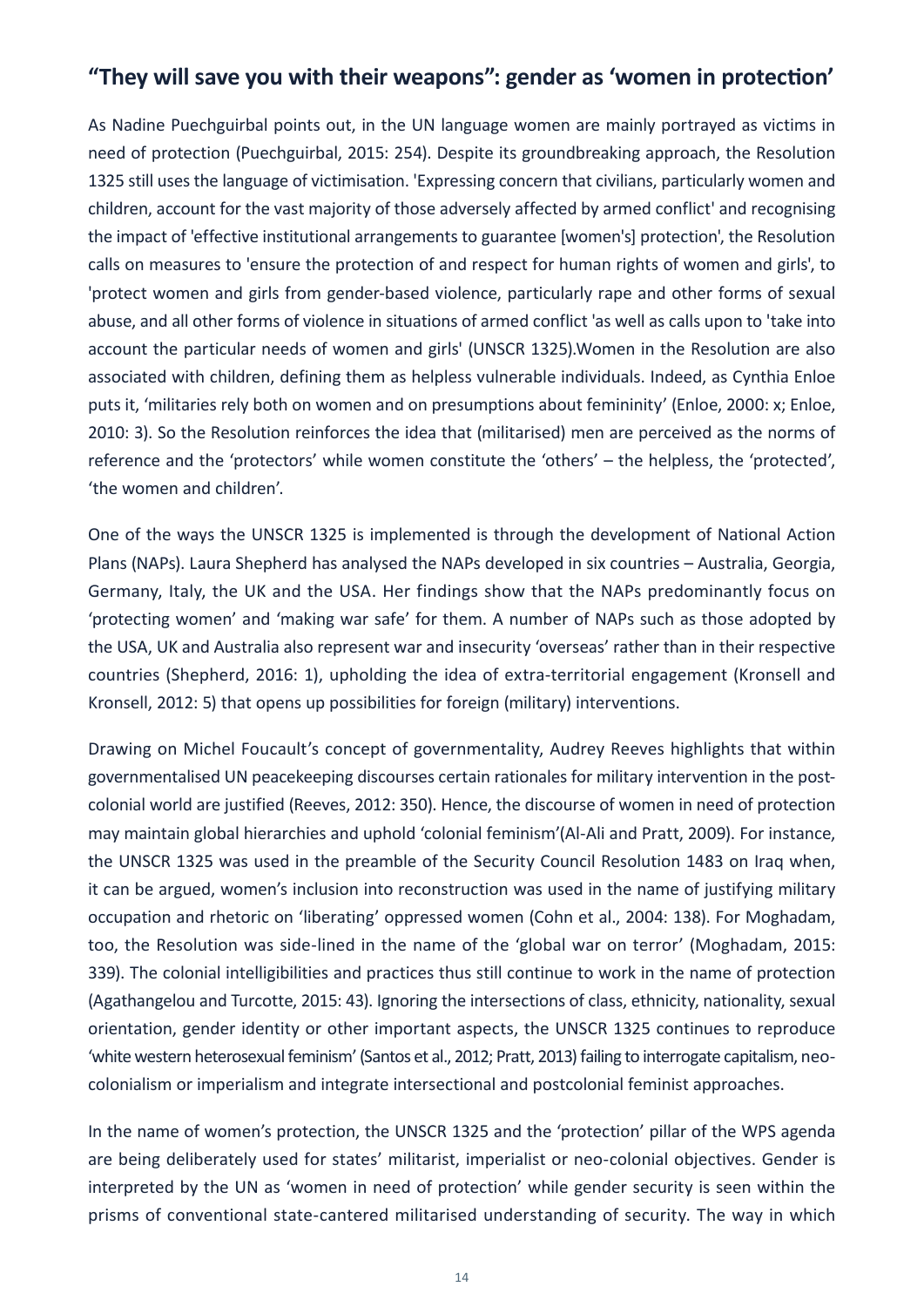### **"They will save you with their weapons": gender as 'women in protection'**

As Nadine Puechguirbal points out, in the UN language women are mainly portrayed as victims in need of protection (Puechguirbal, 2015: 254). Despite its groundbreaking approach, the Resolution 1325 still uses the language of victimisation. 'Expressing concern that civilians, particularly women and children, account for the vast majority of those adversely affected by armed conflict' and recognising the impact of 'effective institutional arrangements to guarantee [women's] protection', the Resolution calls on measures to 'ensure the protection of and respect for human rights of women and girls', to 'protect women and girls from gender-based violence, particularly rape and other forms of sexual abuse, and all other forms of violence in situations of armed conflict 'as well as calls upon to 'take into account the particular needs of women and girls' (UNSCR 1325).Women in the Resolution are also associated with children, defining them as helpless vulnerable individuals. Indeed, as Cynthia Enloe puts it, 'militaries rely both on women and on presumptions about femininity' (Enloe, 2000: x; Enloe, 2010: 3). So the Resolution reinforces the idea that (militarised) men are perceived as the norms of reference and the 'protectors' while women constitute the 'others' – the helpless, the 'protected', 'the women and children'.

One of the ways the UNSCR 1325 is implemented is through the development of National Action Plans (NAPs). Laura Shepherd has analysed the NAPs developed in six countries – Australia, Georgia, Germany, Italy, the UK and the USA. Her findings show that the NAPs predominantly focus on 'protecting women' and 'making war safe' for them. A number of NAPs such as those adopted by the USA, UK and Australia also represent war and insecurity 'overseas' rather than in their respective countries (Shepherd, 2016: 1), upholding the idea of extra-territorial engagement (Kronsell and Kronsell, 2012: 5) that opens up possibilities for foreign (military) interventions.

Drawing on Michel Foucault's concept of governmentality, Audrey Reeves highlights that within governmentalised UN peacekeeping discourses certain rationales for military intervention in the postcolonial world are justified (Reeves, 2012: 350). Hence, the discourse of women in need of protection may maintain global hierarchies and uphold 'colonial feminism'(Al-Ali and Pratt, 2009). For instance, the UNSCR 1325 was used in the preamble of the Security Council Resolution 1483 on Iraq when, it can be argued, women's inclusion into reconstruction was used in the name of justifying military occupation and rhetoric on 'liberating' oppressed women (Cohn et al., 2004: 138). For Moghadam, too, the Resolution was side-lined in the name of the 'global war on terror' (Moghadam, 2015: 339). The colonial intelligibilities and practices thus still continue to work in the name of protection (Agathangelou and Turcotte, 2015: 43). Ignoring the intersections of class, ethnicity, nationality, sexual orientation, gender identity or other important aspects, the UNSCR 1325 continues to reproduce 'white western heterosexual feminism' (Santos et al., 2012; Pratt, 2013) failing to interrogate capitalism, neocolonialism or imperialism and integrate intersectional and postcolonial feminist approaches.

In the name of women's protection, the UNSCR 1325 and the 'protection' pillar of the WPS agenda are being deliberately used for states' militarist, imperialist or neo-colonial objectives. Gender is interpreted by the UN as 'women in need of protection' while gender security is seen within the prisms of conventional state-cantered militarised understanding of security. The way in which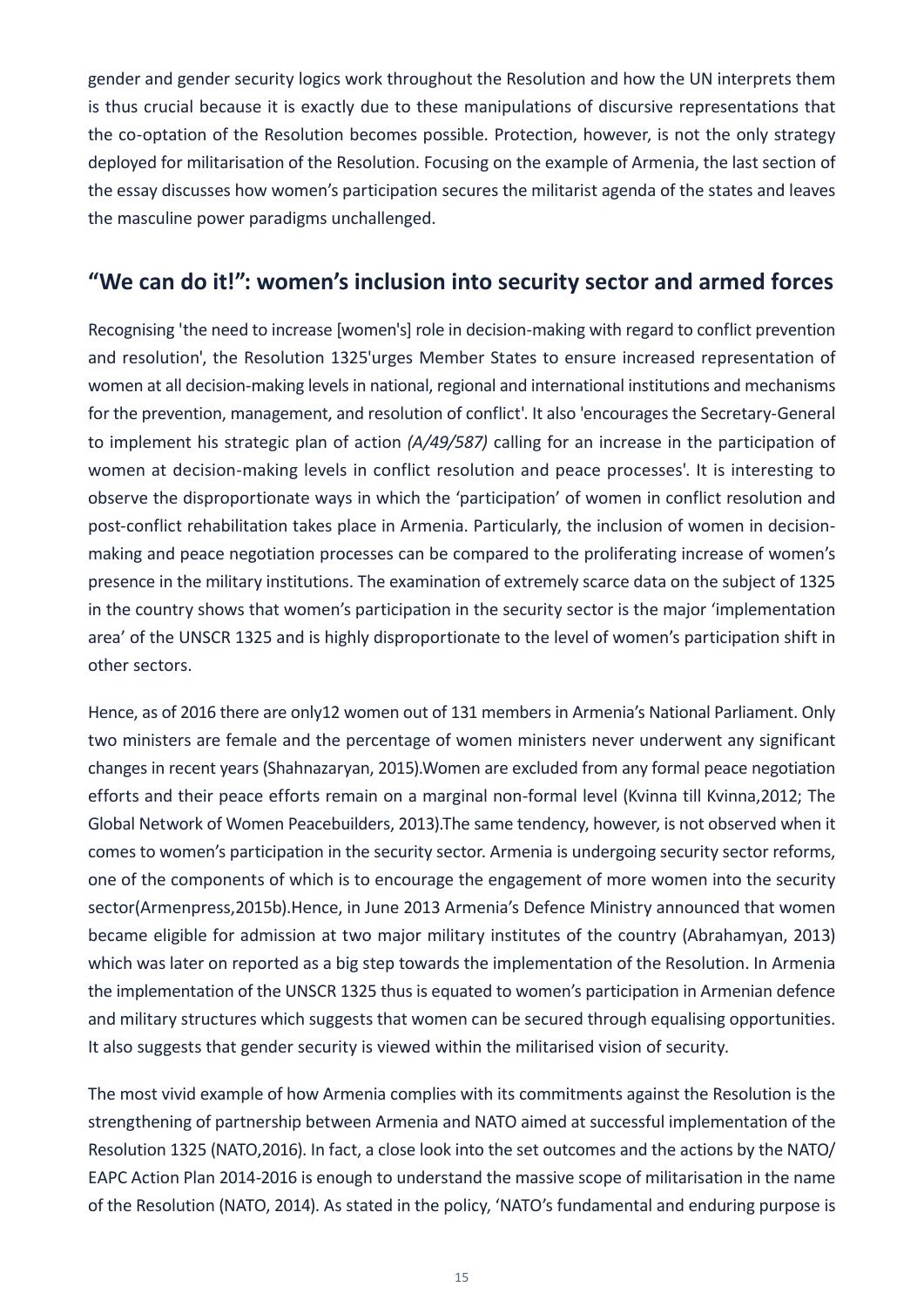gender and gender security logics work throughout the Resolution and how the UN interprets them is thus crucial because it is exactly due to these manipulations of discursive representations that the co-optation of the Resolution becomes possible. Protection, however, is not the only strategy deployed for militarisation of the Resolution. Focusing on the example of Armenia, the last section of the essay discusses how women's participation secures the militarist agenda of the states and leaves the masculine power paradigms unchallenged.

### **"We can do it!": women's inclusion into security sector and armed forces**

Recognising 'the need to increase [women's] role in decision-making with regard to conflict prevention and resolution', the Resolution 1325'urges Member States to ensure increased representation of women at all decision-making levels in national, regional and international institutions and mechanisms for the prevention, management, and resolution of conflict'. It also 'encourages the Secretary-General to implement his strategic plan of action *(A/49/587)* calling for an increase in the participation of women at decision-making levels in conflict resolution and peace processes'. It is interesting to observe the disproportionate ways in which the 'participation' of women in conflict resolution and post-conflict rehabilitation takes place in Armenia. Particularly, the inclusion of women in decisionmaking and peace negotiation processes can be compared to the proliferating increase of women's presence in the military institutions. The examination of extremely scarce data on the subject of 1325 in the country shows that women's participation in the security sector is the major 'implementation area' of the UNSCR 1325 and is highly disproportionate to the level of women's participation shift in other sectors.

Hence, as of 2016 there are only12 women out of 131 members in Armenia's National Parliament. Only two ministers are female and the percentage of women ministers never underwent any significant changes in recent years (Shahnazaryan, 2015).Women are excluded from any formal peace negotiation efforts and their peace efforts remain on a marginal non-formal level (Kvinna till Kvinna,2012; The Global Network of Women Peacebuilders, 2013).The same tendency, however, is not observed when it comes to women's participation in the security sector. Armenia is undergoing security sector reforms, one of the components of which is to encourage the engagement of more women into the security sector(Armenpress,2015b).Hence, in June 2013 Armenia's Defence Ministry announced that women became eligible for admission at two major military institutes of the country (Abrahamyan, 2013) which was later on reported as a big step towards the implementation of the Resolution. In Armenia the implementation of the UNSCR 1325 thus is equated to women's participation in Armenian defence and military structures which suggests that women can be secured through equalising opportunities. It also suggests that gender security is viewed within the militarised vision of security.

The most vivid example of how Armenia complies with its commitments against the Resolution is the strengthening of partnership between Armenia and NATO aimed at successful implementation of the Resolution 1325 (NATO,2016). In fact, a close look into the set outcomes and the actions by the NATO/ EAPC Action Plan 2014-2016 is enough to understand the massive scope of militarisation in the name of the Resolution (NATO, 2014). As stated in the policy, 'NATO's fundamental and enduring purpose is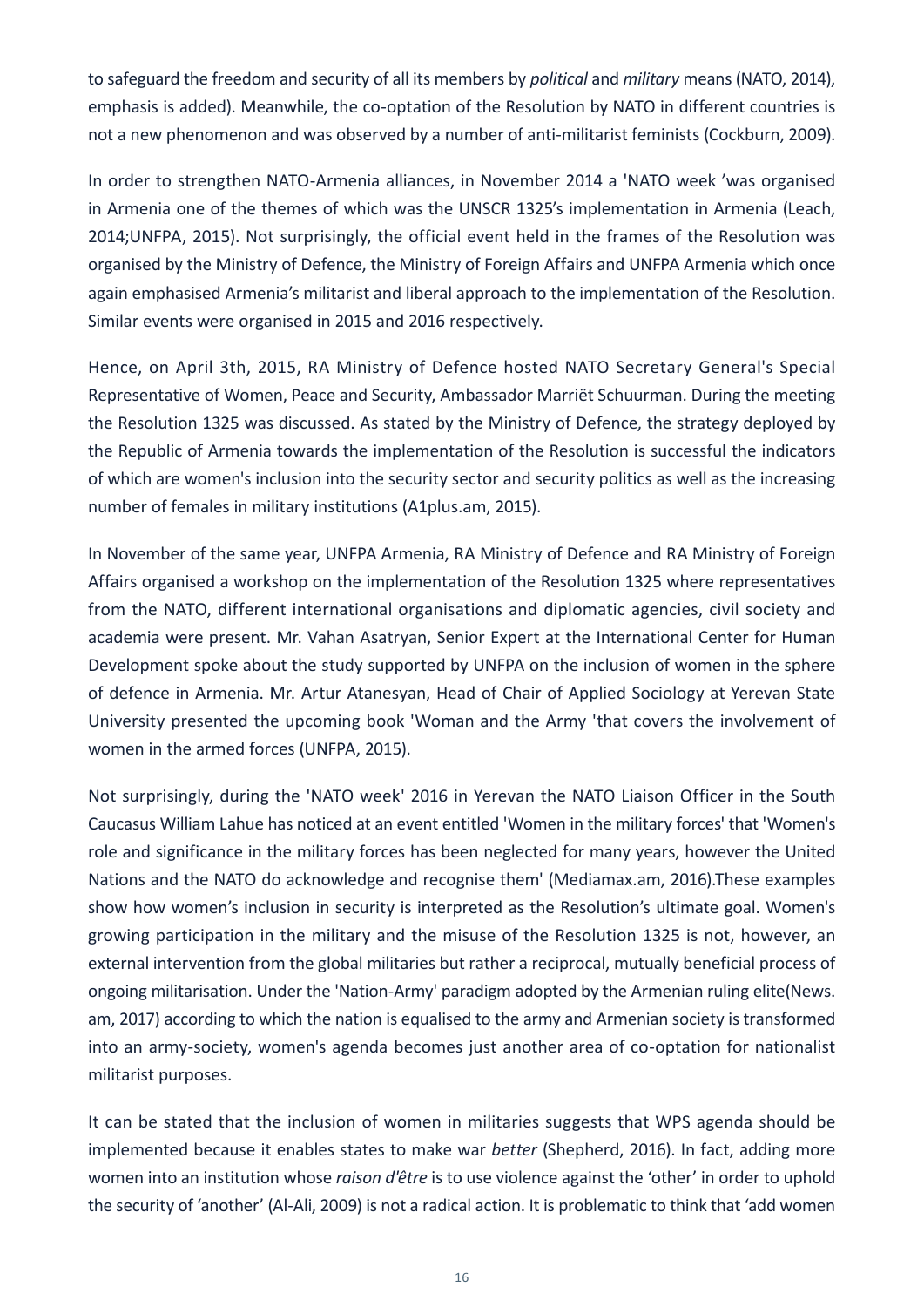to safeguard the freedom and security of all its members by *political* and *military* means (NATO, 2014), emphasis is added). Meanwhile, the co-optation of the Resolution by NATO in different countries is not a new phenomenon and was observed by a number of anti-militarist feminists (Cockburn, 2009).

In order to strengthen NATO-Armenia alliances, in November 2014 a 'NATO week 'was organised in Armenia one of the themes of which was the UNSCR 1325's implementation in Armenia (Leach, 2014;UNFPA, 2015). Not surprisingly, the official event held in the frames of the Resolution was organised by the Ministry of Defence, the Ministry of Foreign Affairs and UNFPA Armenia which once again emphasised Armenia's militarist and liberal approach to the implementation of the Resolution. Similar events were organised in 2015 and 2016 respectively.

Hence, on April 3th, 2015, RA Ministry of Defence hosted NATO Secretary General's Special Representative of Women, Peace and Security, Ambassador Marriët Schuurman. During the meeting the Resolution 1325 was discussed. As stated by the Ministry of Defence, the strategy deployed by the Republic of Armenia towards the implementation of the Resolution is successful the indicators of which are women's inclusion into the security sector and security politics as well as the increasing number of females in military institutions (A1plus.am, 2015).

In November of the same year, UNFPA Armenia, RA Ministry of Defence and RA Ministry of Foreign Affairs organised a workshop on the implementation of the Resolution 1325 where representatives from the NATO, different international organisations and diplomatic agencies, civil society and academia were present. Mr. Vahan Asatryan, Senior Expert at the International Center for Human Development spoke about the study supported by UNFPA on the inclusion of women in the sphere of defence in Armenia. Mr. Artur Atanesyan, Head of Chair of Applied Sociology at Yerevan State University presented the upcoming book 'Woman and the Army 'that covers the involvement of women in the armed forces (UNFPA, 2015).

Not surprisingly, during the 'NATO week' 2016 in Yerevan the NATO Liaison Officer in the South Caucasus William Lahue has noticed at an event entitled 'Women in the military forces' that 'Women's role and significance in the military forces has been neglected for many years, however the United Nations and the NATO do acknowledge and recognise them' (Mediamax.am, 2016).These examples show how women's inclusion in security is interpreted as the Resolution's ultimate goal. Women's growing participation in the military and the misuse of the Resolution 1325 is not, however, an external intervention from the global militaries but rather a reciprocal, mutually beneficial process of ongoing militarisation. Under the 'Nation-Army' paradigm adopted by the Armenian ruling elite(News. am, 2017) according to which the nation is equalised to the army and Armenian society is transformed into an army-society, women's agenda becomes just another area of co-optation for nationalist militarist purposes.

It can be stated that the inclusion of women in militaries suggests that WPS agenda should be implemented because it enables states to make war *better* (Shepherd, 2016). In fact, adding more women into an institution whose *raison d'être* is to use violence against the 'other' in order to uphold the security of 'another' (Al-Ali, 2009) is not a radical action. It is problematic to think that 'add women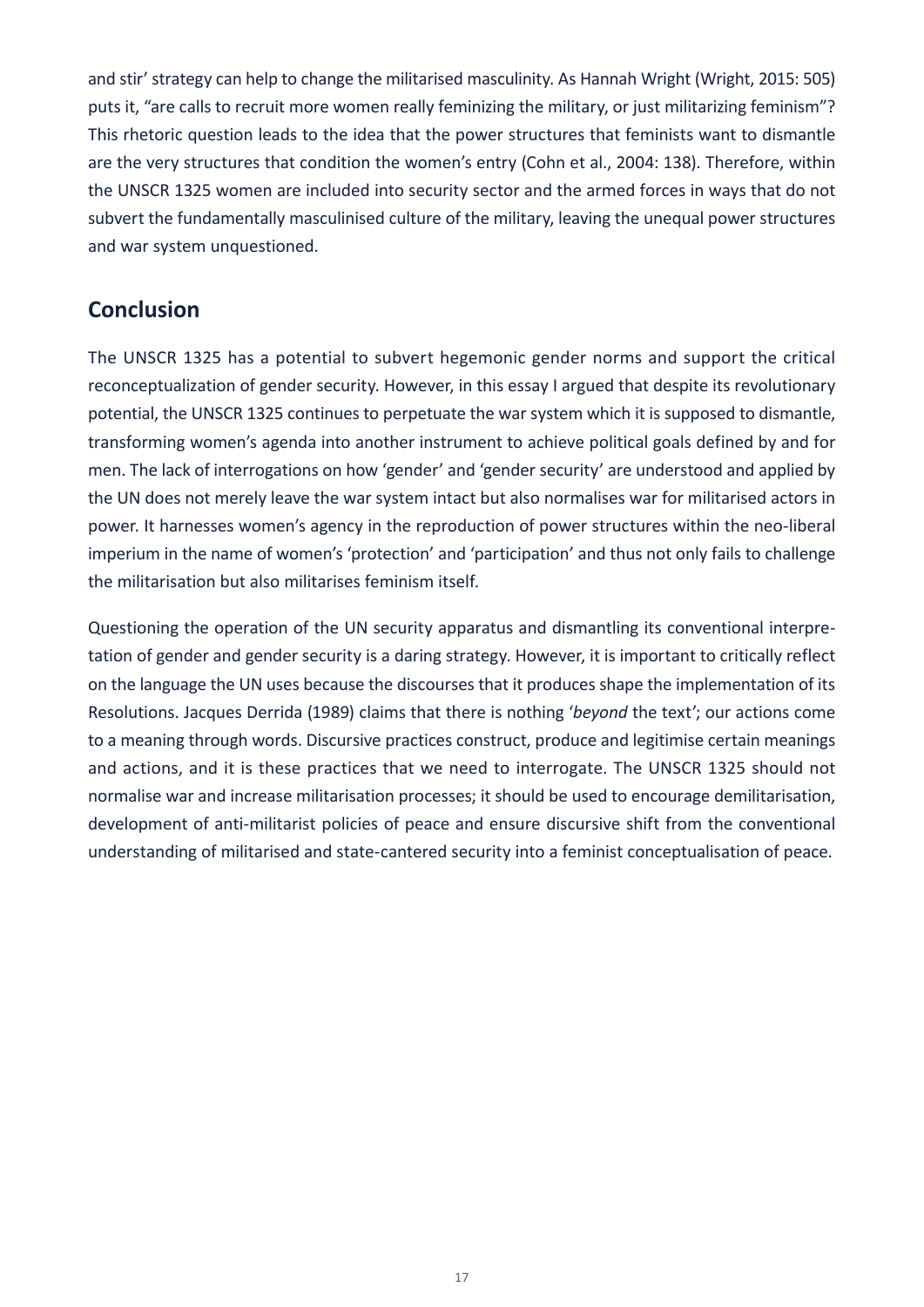and stir' strategy can help to change the militarised masculinity. As Hannah Wright (Wright, 2015: 505) puts it, "are calls to recruit more women really feminizing the military, or just militarizing feminism"? This rhetoric question leads to the idea that the power structures that feminists want to dismantle are the very structures that condition the women's entry (Cohn et al., 2004: 138). Therefore, within the UNSCR 1325 women are included into security sector and the armed forces in ways that do not subvert the fundamentally masculinised culture of the military, leaving the unequal power structures and war system unquestioned.

#### **Conclusion**

The UNSCR 1325 has a potential to subvert hegemonic gender norms and support the critical reconceptualization of gender security. However, in this essay I argued that despite its revolutionary potential, the UNSCR 1325 continues to perpetuate the war system which it is supposed to dismantle, transforming women's agenda into another instrument to achieve political goals defined by and for men. The lack of interrogations on how 'gender' and 'gender security' are understood and applied by the UN does not merely leave the war system intact but also normalises war for militarised actors in power. It harnesses women's agency in the reproduction of power structures within the neo-liberal imperium in the name of women's 'protection' and 'participation' and thus not only fails to challenge the militarisation but also militarises feminism itself.

Questioning the operation of the UN security apparatus and dismantling its conventional interpretation of gender and gender security is a daring strategy. However, it is important to critically reflect on the language the UN uses because the discourses that it produces shape the implementation of its Resolutions. Jacques Derrida (1989) claims that there is nothing '*beyond* the text'; our actions come to a meaning through words. Discursive practices construct, produce and legitimise certain meanings and actions, and it is these practices that we need to interrogate. The UNSCR 1325 should not normalise war and increase militarisation processes; it should be used to encourage demilitarisation, development of anti-militarist policies of peace and ensure discursive shift from the conventional understanding of militarised and state-cantered security into a feminist conceptualisation of peace.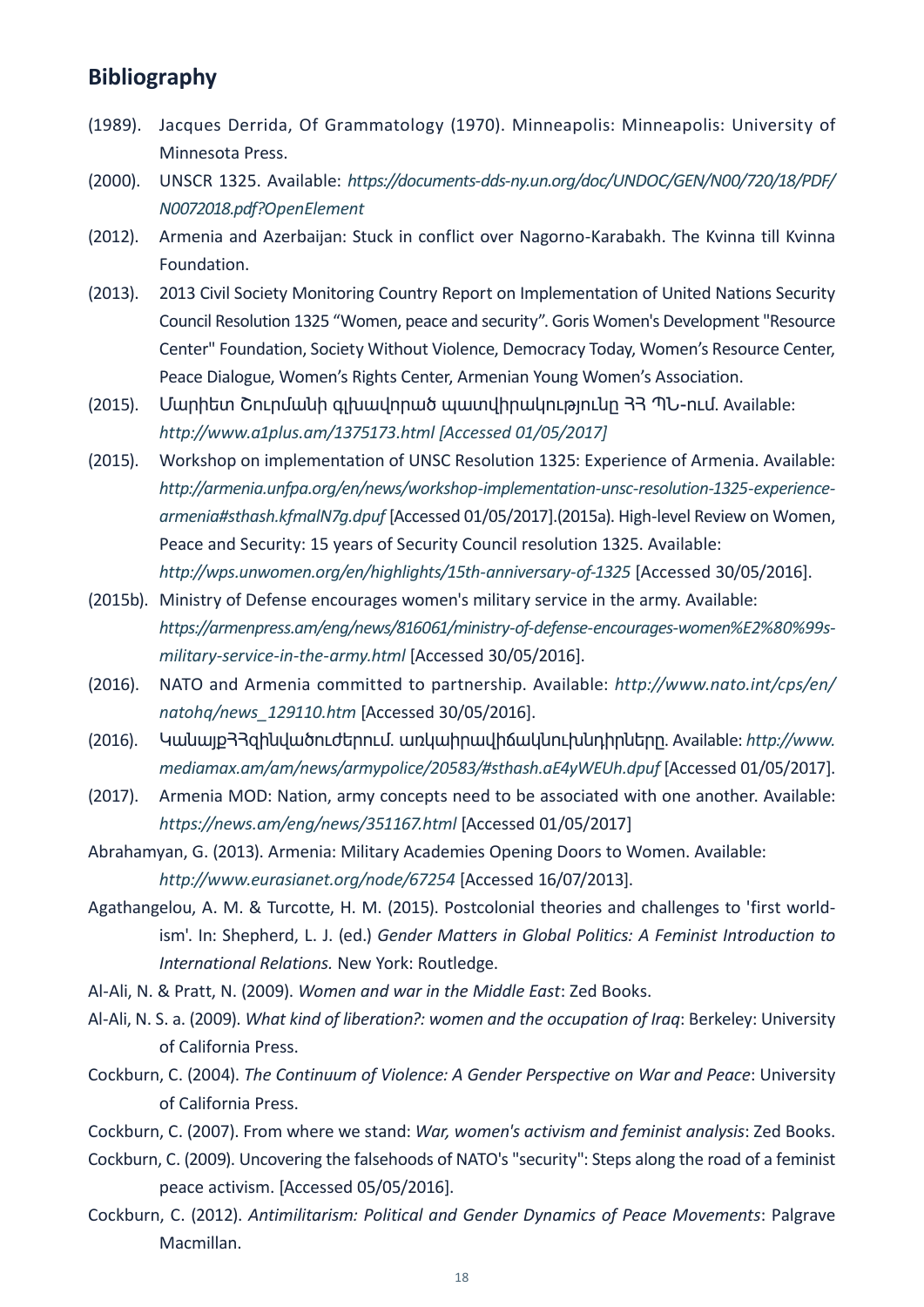#### **Bibliography**

- (1989). Jacques Derrida, Of Grammatology (1970). Minneapolis: Minneapolis: University of Minnesota Press.
- (2000). UNSCR 1325. Available: *[https://documents-dds-ny.un.org/doc/UNDOC/GEN/N00/720/18/PDF/](https://documents-dds-ny.un.org/doc/UNDOC/GEN/N00/720/18/PDF/N0072018.pdf?OpenElement
) [N0072018.pdf?OpenElement](https://documents-dds-ny.un.org/doc/UNDOC/GEN/N00/720/18/PDF/N0072018.pdf?OpenElement
)*
- (2012). Armenia and Azerbaijan: Stuck in conflict over Nagorno-Karabakh. The Kvinna till Kvinna Foundation.
- (2013). 2013 Civil Society Monitoring Country Report on Implementation of United Nations Security Council Resolution 1325 "Women, peace and security". Goris Women's Development "Resource Center" Foundation, Society Without Violence, Democracy Today, Women's Resource Center, Peace Dialogue, Women's Rights Center, Armenian Young Women's Association.
- (2015). Մարիետ Շուրմանի գլխավորած պատվիրակությունը 33 ՊՆ-ում. Available: *[http://www.a1plus.am/1375173.html \[Accessed 01/05/2017\]](http://www.a1plus.am/1375173.html [Accessed 01/05/2017])*
- (2015). Workshop on implementation of UNSC Resolution 1325: Experience of Armenia. Available: *[http://armenia.unfpa.org/en/news/workshop-implementation-unsc-resolution-1325-experience](http://armenia.unfpa.org/en/news/workshop-implementation-unsc-resolution-1325-experience-armenia#sthash.kfmalN7g.dpuf)[armenia#sthash.kfmalN7g.dpuf](http://armenia.unfpa.org/en/news/workshop-implementation-unsc-resolution-1325-experience-armenia#sthash.kfmalN7g.dpuf)* [Accessed 01/05/2017].(2015a). High-level Review on Women, Peace and Security: 15 years of Security Council resolution 1325. Available: *<http://wps.unwomen.org/en/highlights/15th-anniversary-of-1325>*[Accessed 30/05/2016].
- (2015b). Ministry of Defense encourages women's military service in the army. Available: *[https://armenpress.am/eng/news/816061/ministry-of-defense-encourages-women%E2%80%99s](https://armenpress.am/eng/news/816061/ministry-of-defense-encourages-women%E2%80%99s-military-service-in-the-army.html)[military-service-in-the-army.html](https://armenpress.am/eng/news/816061/ministry-of-defense-encourages-women%E2%80%99s-military-service-in-the-army.html)* [Accessed 30/05/2016].
- (2016). NATO and Armenia committed to partnership. Available: *[http://www.nato.int/cps/en/](http://www.nato.int/cps/en/natohq/news_129110.htm) [natohq/news\\_129110.htm](http://www.nato.int/cps/en/natohq/news_129110.htm)* [Accessed 30/05/2016].
- (2016). ԿանայքՀՀզինվածուժերում. առկաիրավիճակնուխնդիրները. Available: *[http://www.](http://www.mediamax.am/am/news/armypolice/20583/#sthash.aE4yWEUh.dpuf) [mediamax.am/am/news/armypolice/20583/#sthash.aE4yWEUh.dpuf](http://www.mediamax.am/am/news/armypolice/20583/#sthash.aE4yWEUh.dpuf)* [Accessed 01/05/2017].
- (2017). Armenia MOD: Nation, army concepts need to be associated with one another. Available: *<https://news.am/eng/news/351167.html>* [Accessed 01/05/2017]
- Abrahamyan, G. (2013). Armenia: Military Academies Opening Doors to Women. Available: *<http://www.eurasianet.org/node/67254>*[Accessed 16/07/2013].
- Agathangelou, A. M. & Turcotte, H. M. (2015). Postcolonial theories and challenges to 'first worldism'. In: Shepherd, L. J. (ed.) *Gender Matters in Global Politics: A Feminist Introduction to International Relations.* New York: Routledge.
- Al-Ali, N. & Pratt, N. (2009). *Women and war in the Middle East*: Zed Books.
- Al-Ali, N. S. a. (2009). *What kind of liberation?: women and the occupation of Iraq*: Berkeley: University of California Press.
- Cockburn, C. (2004). *The Continuum of Violence: A Gender Perspective on War and Peace*: University of California Press.
- Cockburn, C. (2007). From where we stand: *War, women's activism and feminist analysis*: Zed Books.
- Cockburn, C. (2009). Uncovering the falsehoods of NATO's "security": Steps along the road of a feminist peace activism. [Accessed 05/05/2016].
- Cockburn, C. (2012). *Antimilitarism: Political and Gender Dynamics of Peace Movements*: Palgrave Macmillan.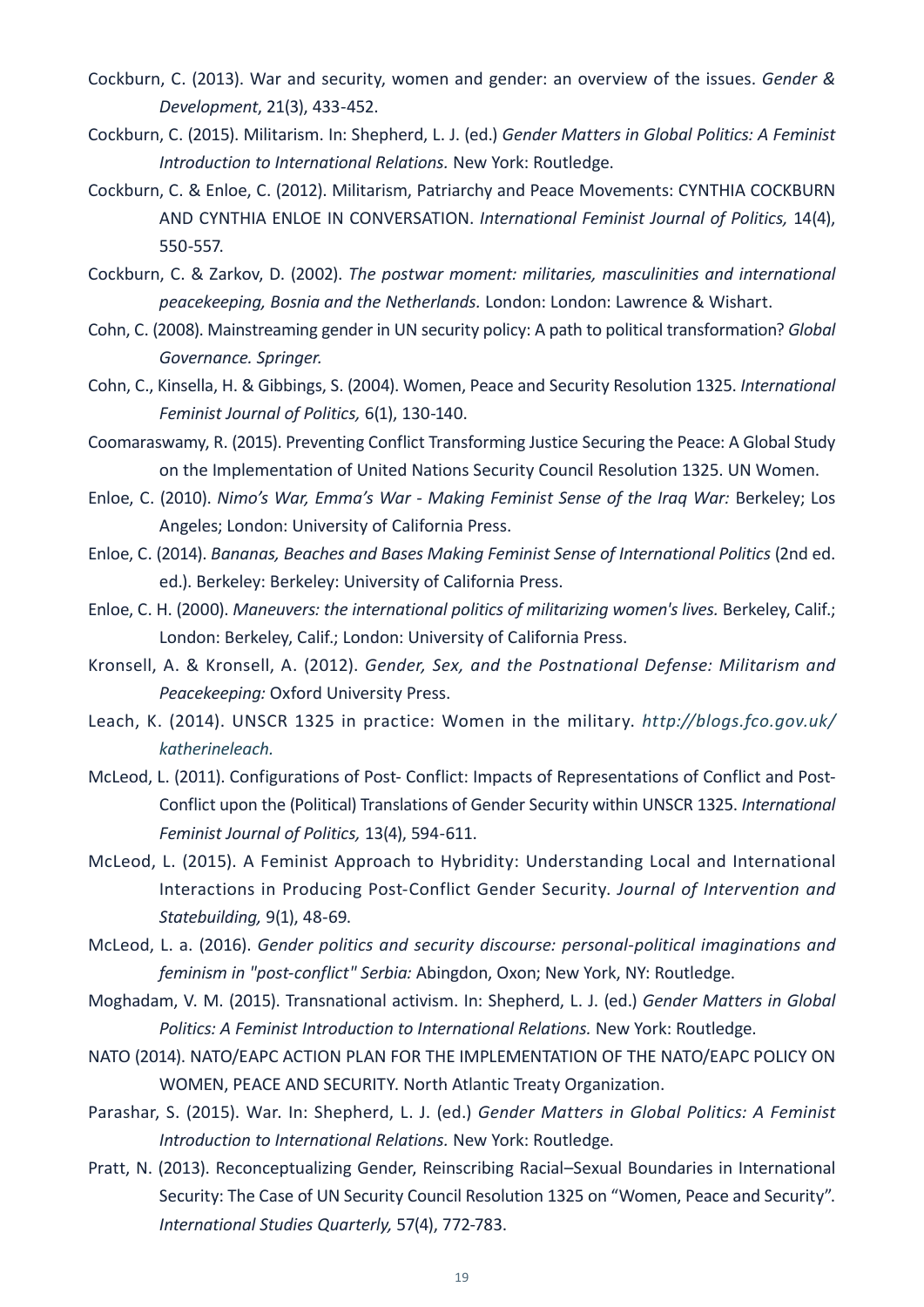- Cockburn, C. (2013). War and security, women and gender: an overview of the issues. *Gender & Development*, 21(3), 433-452.
- Cockburn, C. (2015). Militarism. In: Shepherd, L. J. (ed.) *Gender Matters in Global Politics: A Feminist Introduction to International Relations.* New York: Routledge.
- Cockburn, C. & Enloe, C. (2012). Militarism, Patriarchy and Peace Movements: CYNTHIA COCKBURN AND CYNTHIA ENLOE IN CONVERSATION. *International Feminist Journal of Politics,* 14(4), 550-557.
- Cockburn, C. & Zarkov, D. (2002). *The postwar moment: militaries, masculinities and international peacekeeping, Bosnia and the Netherlands.* London: London: Lawrence & Wishart.
- Cohn, C. (2008). Mainstreaming gender in UN security policy: A path to political transformation? *Global Governance. Springer.*
- Cohn, C., Kinsella, H. & Gibbings, S. (2004). Women, Peace and Security Resolution 1325. *International Feminist Journal of Politics,* 6(1), 130-140.
- Coomaraswamy, R. (2015). Preventing Conflict Transforming Justice Securing the Peace: A Global Study on the Implementation of United Nations Security Council Resolution 1325. UN Women.
- Enloe, C. (2010). *Nimo's War, Emma's War Making Feminist Sense of the Iraq War:* Berkeley; Los Angeles; London: University of California Press.
- Enloe, C. (2014). *Bananas, Beaches and Bases Making Feminist Sense of International Politics* (2nd ed. ed.). Berkeley: Berkeley: University of California Press.
- Enloe, C. H. (2000). *Maneuvers: the international politics of militarizing women's lives.* Berkeley, Calif.; London: Berkeley, Calif.; London: University of California Press.
- Kronsell, A. & Kronsell, A. (2012). *Gender, Sex, and the Postnational Defense: Militarism and Peacekeeping:* Oxford University Press.
- Leach, K. (2014). UNSCR 1325 in practice: Women in the military. *[http://blogs.fco.gov.uk/](http://blogs.fco.gov.uk/katherineleach.
) [katherineleach.](http://blogs.fco.gov.uk/katherineleach.
)*
- McLeod, L. (2011). Configurations of Post- Conflict: Impacts of Representations of Conflict and Post-Conflict upon the (Political) Translations of Gender Security within UNSCR 1325. *International Feminist Journal of Politics,* 13(4), 594-611.
- McLeod, L. (2015). A Feminist Approach to Hybridity: Understanding Local and International Interactions in Producing Post-Conflict Gender Security. *Journal of Intervention and Statebuilding,* 9(1), 48-69.
- McLeod, L. a. (2016). *Gender politics and security discourse: personal-political imaginations and feminism in "post-conflict" Serbia:* Abingdon, Oxon; New York, NY: Routledge.
- Moghadam, V. M. (2015). Transnational activism. In: Shepherd, L. J. (ed.) *Gender Matters in Global Politics: A Feminist Introduction to International Relations.* New York: Routledge.
- NATO (2014). NATO/EAPC ACTION PLAN FOR THE IMPLEMENTATION OF THE NATO/EAPC POLICY ON WOMEN, PEACE AND SECURITY. North Atlantic Treaty Organization.
- Parashar, S. (2015). War. In: Shepherd, L. J. (ed.) *Gender Matters in Global Politics: A Feminist Introduction to International Relations.* New York: Routledge.
- Pratt, N. (2013). Reconceptualizing Gender, Reinscribing Racial–Sexual Boundaries in International Security: The Case of UN Security Council Resolution 1325 on "Women, Peace and Security". *International Studies Quarterly,* 57(4), 772-783.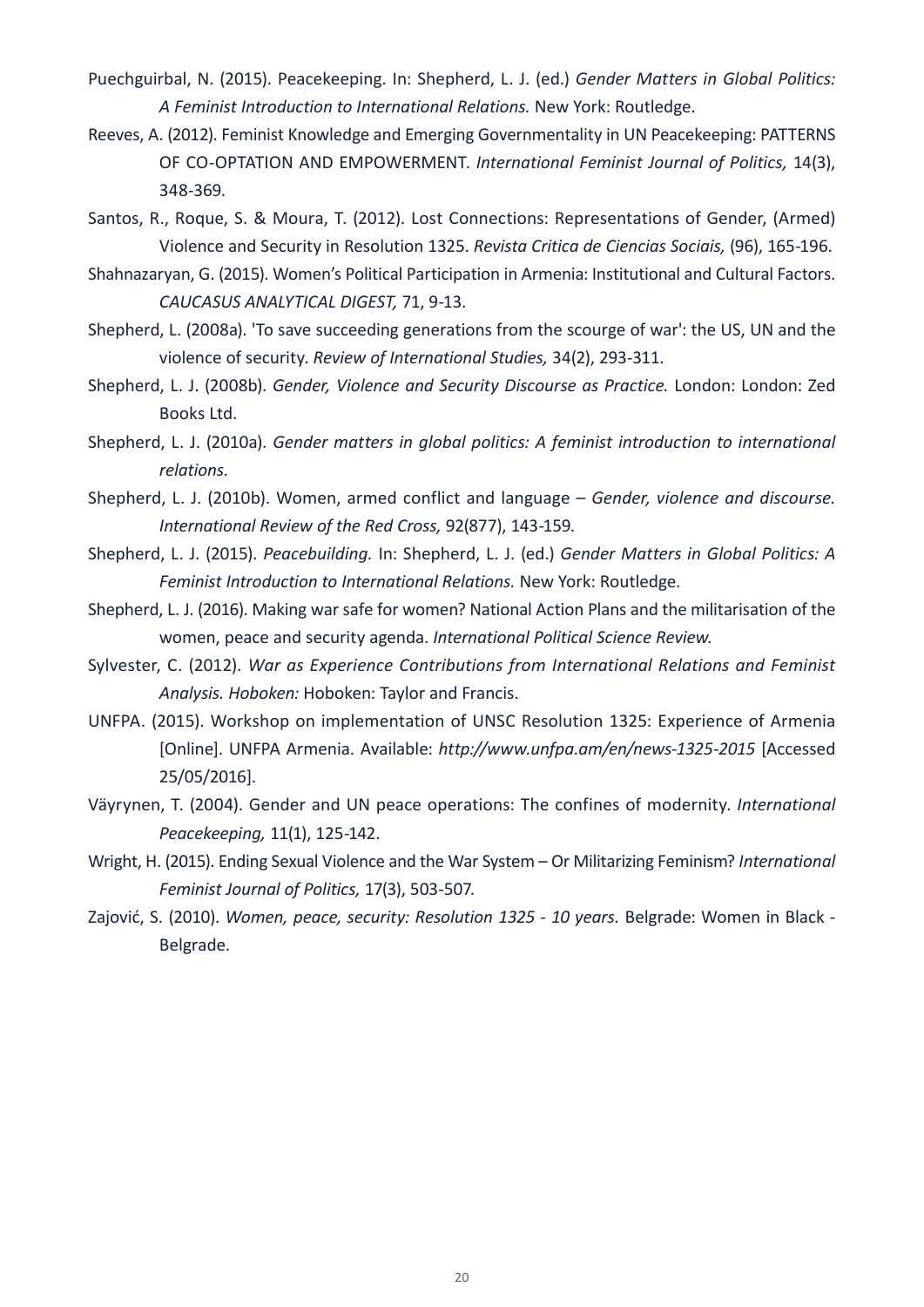- Puechguirbal, N. (2015). Peacekeeping. In: Shepherd, L. J. (ed.) *Gender Matters in Global Politics: A Feminist Introduction to International Relations.* New York: Routledge.
- Reeves, A. (2012). Feminist Knowledge and Emerging Governmentality in UN Peacekeeping: PATTERNS OF CO-OPTATION AND EMPOWERMENT. *International Feminist Journal of Politics,* 14(3), 348-369.
- Santos, R., Roque, S. & Moura, T. (2012). Lost Connections: Representations of Gender, (Armed) Violence and Security in Resolution 1325. *Revista Critica de Ciencias Sociais,* (96), 165-196.
- Shahnazaryan, G. (2015). Women's Political Participation in Armenia: Institutional and Cultural Factors. *CAUCASUS ANALYTICAL DIGEST,* 71, 9-13.
- Shepherd, L. (2008a). 'To save succeeding generations from the scourge of war': the US, UN and the violence of security. *Review of International Studies,* 34(2), 293-311.
- Shepherd, L. J. (2008b). *Gender, Violence and Security Discourse as Practice.* London: London: Zed Books Ltd.
- Shepherd, L. J. (2010a). *Gender matters in global politics: A feminist introduction to international relations.*
- Shepherd, L. J. (2010b). Women, armed conflict and language *Gender, violence and discourse. International Review of the Red Cross,* 92(877), 143-159.
- Shepherd, L. J. (2015). *Peacebuilding.* In: Shepherd, L. J. (ed.) *Gender Matters in Global Politics: A Feminist Introduction to International Relations.* New York: Routledge.
- Shepherd, L. J. (2016). Making war safe for women? National Action Plans and the militarisation of the women, peace and security agenda. *International Political Science Review.*
- Sylvester, C. (2012). *War as Experience Contributions from International Relations and Feminist Analysis. Hoboken:* Hoboken: Taylor and Francis.
- UNFPA. (2015). Workshop on implementation of UNSC Resolution 1325: Experience of Armenia [Online]. UNFPA Armenia. Available: *<http://www.unfpa.am/en/news-1325-2015>* [Accessed 25/05/2016].
- Väyrynen, T. (2004). Gender and UN peace operations: The confines of modernity. *International Peacekeeping,* 11(1), 125-142.
- Wright, H. (2015). Ending Sexual Violence and the War System Or Militarizing Feminism? *International Feminist Journal of Politics,* 17(3), 503-507.
- Zajović, S. (2010). *Women, peace, security: Resolution 1325 10 years.* Belgrade: Women in Black Belgrade.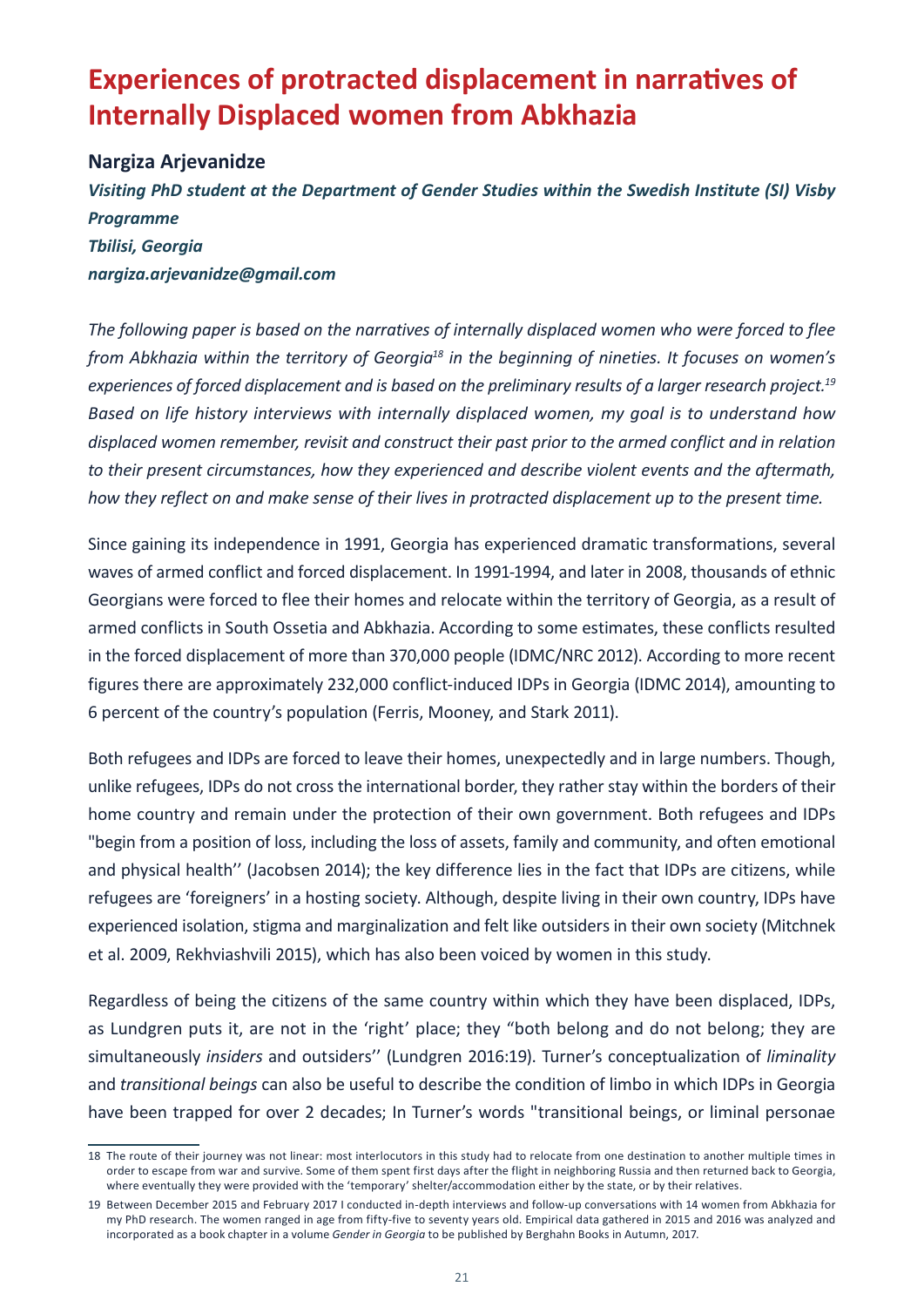# <span id="page-22-0"></span>**Experiences of protracted displacement in narratives of Internally Displaced women from Abkhazia**

#### **Nargiza Arjevanidze**

*Visiting PhD student at the Department of Gender Studies within the Swedish Institute (SI) Visby Programme Tbilisi, Georgia nargiza.arjevanidze@gmail.com*

*The following paper is based on the narratives of internally displaced women who were forced to flee from Abkhazia within the territory of Georgia18 in the beginning of nineties. It focuses on women's experiences of forced displacement and is based on the preliminary results of a larger research project.19 Based on life history interviews with internally displaced women, my goal is to understand how displaced women remember, revisit and construct their past prior to the armed conflict and in relation to their present circumstances, how they experienced and describe violent events and the aftermath, how they reflect on and make sense of their lives in protracted displacement up to the present time.*

Since gaining its independence in 1991, Georgia has experienced dramatic transformations, several waves of armed conflict and forced displacement. In 1991-1994, and later in 2008, thousands of ethnic Georgians were forced to flee their homes and relocate within the territory of Georgia, as a result of armed conflicts in South Ossetia and Abkhazia. According to some estimates, these conflicts resulted in the forced displacement of more than 370,000 people (IDMC/NRC 2012). According to more recent figures there are approximately 232,000 conflict-induced IDPs in Georgia (IDMC 2014), amounting to 6 percent of the country's population (Ferris, Mooney, and Stark 2011).

Both refugees and IDPs are forced to leave their homes, unexpectedly and in large numbers. Though, unlike refugees, IDPs do not cross the international border, they rather stay within the borders of their home country and remain under the protection of their own government. Both refugees and IDPs "begin from a position of loss, including the loss of assets, family and community, and often emotional and physical health'' (Jacobsen 2014); the key difference lies in the fact that IDPs are citizens, while refugees are 'foreigners' in a hosting society. Although, despite living in their own country, IDPs have experienced isolation, stigma and marginalization and felt like outsiders in their own society (Mitchnek et al. 2009, Rekhviashvili 2015), which has also been voiced by women in this study.

Regardless of being the citizens of the same country within which they have been displaced, IDPs, as Lundgren puts it, are not in the 'right' place; they "both belong and do not belong; they are simultaneously *insiders* and outsiders'' (Lundgren 2016:19). Turner's conceptualization of *liminality* and *transitional beings* can also be useful to describe the condition of limbo in which IDPs in Georgia have been trapped for over 2 decades; In Turner's words "transitional beings, or liminal personae

<sup>18</sup> The route of their journey was not linear: most interlocutors in this study had to relocate from one destination to another multiple times in order to escape from war and survive. Some of them spent first days after the flight in neighboring Russia and then returned back to Georgia, where eventually they were provided with the 'temporary' shelter/accommodation either by the state, or by their relatives.

<sup>19</sup> Between December 2015 and February 2017 I conducted in-depth interviews and follow-up conversations with 14 women from Abkhazia for my PhD research. The women ranged in age from fifty-five to seventy years old. Empirical data gathered in 2015 and 2016 was analyzed and incorporated as a book chapter in a volume *Gender in Georgia* to be published by Berghahn Books in Autumn, 2017.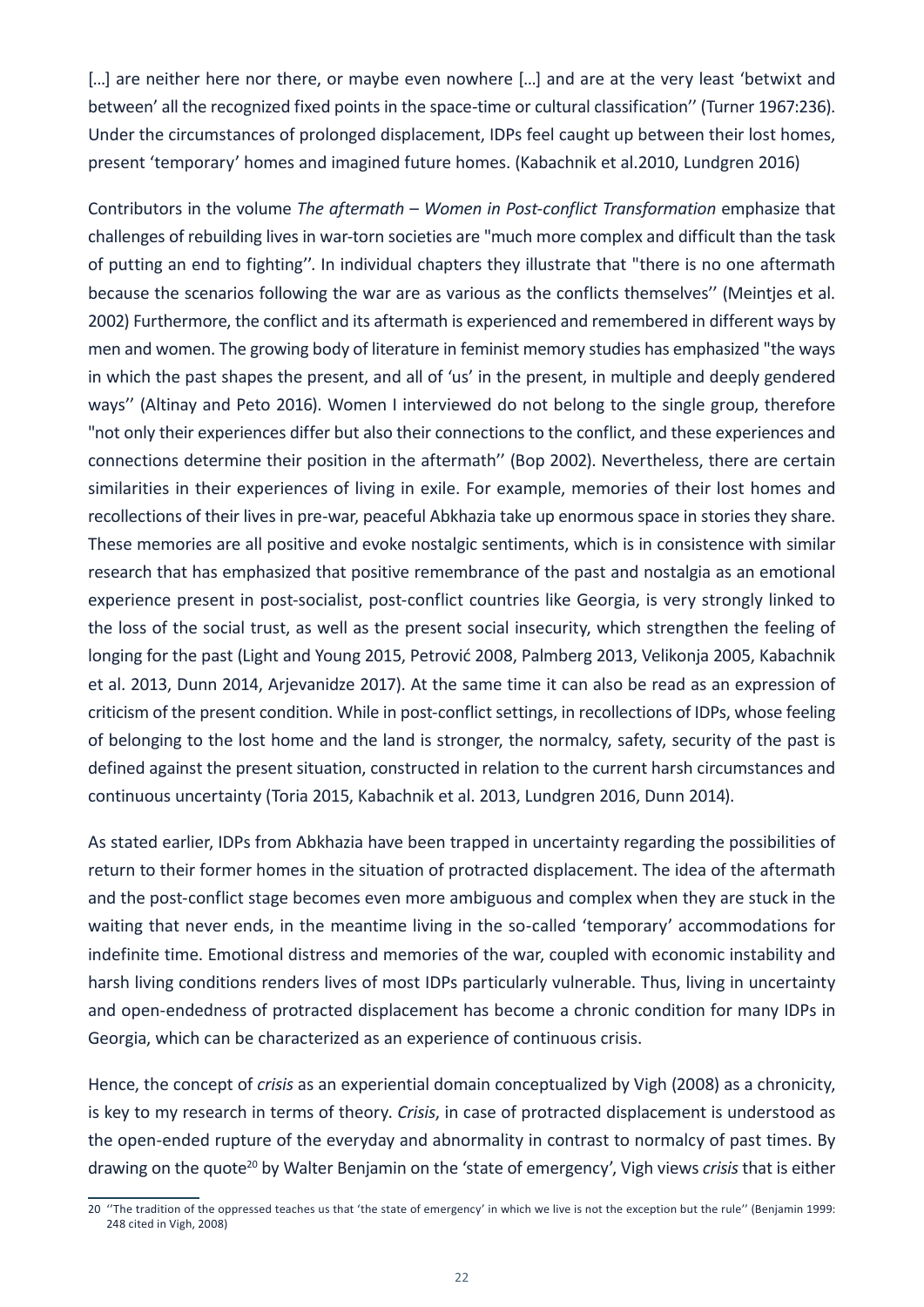[...] are neither here nor there, or maybe even nowhere [...] and are at the very least 'betwixt and between' all the recognized fixed points in the space-time or cultural classification'' (Turner 1967:236). Under the circumstances of prolonged displacement, IDPs feel caught up between their lost homes, present 'temporary' homes and imagined future homes. (Kabachnik et al.2010, Lundgren 2016)

Contributors in the volume *The aftermath* – *Women in Post-conflict Transformation* emphasize that challenges of rebuilding lives in war-torn societies are "much more complex and difficult than the task of putting an end to fighting''. In individual chapters they illustrate that "there is no one aftermath because the scenarios following the war are as various as the conflicts themselves'' (Meintjes et al. 2002) Furthermore, the conflict and its aftermath is experienced and remembered in different ways by men and women. The growing body of literature in feminist memory studies has emphasized "the ways in which the past shapes the present, and all of 'us' in the present, in multiple and deeply gendered ways'' (Altinay and Peto 2016). Women I interviewed do not belong to the single group, therefore "not only their experiences differ but also their connections to the conflict, and these experiences and connections determine their position in the aftermath'' (Bop 2002). Nevertheless, there are certain similarities in their experiences of living in exile. For example, memories of their lost homes and recollections of their lives in pre-war, peaceful Abkhazia take up enormous space in stories they share. These memories are all positive and evoke nostalgic sentiments, which is in consistence with similar research that has emphasized that positive remembrance of the past and nostalgia as an emotional experience present in post-socialist, post-conflict countries like Georgia, is very strongly linked to the loss of the social trust, as well as the present social insecurity, which strengthen the feeling of longing for the past (Light and Young 2015, Petrović 2008, Palmberg 2013, Velikonja 2005, Kabachnik et al. 2013, Dunn 2014, Arjevanidze 2017). At the same time it can also be read as an expression of criticism of the present condition. While in post-conflict settings, in recollections of IDPs, whose feeling of belonging to the lost home and the land is stronger, the normalcy, safety, security of the past is defined against the present situation, constructed in relation to the current harsh circumstances and continuous uncertainty (Toria 2015, Kabachnik et al. 2013, Lundgren 2016, Dunn 2014).

As stated earlier, IDPs from Abkhazia have been trapped in uncertainty regarding the possibilities of return to their former homes in the situation of protracted displacement. The idea of the aftermath and the post-conflict stage becomes even more ambiguous and complex when they are stuck in the waiting that never ends, in the meantime living in the so-called 'temporary' accommodations for indefinite time. Emotional distress and memories of the war, coupled with economic instability and harsh living conditions renders lives of most IDPs particularly vulnerable. Thus, living in uncertainty and open-endedness of protracted displacement has become a chronic condition for many IDPs in Georgia, which can be characterized as an experience of continuous crisis.

Hence, the concept of *crisis* as an experiential domain conceptualized by Vigh (2008) as a chronicity, is key to my research in terms of theory. *Crisis*, in case of protracted displacement is understood as the open-ended rupture of the everyday and abnormality in contrast to normalcy of past times. By drawing on the quote<sup>20</sup> by Walter Benjamin on the 'state of emergency', Vigh views *crisis* that is either

<sup>20</sup> ''The tradition of the oppressed teaches us that 'the state of emergency' in which we live is not the exception but the rule'' (Benjamin 1999: 248 cited in Vigh, 2008)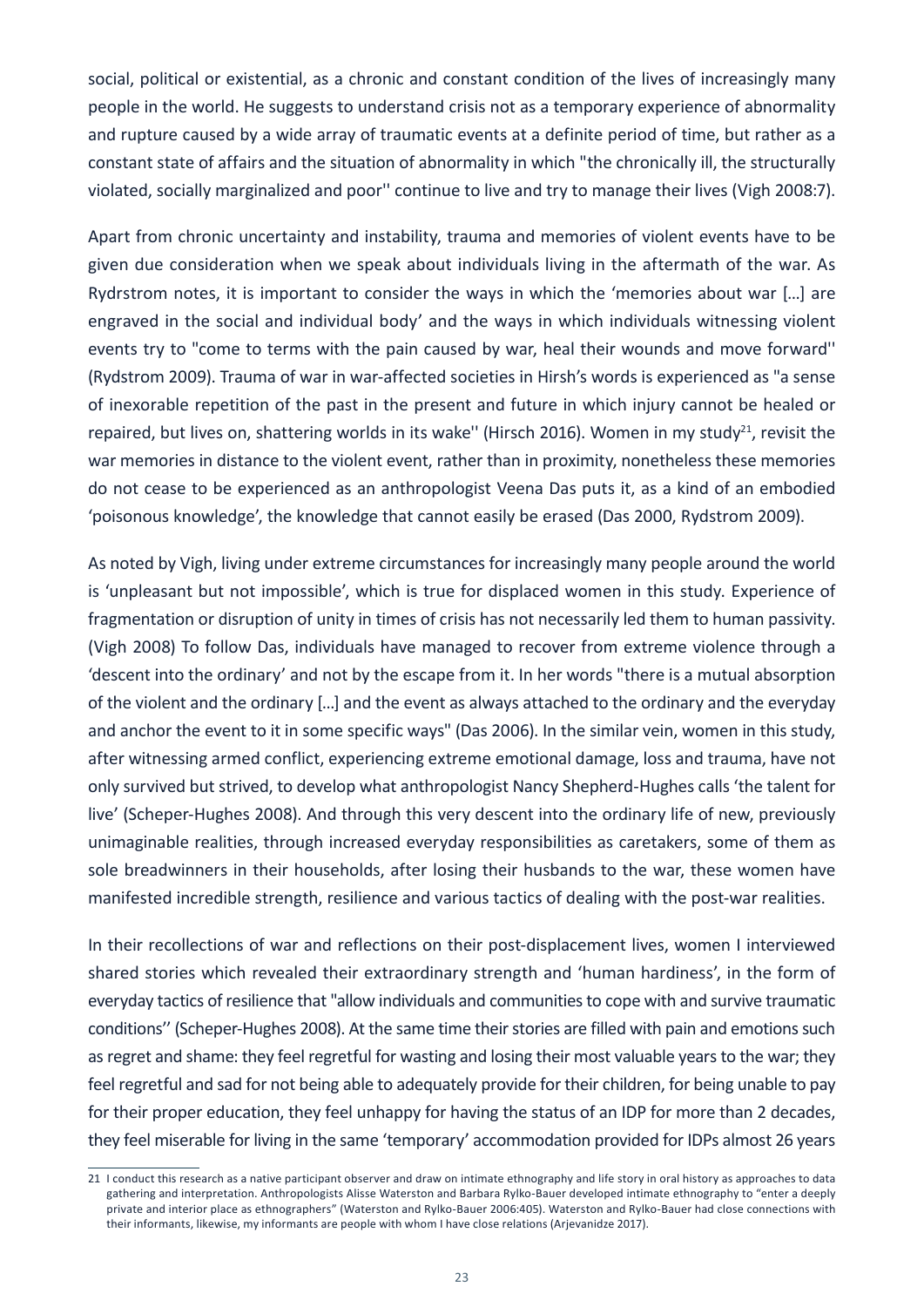social, political or existential, as a chronic and constant condition of the lives of increasingly many people in the world. He suggests to understand crisis not as a temporary experience of abnormality and rupture caused by a wide array of traumatic events at a definite period of time, but rather as a constant state of affairs and the situation of abnormality in which "the chronically ill, the structurally violated, socially marginalized and poor'' continue to live and try to manage their lives (Vigh 2008:7).

Apart from chronic uncertainty and instability, trauma and memories of violent events have to be given due consideration when we speak about individuals living in the aftermath of the war. As Rydrstrom notes, it is important to consider the ways in which the 'memories about war […] are engraved in the social and individual body' and the ways in which individuals witnessing violent events try to "come to terms with the pain caused by war, heal their wounds and move forward'' (Rydstrom 2009). Trauma of war in war-affected societies in Hirsh's words is experienced as "a sense of inexorable repetition of the past in the present and future in which injury cannot be healed or repaired, but lives on, shattering worlds in its wake" (Hirsch 2016). Women in my study<sup>21</sup>, revisit the war memories in distance to the violent event, rather than in proximity, nonetheless these memories do not cease to be experienced as an anthropologist Veena Das puts it, as a kind of an embodied 'poisonous knowledge', the knowledge that cannot easily be erased (Das 2000, Rydstrom 2009).

As noted by Vigh, living under extreme circumstances for increasingly many people around the world is 'unpleasant but not impossible', which is true for displaced women in this study. Experience of fragmentation or disruption of unity in times of crisis has not necessarily led them to human passivity. (Vigh 2008) To follow Das, individuals have managed to recover from extreme violence through a 'descent into the ordinary' and not by the escape from it. In her words "there is a mutual absorption of the violent and the ordinary […] and the event as always attached to the ordinary and the everyday and anchor the event to it in some specific ways" (Das 2006). In the similar vein, women in this study, after witnessing armed conflict, experiencing extreme emotional damage, loss and trauma, have not only survived but strived, to develop what anthropologist Nancy Shepherd-Hughes calls 'the talent for live' (Scheper-Hughes 2008). And through this very descent into the ordinary life of new, previously unimaginable realities, through increased everyday responsibilities as caretakers, some of them as sole breadwinners in their households, after losing their husbands to the war, these women have manifested incredible strength, resilience and various tactics of dealing with the post-war realities.

In their recollections of war and reflections on their post-displacement lives, women I interviewed shared stories which revealed their extraordinary strength and 'human hardiness', in the form of everyday tactics of resilience that "allow individuals and communities to cope with and survive traumatic conditions'' (Scheper-Hughes 2008). At the same time their stories are filled with pain and emotions such as regret and shame: they feel regretful for wasting and losing their most valuable years to the war; they feel regretful and sad for not being able to adequately provide for their children, for being unable to pay for their proper education, they feel unhappy for having the status of an IDP for more than 2 decades, they feel miserable for living in the same 'temporary' accommodation provided for IDPs almost 26 years

<sup>21</sup> I conduct this research as a native participant observer and draw on intimate ethnography and life story in oral history as approaches to data gathering and interpretation. Anthropologists Alisse Waterston and Barbara Rylko-Bauer developed intimate ethnography to "enter a deeply private and interior place as ethnographers" (Waterston and Rylko-Bauer 2006:405). Waterston and Rylko-Bauer had close connections with their informants, likewise, my informants are people with whom I have close relations (Arjevanidze 2017).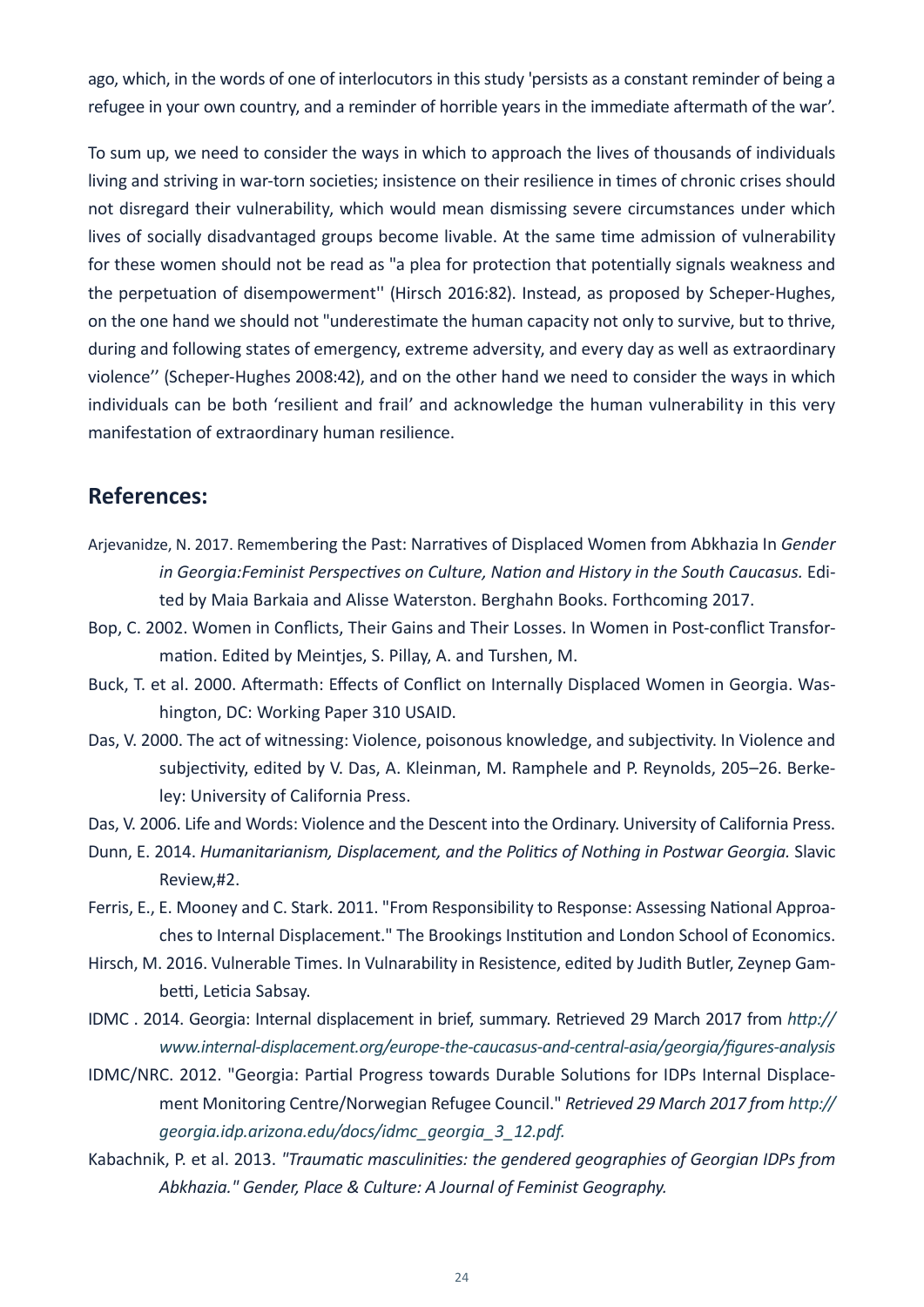ago, which, in the words of one of interlocutors in this study 'persists as a constant reminder of being a refugee in your own country, and a reminder of horrible years in the immediate aftermath of the war'.

To sum up, we need to consider the ways in which to approach the lives of thousands of individuals living and striving in war-torn societies; insistence on their resilience in times of chronic crises should not disregard their vulnerability, which would mean dismissing severe circumstances under which lives of socially disadvantaged groups become livable. At the same time admission of vulnerability for these women should not be read as "a plea for protection that potentially signals weakness and the perpetuation of disempowerment'' (Hirsch 2016:82). Instead, as proposed by Scheper-Hughes, on the one hand we should not "underestimate the human capacity not only to survive, but to thrive, during and following states of emergency, extreme adversity, and every day as well as extraordinary violence'' (Scheper-Hughes 2008:42), and on the other hand we need to consider the ways in which individuals can be both 'resilient and frail' and acknowledge the human vulnerability in this very manifestation of extraordinary human resilience.

#### **References:**

- Arjevanidze, N. 2017. Remembering the Past: Narratives of Displaced Women from Abkhazia In *Gender in Georgia:Feminist Perspectives on Culture, Nation and History in the South Caucasus.* Edited by Maia Barkaia and Alisse Waterston. Berghahn Books. Forthcoming 2017.
- Bop, C. 2002. Women in Conflicts, Their Gains and Their Losses. In Women in Post-conflict Transformation. Edited by Meintjes, S. Pillay, A. and Turshen, M.
- Buck, T. et al. 2000. Aftermath: Effects of Conflict on Internally Displaced Women in Georgia. Washington, DC: Working Paper 310 USAID.
- Das, V. 2000. The act of witnessing: Violence, poisonous knowledge, and subjectivity. In Violence and subjectivity, edited by V. Das, A. Kleinman, M. Ramphele and P. Reynolds, 205–26. Berkeley: University of California Press.
- Das, V. 2006. Life and Words: Violence and the Descent into the Ordinary. University of California Press.
- Dunn, E. 2014. *Humanitarianism, Displacement, and the Politics of Nothing in Postwar Georgia.* Slavic Review,#2.
- Ferris, E., E. Mooney and C. Stark. 2011. "From Responsibility to Response: Assessing National Approaches to Internal Displacement." The Brookings Institution and London School of Economics.
- Hirsch, M. 2016. Vulnerable Times. In Vulnarability in Resistence, edited by Judith Butler, Zeynep Gambetti, Leticia Sabsay.
- IDMC . 2014. Georgia: Internal displacement in brief, summary. Retrieved 29 March 2017 from *[http://](http://www.internal-displacement.org/europe-the-caucasus-and-central-asia/georgia/figures-analysis) [www.internal-displacement.org/europe-the-caucasus-and-central-asia/georgia/figures-analysis](http://www.internal-displacement.org/europe-the-caucasus-and-central-asia/georgia/figures-analysis)*
- IDMC/NRC. 2012. "Georgia: Partial Progress towards Durable Solutions for IDPs Internal Displacement Monitoring Centre/Norwegian Refugee Council." *Retrieved 29 March 2017 from [http://](http://georgia.idp.arizona.edu/docs/idmc_georgia_3_12.pdf) [georgia.idp.arizona.edu/docs/idmc\\_georgia\\_3\\_12.pdf](http://georgia.idp.arizona.edu/docs/idmc_georgia_3_12.pdf).*
- Kabachnik, P. et al. 2013. *"Traumatic masculinities: the gendered geographies of Georgian IDPs from Abkhazia." Gender, Place & Culture: A Journal of Feminist Geography.*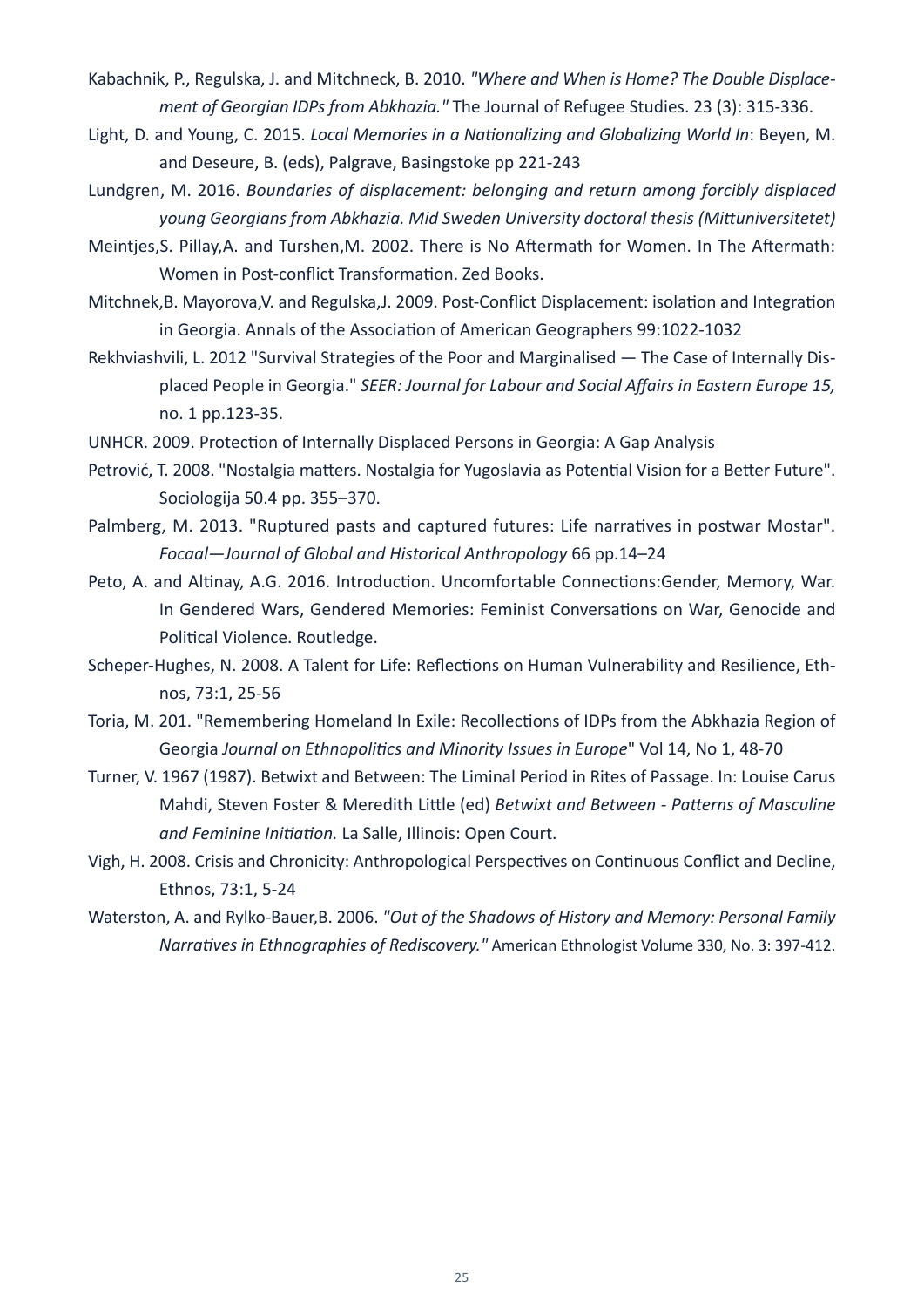- Kabachnik, P., Regulska, J. and Mitchneck, B. 2010. *"Where and When is Home? The Double Displacement of Georgian IDPs from Abkhazia."* The Journal of Refugee Studies. 23 (3): 315-336.
- Light, D. and Young, C. 2015. *Local Memories in a Nationalizing and Globalizing World In*: Beyen, M. and Deseure, B. (eds), Palgrave, Basingstoke pp 221-243
- Lundgren, M. 2016. *Boundaries of displacement: belonging and return among forcibly displaced young Georgians from Abkhazia. Mid Sweden University doctoral thesis (Mittuniversitetet)*
- Meintjes,S. Pillay,A. and Turshen,M. 2002. There is No Aftermath for Women. In The Aftermath: Women in Post-conflict Transformation. Zed Books.
- Mitchnek,B. Mayorova,V. and Regulska,J. 2009. Post-Conflict Displacement: isolation and Integration in Georgia. Annals of the Association of American Geographers 99:1022-1032
- Rekhviashvili, L. 2012 "Survival Strategies of the Poor and Marginalised The Case of Internally Displaced People in Georgia." *SEER: Journal for Labour and Social Affairs in Eastern Europe 15,* no. 1 pp.123-35.
- UNHCR. 2009. Protection of Internally Displaced Persons in Georgia: A Gap Analysis
- Petrović, T. 2008. "Nostalgia matters. Nostalgia for Yugoslavia as Potential Vision for a Better Future". Sociologija 50.4 pp. 355–370.
- Palmberg, M. 2013. "Ruptured pasts and captured futures: Life narratives in postwar Mostar". *Focaal—Journal of Global and Historical Anthropology* 66 pp.14–24
- Peto, A. and Altinay, A.G. 2016. Introduction. Uncomfortable Connections:Gender, Memory, War. In Gendered Wars, Gendered Memories: Feminist Conversations on War, Genocide and Political Violence. Routledge.
- Scheper-Hughes, N. 2008. A Talent for Life: Reflections on Human Vulnerability and Resilience, Ethnos, 73:1, 25-56
- Toria, M. 201. "Remembering Homeland In Exile: Recollections of IDPs from the Abkhazia Region of Georgia *Journal on Ethnopolitics and Minority Issues in Europe*" Vol 14, No 1, 48-70
- Turner, V. 1967 (1987). Betwixt and Between: The Liminal Period in Rites of Passage. In: Louise Carus Mahdi, Steven Foster & Meredith Little (ed) *Betwixt and Between - Patterns of Masculine and Feminine Initiation.* La Salle, Illinois: Open Court.
- Vigh, H. 2008. Crisis and Chronicity: Anthropological Perspectives on Continuous Conflict and Decline, Ethnos, 73:1, 5-24
- Waterston, A. and Rylko-Bauer,B. 2006. *"Out of the Shadows of History and Memory: Personal Family Narratives in Ethnographies of Rediscovery."* American Ethnologist Volume 330, No. 3: 397-412.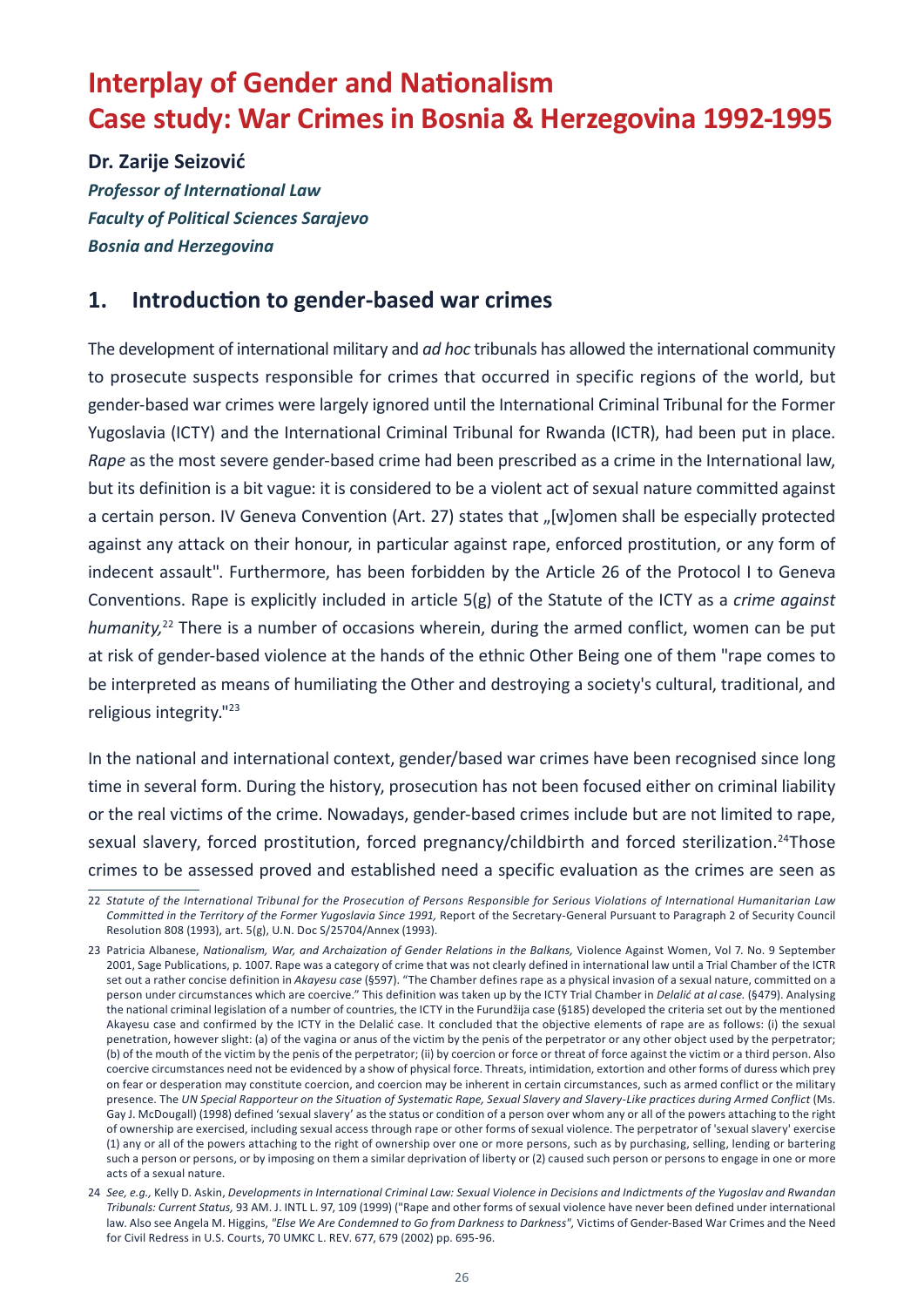# <span id="page-27-0"></span>**Interplay of Gender and Nationalism Case study: War Crimes in Bosnia & Herzegovina 1992-1995**

**Dr. Zarije Seizović**

*Professor of International Law Faculty of Political Sciences Sarajevo Bosnia and Herzegovina*

#### **1. Introduction to gender-based war crimes**

The development of international military and *ad hoc* tribunals has allowed the international community to prosecute suspects responsible for crimes that occurred in specific regions of the world, but gender-based war crimes were largely ignored until the International Criminal Tribunal for the Former Yugoslavia (ICTY) and the International Criminal Tribunal for Rwanda (ICTR), had been put in place. *Rape* as the most severe gender-based crime had been prescribed as a crime in the International law, but its definition is a bit vague: it is considered to be a violent act of sexual nature committed against a certain person. IV Geneva Convention (Art. 27) states that "[w]omen shall be especially protected against any attack on their honour, in particular against rape, enforced prostitution, or any form of indecent assault". Furthermore, has been forbidden by the Article 26 of the Protocol I to Geneva Conventions. Rape is explicitly included in article 5(g) of the Statute of the ICTY as a *crime against humanity,*22 There is a number of occasions wherein, during the armed conflict, women can be put at risk of gender-based violence at the hands of the ethnic Other Being one of them "rape comes to be interpreted as means of humiliating the Other and destroying a society's cultural, traditional, and religious integrity."23

In the national and international context, gender/based war crimes have been recognised since long time in several form. During the history, prosecution has not been focused either on criminal liability or the real victims of the crime. Nowadays, gender-based crimes include but are not limited to rape, sexual slavery, forced prostitution, forced pregnancy/childbirth and forced sterilization.<sup>24</sup>Those crimes to be assessed proved and established need a specific evaluation as the crimes are seen as

<sup>22</sup> *Statute of the International Tribunal for the Prosecution of Persons Responsible for Serious Violations of International Humanitarian Law Committed in the Territory of the Former Yugoslavia Since 1991,* Report of the Secretary-General Pursuant to Paragraph 2 of Security Council Resolution 808 (1993), art. 5(g), U.N. Doc S/25704/Annex (1993).

<sup>23</sup> Patricia Albanese, *Nationalism, War, and Archaization of Gender Relations in the Balkans,* Violence Against Women, Vol 7. No. 9 September 2001, Sage Publications, p. 1007. Rape was a category of crime that was not clearly defined in international law until a Trial Chamber of the ICTR set out a rather concise definition in *Akayesu case* (§597). "The Chamber defines rape as a physical invasion of a sexual nature, committed on a person under circumstances which are coercive." This definition was taken up by the ICTY Trial Chamber in *Delalić at al case.* (§479). Analysing the national criminal legislation of a number of countries, the ICTY in the Furundžija case (§185) developed the criteria set out by the mentioned Akayesu case and confirmed by the ICTY in the Delalić case. It concluded that the objective elements of rape are as follows: (i) the sexual penetration, however slight: (a) of the vagina or anus of the victim by the penis of the perpetrator or any other object used by the perpetrator; (b) of the mouth of the victim by the penis of the perpetrator; (ii) by coercion or force or threat of force against the victim or a third person. Also coercive circumstances need not be evidenced by a show of physical force. Threats, intimidation, extortion and other forms of duress which prey on fear or desperation may constitute coercion, and coercion may be inherent in certain circumstances, such as armed conflict or the military presence. The UN Special Rapporteur on the Situation of Systematic Rape, Sexual Slavery and Slavery-Like practices during Armed Conflict (Ms. Gay J. McDougall) (1998) defined 'sexual slavery' as the status or condition of a person over whom any or all of the powers attaching to the right of ownership are exercised, including sexual access through rape or other forms of sexual violence. The perpetrator of 'sexual slavery' exercise (1) any or all of the powers attaching to the right of ownership over one or more persons, such as by purchasing, selling, lending or bartering such a person or persons, or by imposing on them a similar deprivation of liberty or (2) caused such person or persons to engage in one or more acts of a sexual nature.

<sup>24</sup> *See, e.g.,* Kelly D. Askin, *Developments in International Criminal Law: Sexual Violence in Decisions and Indictments of the Yugoslav and Rwandan Tribunals: Current Status,* 93 AM. J. INTL L. 97, 109 (1999) ("Rape and other forms of sexual violence have never been defined under international law. Also see Angela M. Higgins, *"Else We Are Condemned to Go from Darkness to Darkness",* Victims of Gender-Based War Crimes and the Need for Civil Redress in U.S. Courts, 70 UMKC L. REV. 677, 679 (2002) pp. 695-96.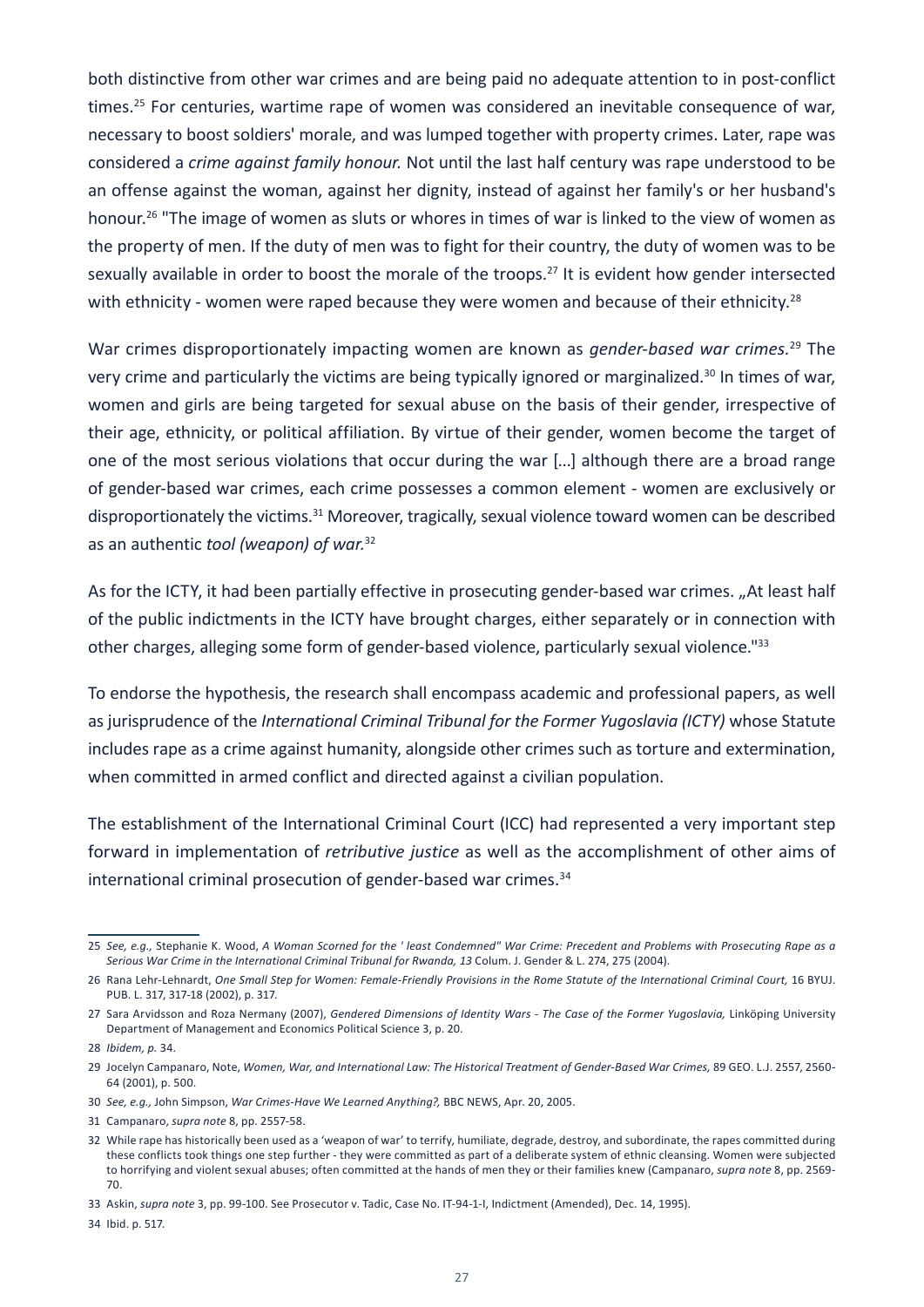both distinctive from other war crimes and are being paid no adequate attention to in post-conflict times.<sup>25</sup> For centuries, wartime rape of women was considered an inevitable consequence of war, necessary to boost soldiers' morale, and was lumped together with property crimes. Later, rape was considered a *crime against family honour.* Not until the last half century was rape understood to be an offense against the woman, against her dignity, instead of against her family's or her husband's honour.<sup>26</sup> "The image of women as sluts or whores in times of war is linked to the view of women as the property of men. If the duty of men was to fight for their country, the duty of women was to be sexually available in order to boost the morale of the troops.<sup>27</sup> It is evident how gender intersected with ethnicity - women were raped because they were women and because of their ethnicity.<sup>28</sup>

War crimes disproportionately impacting women are known as *gender-based war crimes.*29 The very crime and particularly the victims are being typically ignored or marginalized.<sup>30</sup> In times of war, women and girls are being targeted for sexual abuse on the basis of their gender, irrespective of their age, ethnicity, or political affiliation. By virtue of their gender, women become the target of one of the most serious violations that occur during the war [...] although there are a broad range of gender-based war crimes, each crime possesses a common element - women are exclusively or disproportionately the victims.<sup>31</sup> Moreover, tragically, sexual violence toward women can be described as an authentic *tool (weapon) of war.*<sup>32</sup>

As for the ICTY, it had been partially effective in prosecuting gender-based war crimes. "At least half of the public indictments in the ICTY have brought charges, either separately or in connection with other charges, alleging some form of gender-based violence, particularly sexual violence."33

To endorse the hypothesis, the research shall encompass academic and professional papers, as well as jurisprudence of the *International Criminal Tribunal for the Former Yugoslavia (ICTY)* whose Statute includes rape as a crime against humanity, alongside other crimes such as torture and extermination, when committed in armed conflict and directed against a civilian population.

The establishment of the International Criminal Court (ICC) had represented a very important step forward in implementation of *retributive justice* as well as the accomplishment of other aims of international criminal prosecution of gender-based war crimes.<sup>34</sup>

<sup>25</sup> *See, e.g.,* Stephanie K. Wood, *A Woman Scorned for the ' least Condemned" War Crime: Precedent and Problems with Prosecuting Rape as a Serious War Crime in the International Criminal Tribunal for Rwanda, 13* Colum. J. Gender & L. 274, 275 (2004).

<sup>26</sup> Rana Lehr-Lehnardt, *One Small Step for Women: Female-Friendly Provisions in the Rome Statute of the International Criminal Court,* 16 BYUJ. PUB. L. 317, 317-18 (2002), p. 317.

<sup>27</sup> Sara Arvidsson and Roza Nermany (2007), *Gendered Dimensions of Identity Wars - The Case of the Former Yugoslavia,* Linköping University Department of Management and Economics Political Science 3, p. 20.

<sup>28</sup> *Ibidem, p.* 34.

<sup>29</sup> Jocelyn Campanaro, Note, *Women, War, and International Law: The Historical Treatment of Gender-Based War Crimes,* 89 GEO. L.J. 2557, 2560- 64 (2001), p. 500.

<sup>30</sup> *See, e.g.,* John Simpson, *War Crimes-Have We Learned Anything?,* BBC NEWS, Apr. 20, 2005.

<sup>31</sup> Campanaro, *supra note* 8, pp. 2557-58.

<sup>32</sup> While rape has historically been used as a 'weapon of war' to terrify, humiliate, degrade, destroy, and subordinate, the rapes committed during these conflicts took things one step further - they were committed as part of a deliberate system of ethnic cleansing. Women were subjected to horrifying and violent sexual abuses; often committed at the hands of men they or their families knew (Campanaro, *supra note* 8, pp. 2569- 70.

<sup>33</sup> Askin, *supra note* 3, pp. 99-100. See Prosecutor v. Tadic, Case No. IT-94-1-I, Indictment (Amended), Dec. 14, 1995).

<sup>34</sup> Ibid. p. 517.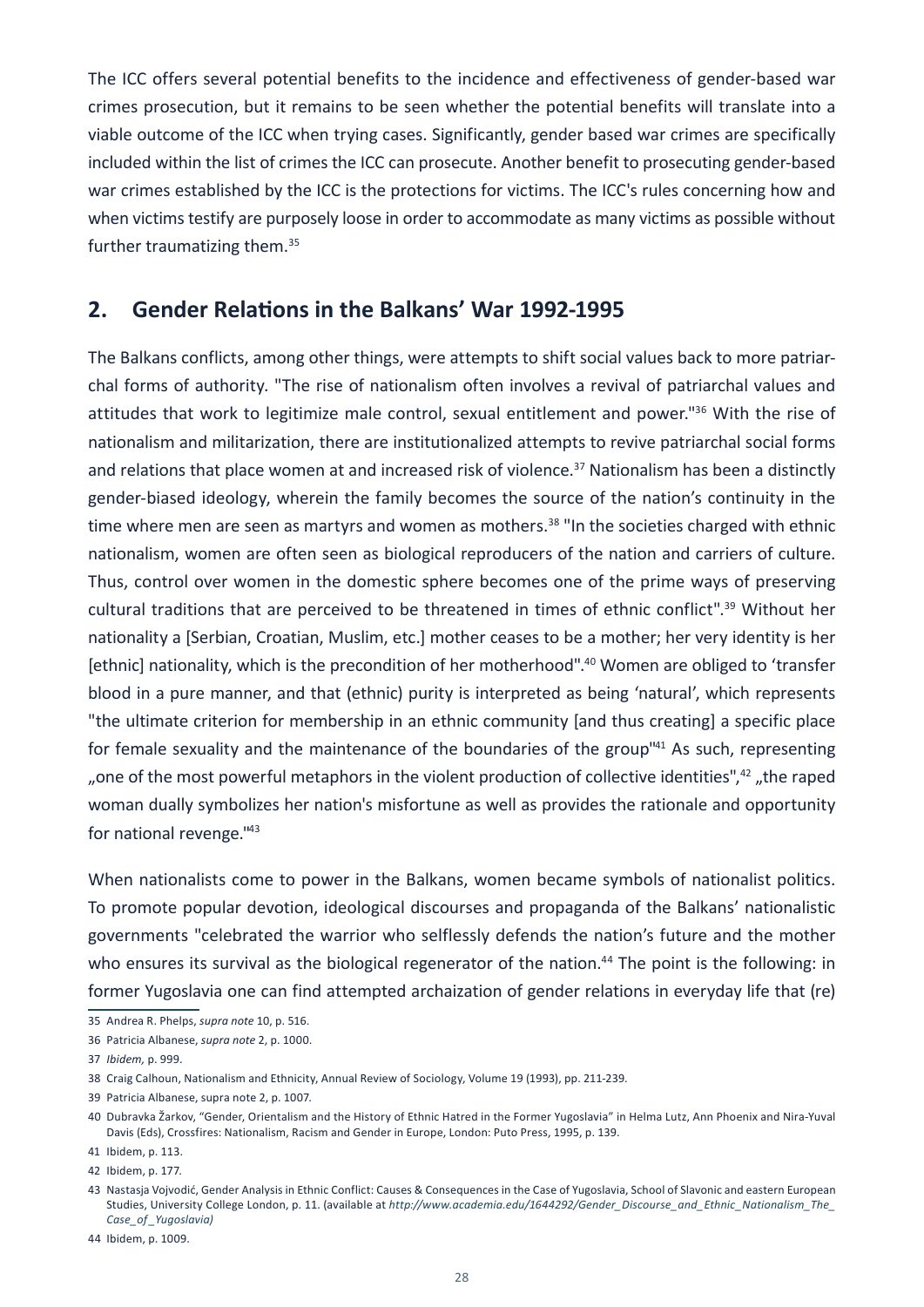The ICC offers several potential benefits to the incidence and effectiveness of gender-based war crimes prosecution, but it remains to be seen whether the potential benefits will translate into a viable outcome of the ICC when trying cases. Significantly, gender based war crimes are specifically included within the list of crimes the ICC can prosecute. Another benefit to prosecuting gender-based war crimes established by the ICC is the protections for victims. The ICC's rules concerning how and when victims testify are purposely loose in order to accommodate as many victims as possible without further traumatizing them.35

#### **2. Gender Relations in the Balkans' War 1992-1995**

The Balkans conflicts, among other things, were attempts to shift social values back to more patriarchal forms of authority. "The rise of nationalism often involves a revival of patriarchal values and attitudes that work to legitimize male control, sexual entitlement and power."36 With the rise of nationalism and militarization, there are institutionalized attempts to revive patriarchal social forms and relations that place women at and increased risk of violence.<sup>37</sup> Nationalism has been a distinctly gender-biased ideology, wherein the family becomes the source of the nation's continuity in the time where men are seen as martyrs and women as mothers.<sup>38</sup> "In the societies charged with ethnic nationalism, women are often seen as biological reproducers of the nation and carriers of culture. Thus, control over women in the domestic sphere becomes one of the prime ways of preserving cultural traditions that are perceived to be threatened in times of ethnic conflict".39 Without her nationality a [Serbian, Croatian, Muslim, etc.] mother ceases to be a mother; her very identity is her [ethnic] nationality, which is the precondition of her motherhood".<sup>40</sup> Women are obliged to 'transfer blood in a pure manner, and that (ethnic) purity is interpreted as being 'natural', which represents "the ultimate criterion for membership in an ethnic community [and thus creating] a specific place for female sexuality and the maintenance of the boundaries of the group<sup>141</sup> As such, representing ", one of the most powerful metaphors in the violent production of collective identities", $42$  "the raped woman dually symbolizes her nation's misfortune as well as provides the rationale and opportunity for national revenge."43

When nationalists come to power in the Balkans, women became symbols of nationalist politics. To promote popular devotion, ideological discourses and propaganda of the Balkans' nationalistic governments "celebrated the warrior who selflessly defends the nation's future and the mother who ensures its survival as the biological regenerator of the nation.<sup>44</sup> The point is the following: in former Yugoslavia one can find attempted archaization of gender relations in everyday life that (re)

<sup>35</sup> Andrea R. Phelps, *supra note* 10, p. 516.

<sup>36</sup> Patricia Albanese, *supra note* 2, p. 1000.

<sup>37</sup> *Ibidem,* p. 999.

<sup>38</sup> Craig Calhoun, Nationalism and Ethnicity, Annual Review of Sociology, Volume 19 (1993), pp. 211-239.

<sup>39</sup> Patricia Albanese, supra note 2, p. 1007.

<sup>40</sup> Dubravka Žarkov, "Gender, Orientalism and the History of Ethnic Hatred in the Former Yugoslavia" in Helma Lutz, Ann Phoenix and Nira-Yuval Davis (Eds), Crossfires: Nationalism, Racism and Gender in Europe, London: Puto Press, 1995, p. 139.

<sup>41</sup> Ibidem, p. 113.

<sup>42</sup> Ibidem, p. 177.

<sup>43</sup> Nastasja Vojvodić, Gender Analysis in Ethnic Conflict: Causes & Consequences in the Case of Yugoslavia, School of Slavonic and eastern European Studies, University College London, p. 11. (available at *[http://www.academia.edu/1644292/Gender\\_Discourse\\_and\\_Ethnic\\_Nationalism\\_The\\_](http://www.academia.edu/1644292/Gender_Discourse_and_Ethnic_Nationalism_The_Case_of_Yugoslavia)) [Case\\_of \\_Yugoslavia\)](http://www.academia.edu/1644292/Gender_Discourse_and_Ethnic_Nationalism_The_Case_of_Yugoslavia))*

<sup>44</sup> Ibidem, p. 1009.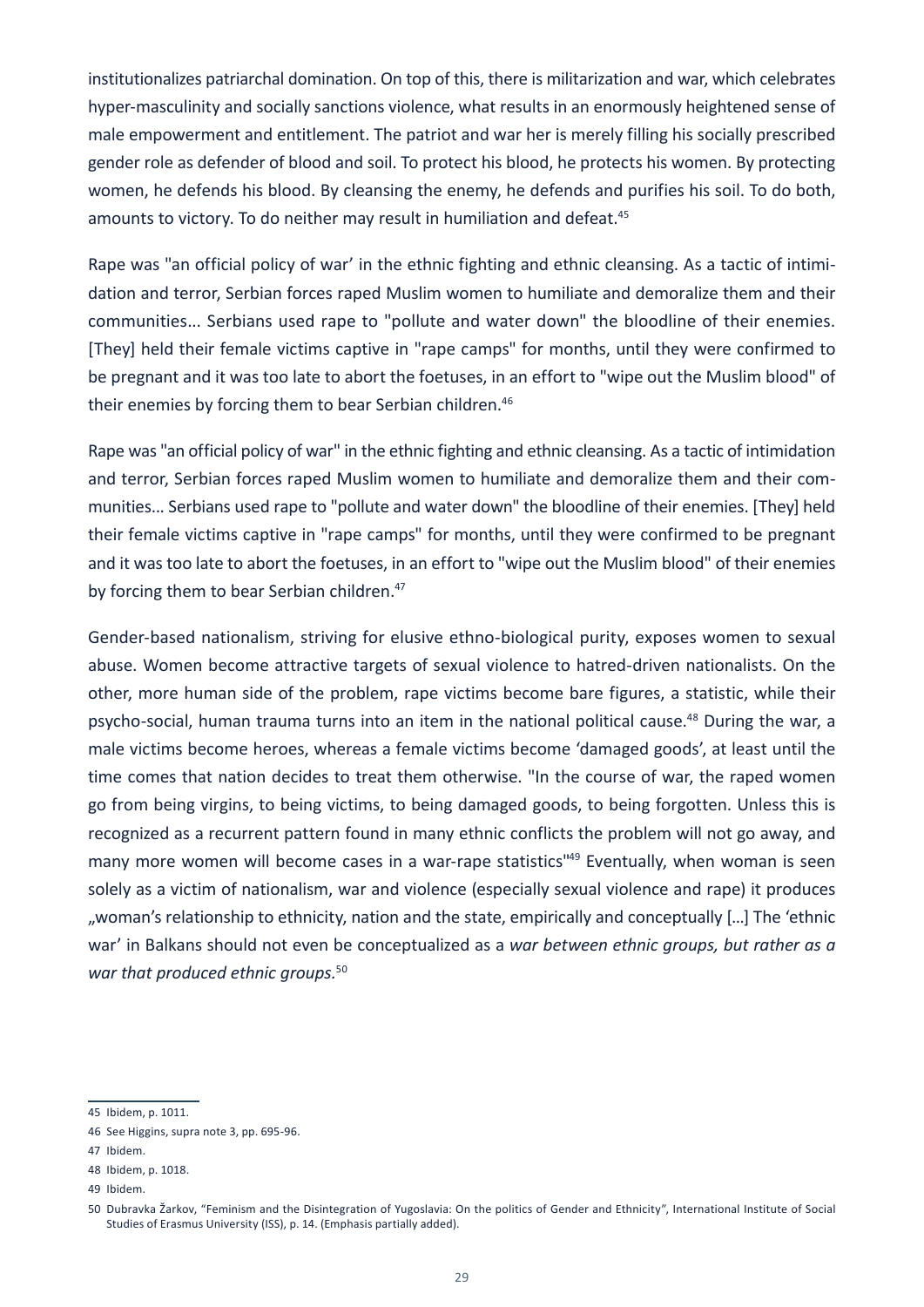institutionalizes patriarchal domination. On top of this, there is militarization and war, which celebrates hyper-masculinity and socially sanctions violence, what results in an enormously heightened sense of male empowerment and entitlement. The patriot and war her is merely filling his socially prescribed gender role as defender of blood and soil. To protect his blood, he protects his women. By protecting women, he defends his blood. By cleansing the enemy, he defends and purifies his soil. To do both, amounts to victory. To do neither may result in humiliation and defeat.<sup>45</sup>

Rape was "an official policy of war' in the ethnic fighting and ethnic cleansing. As a tactic of intimidation and terror, Serbian forces raped Muslim women to humiliate and demoralize them and their communities... Serbians used rape to "pollute and water down" the bloodline of their enemies. [They] held their female victims captive in "rape camps" for months, until they were confirmed to be pregnant and it was too late to abort the foetuses, in an effort to "wipe out the Muslim blood" of their enemies by forcing them to bear Serbian children.<sup>46</sup>

Rape was "an official policy of war" in the ethnic fighting and ethnic cleansing. As a tactic of intimidation and terror, Serbian forces raped Muslim women to humiliate and demoralize them and their communities... Serbians used rape to "pollute and water down" the bloodline of their enemies. [They] held their female victims captive in "rape camps" for months, until they were confirmed to be pregnant and it was too late to abort the foetuses, in an effort to "wipe out the Muslim blood" of their enemies by forcing them to bear Serbian children.<sup>47</sup>

Gender-based nationalism, striving for elusive ethno-biological purity, exposes women to sexual abuse. Women become attractive targets of sexual violence to hatred-driven nationalists. On the other, more human side of the problem, rape victims become bare figures, a statistic, while their psycho-social, human trauma turns into an item in the national political cause.<sup>48</sup> During the war, a male victims become heroes, whereas a female victims become 'damaged goods', at least until the time comes that nation decides to treat them otherwise. "In the course of war, the raped women go from being virgins, to being victims, to being damaged goods, to being forgotten. Unless this is recognized as a recurrent pattern found in many ethnic conflicts the problem will not go away, and many more women will become cases in a war-rape statistics"<sup>49</sup> Eventually, when woman is seen solely as a victim of nationalism, war and violence (especially sexual violence and rape) it produces ", woman's relationship to ethnicity, nation and the state, empirically and conceptually [...] The 'ethnic war' in Balkans should not even be conceptualized as a *war between ethnic groups, but rather as a war that produced ethnic groups.*<sup>50</sup>

<sup>45</sup> Ibidem, p. 1011.

<sup>46</sup> See Higgins, supra note 3, pp. 695-96.

<sup>47</sup> Ibidem.

<sup>48</sup> Ibidem, p. 1018.

<sup>49</sup> Ibidem.

<sup>50</sup> Dubravka Žarkov, "Feminism and the Disintegration of Yugoslavia: On the politics of Gender and Ethnicity", International Institute of Social Studies of Erasmus University (ISS), p. 14. (Emphasis partially added).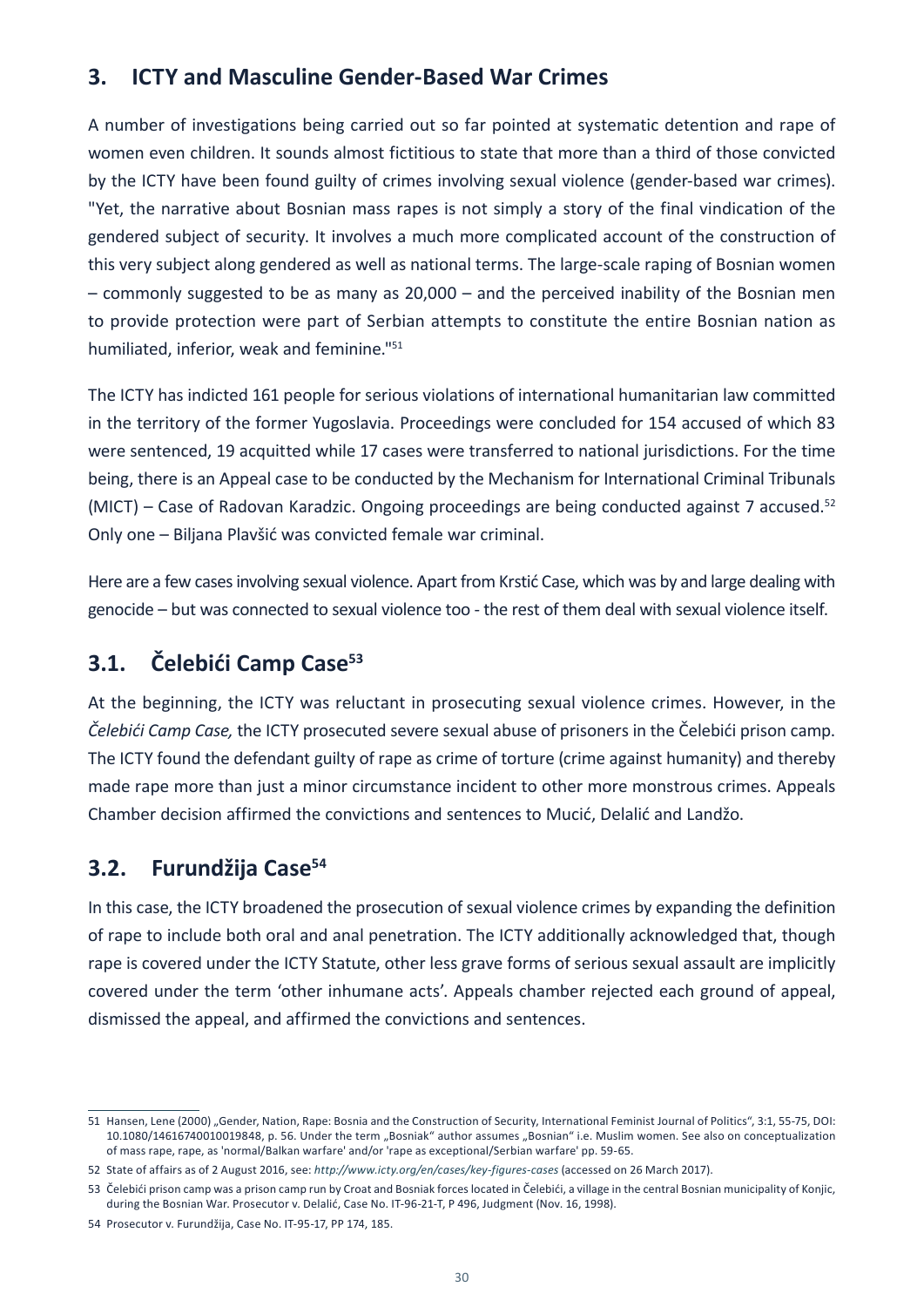### **3. ICTY and Masculine Gender-Based War Crimes**

A number of investigations being carried out so far pointed at systematic detention and rape of women even children. It sounds almost fictitious to state that more than a third of those convicted by the ICTY have been found guilty of crimes involving sexual violence (gender-based war crimes). "Yet, the narrative about Bosnian mass rapes is not simply a story of the final vindication of the gendered subject of security. It involves a much more complicated account of the construction of this very subject along gendered as well as national terms. The large-scale raping of Bosnian women – commonly suggested to be as many as 20,000 – and the perceived inability of the Bosnian men to provide protection were part of Serbian attempts to constitute the entire Bosnian nation as humiliated, inferior, weak and feminine."51

The ICTY has indicted 161 people for serious violations of international humanitarian law committed in the territory of the former Yugoslavia. Proceedings were concluded for 154 accused of which 83 were sentenced, 19 acquitted while 17 cases were transferred to national jurisdictions. For the time being, there is an Appeal case to be conducted by the Mechanism for International Criminal Tribunals (MICT) – Case of Radovan Karadzic. Ongoing proceedings are being conducted against 7 accused.<sup>52</sup> Only one – Biljana Plavšić was convicted female war criminal.

Here are a few cases involving sexual violence. Apart from Krstić Case, which was by and large dealing with genocide – but was connected to sexual violence too - the rest of them deal with sexual violence itself.

### **3.1. Čelebići Camp Case<sup>53</sup>**

At the beginning, the ICTY was reluctant in prosecuting sexual violence crimes. However, in the *Čelebići Camp Case,* the ICTY prosecuted severe sexual abuse of prisoners in the Čelebići prison camp. The ICTY found the defendant guilty of rape as crime of torture (crime against humanity) and thereby made rape more than just a minor circumstance incident to other more monstrous crimes. Appeals Chamber decision affirmed the convictions and sentences to Mucić, Delalić and Landžo.

### **3.2. Furundžija Case<sup>54</sup>**

In this case, the ICTY broadened the prosecution of sexual violence crimes by expanding the definition of rape to include both oral and anal penetration. The ICTY additionally acknowledged that, though rape is covered under the ICTY Statute, other less grave forms of serious sexual assault are implicitly covered under the term 'other inhumane acts'. Appeals chamber rejected each ground of appeal, dismissed the appeal, and affirmed the convictions and sentences.

<sup>51</sup> Hansen, Lene (2000) "Gender, Nation, Rape: Bosnia and the Construction of Security, International Feminist Journal of Politics", 3:1, 55-75, DOI: 10.1080/14616740010019848, p. 56. Under the term "Bosniak" author assumes "Bosnian" i.e. Muslim women. See also on conceptualization of mass rape, rape, as 'normal/Balkan warfare' and/or 'rape as exceptional/Serbian warfare' pp. 59-65.

<sup>52</sup> State of affairs as of 2 August 2016, see: *<http://www.icty.org/en/cases/key-figures-cases>* (accessed on 26 March 2017).

<sup>53</sup> Čelebići prison camp was a prison camp run by Croat and Bosniak forces located in Čelebići, a village in the central Bosnian municipality of Konjic, during the Bosnian War. Prosecutor v. Delalić, Case No. IT-96-21-T, P 496, Judgment (Nov. 16, 1998).

<sup>54</sup> Prosecutor v. Furundžija, Case No. IT-95-17, PP 174, 185.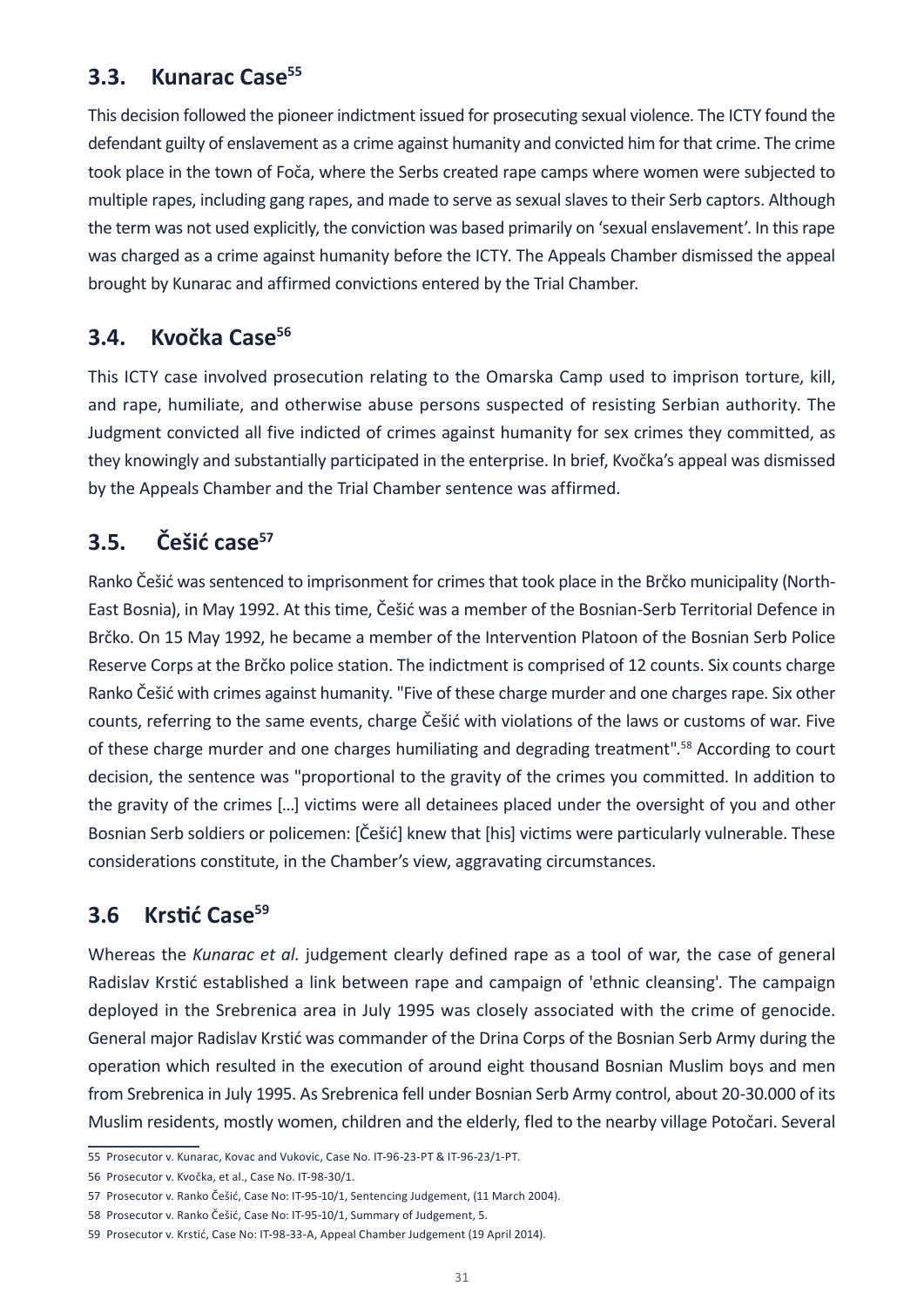### **3.3. Kunarac Case<sup>55</sup>**

This decision followed the pioneer indictment issued for prosecuting sexual violence. The ICTY found the defendant guilty of enslavement as a crime against humanity and convicted him for that crime. The crime took place in the town of Foča, where the Serbs created rape camps where women were subjected to multiple rapes, including gang rapes, and made to serve as sexual slaves to their Serb captors. Although the term was not used explicitly, the conviction was based primarily on 'sexual enslavement'. In this rape was charged as a crime against humanity before the ICTY. The Appeals Chamber dismissed the appeal brought by Kunarac and affirmed convictions entered by the Trial Chamber.

#### **3.4. Kvočka Case<sup>56</sup>**

This ICTY case involved prosecution relating to the Omarska Camp used to imprison torture, kill, and rape, humiliate, and otherwise abuse persons suspected of resisting Serbian authority. The Judgment convicted all five indicted of crimes against humanity for sex crimes they committed, as they knowingly and substantially participated in the enterprise. In brief, Kvočka's appeal was dismissed by the Appeals Chamber and the Trial Chamber sentence was affirmed.

# **3.5. Češić case<sup>57</sup>**

Ranko Češić was sentenced to imprisonment for crimes that took place in the Brčko municipality (North-East Bosnia), in May 1992. At this time, Češić was a member of the Bosnian-Serb Territorial Defence in Brčko. On 15 May 1992, he became a member of the Intervention Platoon of the Bosnian Serb Police Reserve Corps at the Brčko police station. The indictment is comprised of 12 counts. Six counts charge Ranko Češić with crimes against humanity. "Five of these charge murder and one charges rape. Six other counts, referring to the same events, charge Češić with violations of the laws or customs of war. Five of these charge murder and one charges humiliating and degrading treatment".58 According to court decision, the sentence was "proportional to the gravity of the crimes you committed. In addition to the gravity of the crimes […] victims were all detainees placed under the oversight of you and other Bosnian Serb soldiers or policemen: [Češić] knew that [his] victims were particularly vulnerable. These considerations constitute, in the Chamber's view, aggravating circumstances.

### **3.6 Krstić Case59**

Whereas the *Kunarac et al.* judgement clearly defined rape as a tool of war, the case of general Radislav Krstić established a link between rape and campaign of 'ethnic cleansing'. The campaign deployed in the Srebrenica area in July 1995 was closely associated with the crime of genocide. General major Radislav Krstić was commander of the Drina Corps of the Bosnian Serb Army during the operation which resulted in the execution of around eight thousand Bosnian Muslim boys and men from Srebrenica in July 1995. As Srebrenica fell under Bosnian Serb Army control, about 20-30.000 of its Muslim residents, mostly women, children and the elderly, fled to the nearby village Potočari. Several

<sup>55</sup> Prosecutor v. Kunarac, Kovac and Vukovic, Case No. IT-96-23-PT & IT-96-23/1-PT.

<sup>56</sup> Prosecutor v. Kvočka, et al., Case No. IT-98-30/1.

<sup>57</sup> Prosecutor v. Ranko Češić, Case No: IT-95-10/1, Sentencing Judgement, (11 March 2004).

<sup>58</sup> Prosecutor v. Ranko Češić, Case No: IT-95-10/1, Summary of Judgement, 5.

<sup>59</sup> Prosecutor v. Krstić, Case No: IT-98-33-A, Appeal Chamber Judgement (19 April 2014).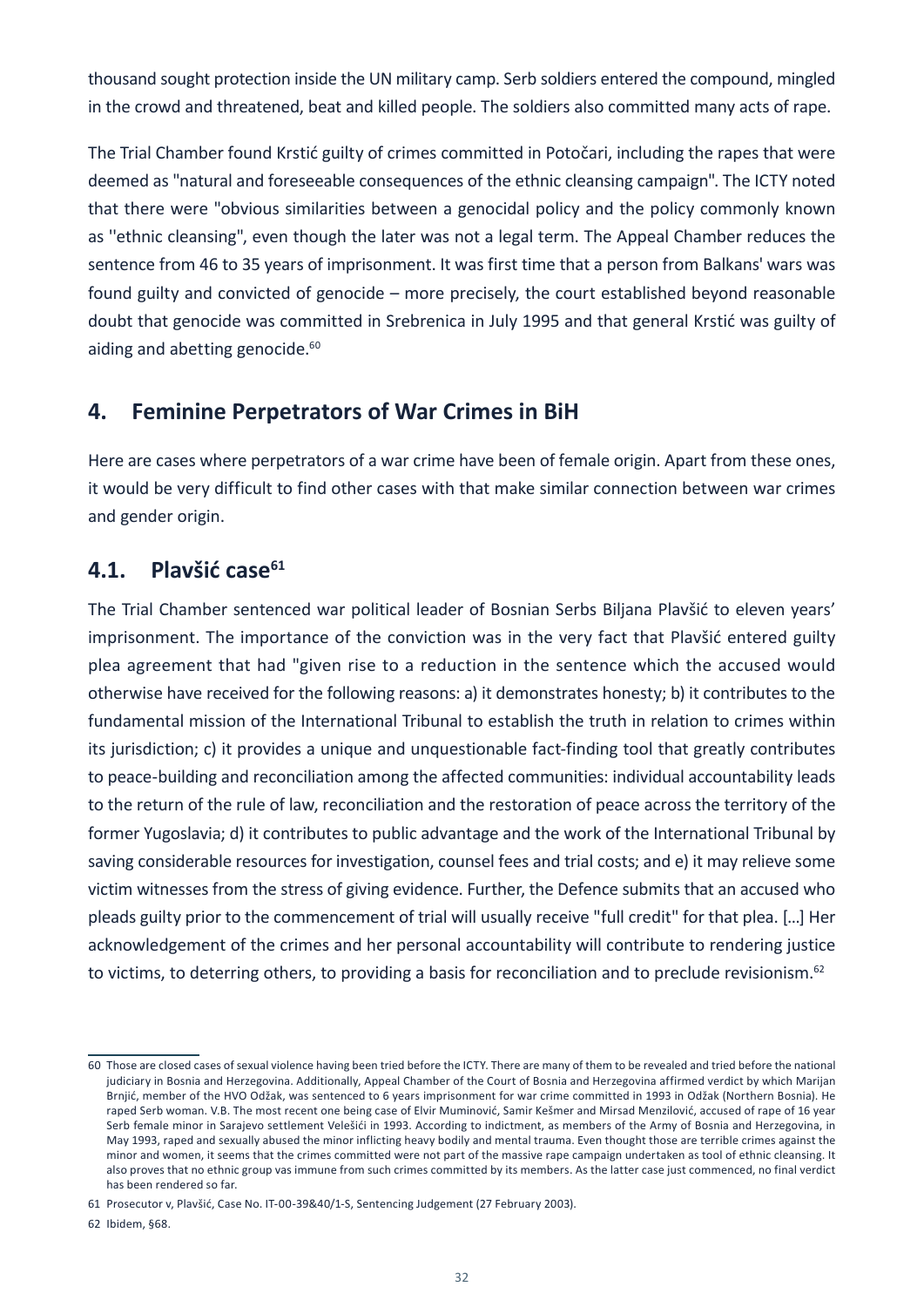thousand sought protection inside the UN military camp. Serb soldiers entered the compound, mingled in the crowd and threatened, beat and killed people. The soldiers also committed many acts of rape.

The Trial Chamber found Krstić guilty of crimes committed in Potočari, including the rapes that were deemed as "natural and foreseeable consequences of the ethnic cleansing campaign". The ICTY noted that there were "obvious similarities between a genocidal policy and the policy commonly known as ''ethnic cleansing", even though the later was not a legal term. The Appeal Chamber reduces the sentence from 46 to 35 years of imprisonment. It was first time that a person from Balkans' wars was found guilty and convicted of genocide – more precisely, the court established beyond reasonable doubt that genocide was committed in Srebrenica in July 1995 and that general Krstić was guilty of aiding and abetting genocide.<sup>60</sup>

#### **4. Feminine Perpetrators of War Crimes in BiH**

Here are cases where perpetrators of a war crime have been of female origin. Apart from these ones, it would be very difficult to find other cases with that make similar connection between war crimes and gender origin.

### **4.1. Plavšić case<sup>61</sup>**

The Trial Chamber sentenced war political leader of Bosnian Serbs Biljana Plavšić to eleven years' imprisonment. The importance of the conviction was in the very fact that Plavšić entered guilty plea agreement that had "given rise to a reduction in the sentence which the accused would otherwise have received for the following reasons: a) it demonstrates honesty; b) it contributes to the fundamental mission of the International Tribunal to establish the truth in relation to crimes within its jurisdiction; c) it provides a unique and unquestionable fact-finding tool that greatly contributes to peace-building and reconciliation among the affected communities: individual accountability leads to the return of the rule of law, reconciliation and the restoration of peace across the territory of the former Yugoslavia; d) it contributes to public advantage and the work of the International Tribunal by saving considerable resources for investigation, counsel fees and trial costs; and e) it may relieve some victim witnesses from the stress of giving evidence. Further, the Defence submits that an accused who pleads guilty prior to the commencement of trial will usually receive "full credit" for that plea. […] Her acknowledgement of the crimes and her personal accountability will contribute to rendering justice to victims, to deterring others, to providing a basis for reconciliation and to preclude revisionism.<sup>62</sup>

<sup>60</sup> Those are closed cases of sexual violence having been tried before the ICTY. There are many of them to be revealed and tried before the national judiciary in Bosnia and Herzegovina. Additionally, Appeal Chamber of the Court of Bosnia and Herzegovina affirmed verdict by which Marijan Brnjić, member of the HVO Odžak, was sentenced to 6 years imprisonment for war crime committed in 1993 in Odžak (Northern Bosnia). He raped Serb woman. V.B. The most recent one being case of Elvir Muminović, Samir Kešmer and Mirsad Menzilović, accused of rape of 16 year Serb female minor in Sarajevo settlement Velešići in 1993. According to indictment, as members of the Army of Bosnia and Herzegovina, in May 1993, raped and sexually abused the minor inflicting heavy bodily and mental trauma. Even thought those are terrible crimes against the minor and women, it seems that the crimes committed were not part of the massive rape campaign undertaken as tool of ethnic cleansing. It also proves that no ethnic group vas immune from such crimes committed by its members. As the latter case just commenced, no final verdict has been rendered so far.

<sup>61</sup> Prosecutor v, Plavšić, Case No. IT-00-39&40/1-S, Sentencing Judgement (27 February 2003).

<sup>62</sup> Ibidem, §68.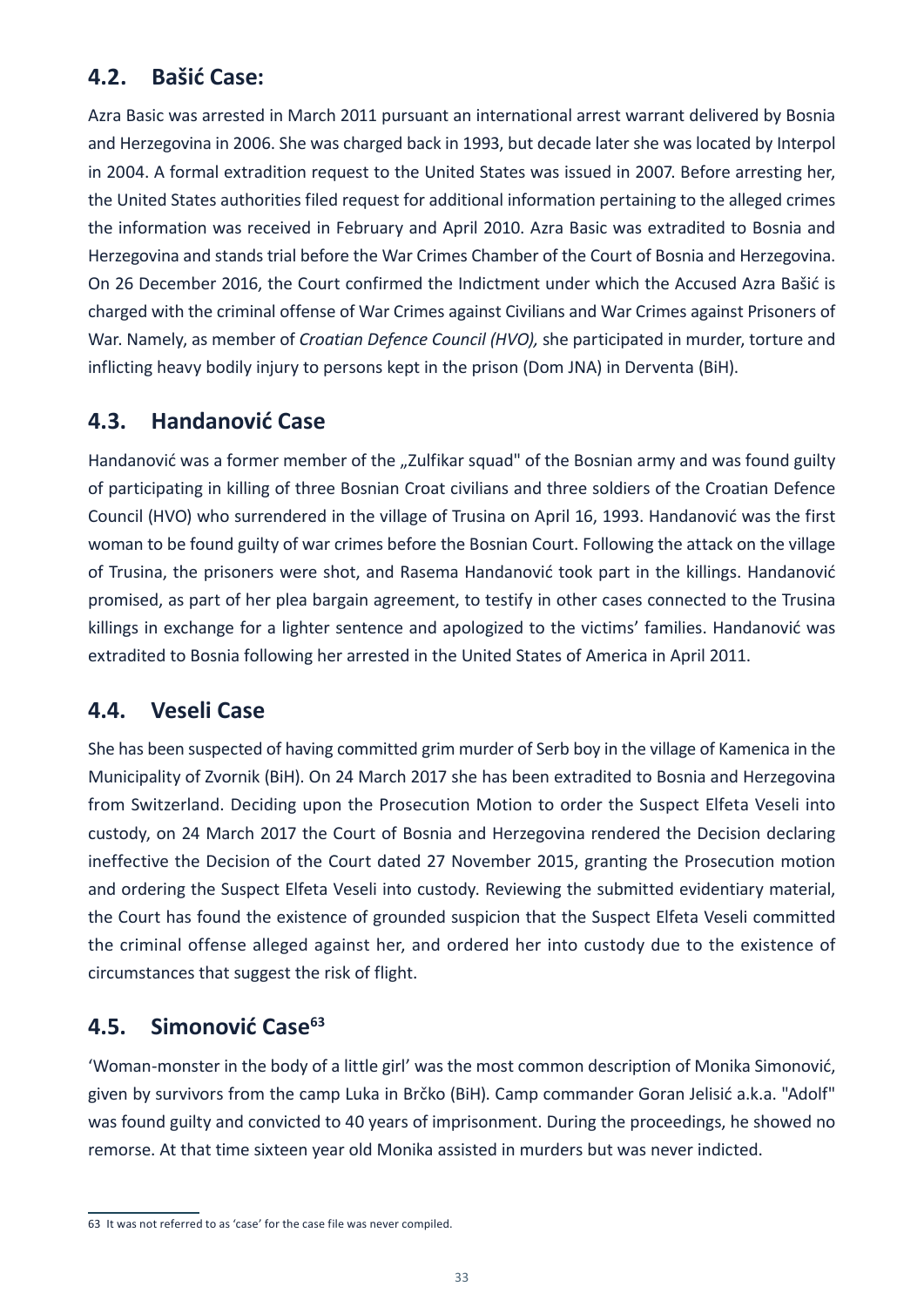## **4.2. Bašić Case:**

Azra Basic was arrested in March 2011 pursuant an international arrest warrant delivered by Bosnia and Herzegovina in 2006. She was charged back in 1993, but decade later she was located by Interpol in 2004. A formal extradition request to the United States was issued in 2007. Before arresting her, the United States authorities filed request for additional information pertaining to the alleged crimes the information was received in February and April 2010. Azra Basic was extradited to Bosnia and Herzegovina and stands trial before the War Crimes Chamber of the Court of Bosnia and Herzegovina. On 26 December 2016, the Court confirmed the Indictment under which the Accused Azra Bašić is charged with the criminal offense of War Crimes against Civilians and War Crimes against Prisoners of War. Namely, as member of *Croatian Defence Council (HVO),* she participated in murder, torture and inflicting heavy bodily injury to persons kept in the prison (Dom JNA) in Derventa (BiH).

#### **4.3. Handanović Case**

Handanović was a former member of the "Zulfikar squad" of the Bosnian army and was found guilty of participating in killing of three Bosnian Croat civilians and three soldiers of the Croatian Defence Council (HVO) who surrendered in the village of Trusina on April 16, 1993. Handanović was the first woman to be found guilty of war crimes before the Bosnian Court. Following the attack on the village of Trusina, the prisoners were shot, and Rasema Handanović took part in the killings. Handanović promised, as part of her plea bargain agreement, to testify in other cases connected to the Trusina killings in exchange for a lighter sentence and apologized to the victims' families. Handanović was extradited to Bosnia following her arrested in the United States of America in April 2011.

#### **4.4. Veseli Case**

She has been suspected of having committed grim murder of Serb boy in the village of Kamenica in the Municipality of Zvornik (BiH). On 24 March 2017 she has been extradited to Bosnia and Herzegovina from Switzerland. Deciding upon the Prosecution Motion to order the Suspect Elfeta Veseli into custody, on 24 March 2017 the Court of Bosnia and Herzegovina rendered the Decision declaring ineffective the Decision of the Court dated 27 November 2015, granting the Prosecution motion and ordering the Suspect Elfeta Veseli into custody. Reviewing the submitted evidentiary material, the Court has found the existence of grounded suspicion that the Suspect Elfeta Veseli committed the criminal offense alleged against her, and ordered her into custody due to the existence of circumstances that suggest the risk of flight.

#### **4.5. Simonović Case<sup>63</sup>**

'Woman-monster in the body of a little girl' was the most common description of Monika Simonović, given by survivors from the camp Luka in Brčko (BiH). Camp commander Goran Jelisić a.k.a. "Adolf" was found guilty and convicted to 40 years of imprisonment. During the proceedings, he showed no remorse. At that time sixteen year old Monika assisted in murders but was never indicted.

<sup>63</sup> It was not referred to as 'case' for the case file was never compiled.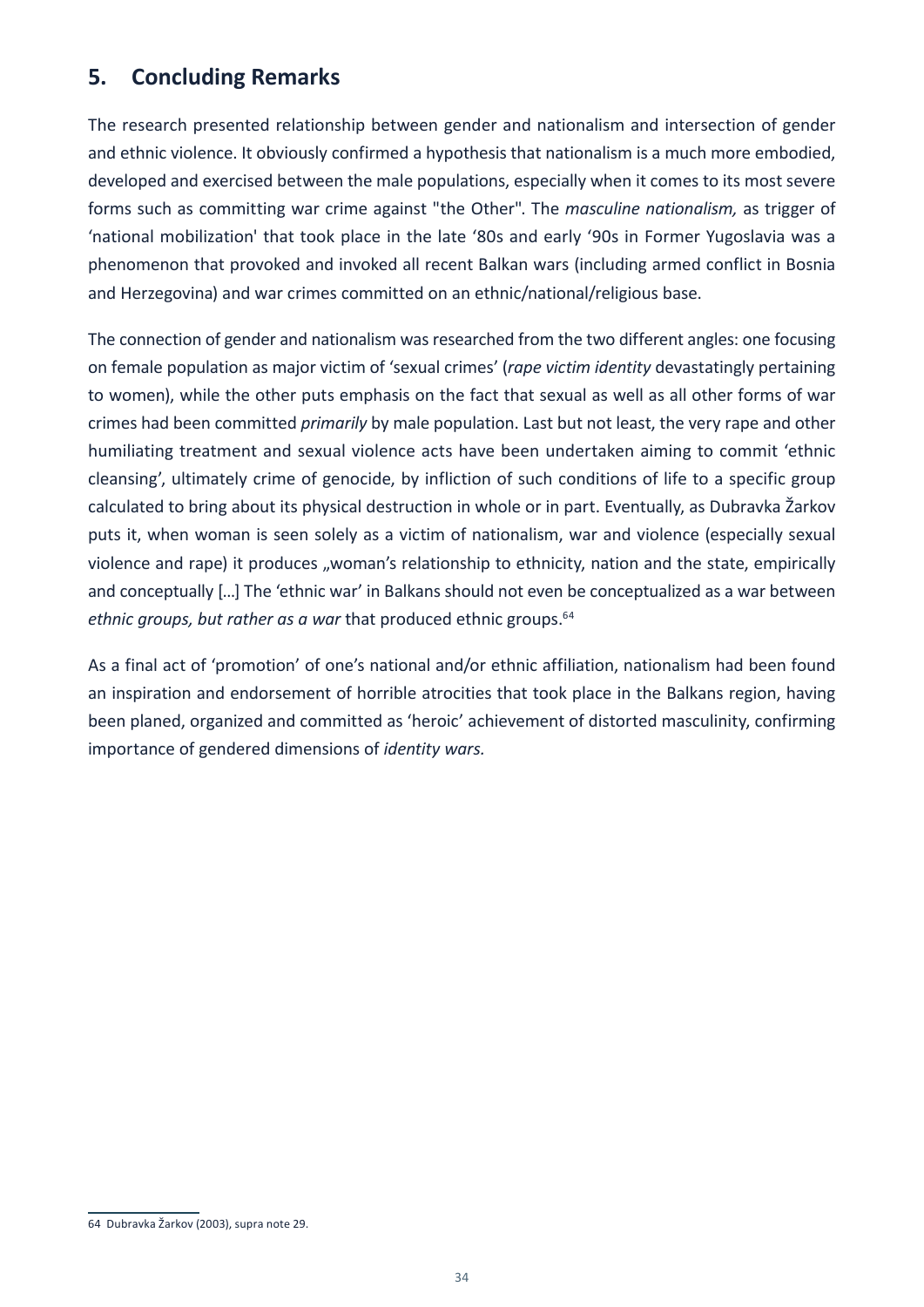### **5. Concluding Remarks**

The research presented relationship between gender and nationalism and intersection of gender and ethnic violence. It obviously confirmed a hypothesis that nationalism is a much more embodied, developed and exercised between the male populations, especially when it comes to its most severe forms such as committing war crime against "the Other". The *masculine nationalism,* as trigger of 'national mobilization' that took place in the late '80s and early '90s in Former Yugoslavia was a phenomenon that provoked and invoked all recent Balkan wars (including armed conflict in Bosnia and Herzegovina) and war crimes committed on an ethnic/national/religious base.

The connection of gender and nationalism was researched from the two different angles: one focusing on female population as major victim of 'sexual crimes' (*rape victim identity* devastatingly pertaining to women), while the other puts emphasis on the fact that sexual as well as all other forms of war crimes had been committed *primarily* by male population. Last but not least, the very rape and other humiliating treatment and sexual violence acts have been undertaken aiming to commit 'ethnic cleansing', ultimately crime of genocide, by infliction of such conditions of life to a specific group calculated to bring about its physical destruction in whole or in part. Eventually, as Dubravka Žarkov puts it, when woman is seen solely as a victim of nationalism, war and violence (especially sexual violence and rape) it produces "woman's relationship to ethnicity, nation and the state, empirically and conceptually […] The 'ethnic war' in Balkans should not even be conceptualized as a war between *ethnic groups, but rather as a war that produced ethnic groups.*<sup>64</sup>

As a final act of 'promotion' of one's national and/or ethnic affiliation, nationalism had been found an inspiration and endorsement of horrible atrocities that took place in the Balkans region, having been planed, organized and committed as 'heroic' achievement of distorted masculinity, confirming importance of gendered dimensions of *identity wars.*

<sup>64</sup> Dubravka Žarkov (2003), supra note 29.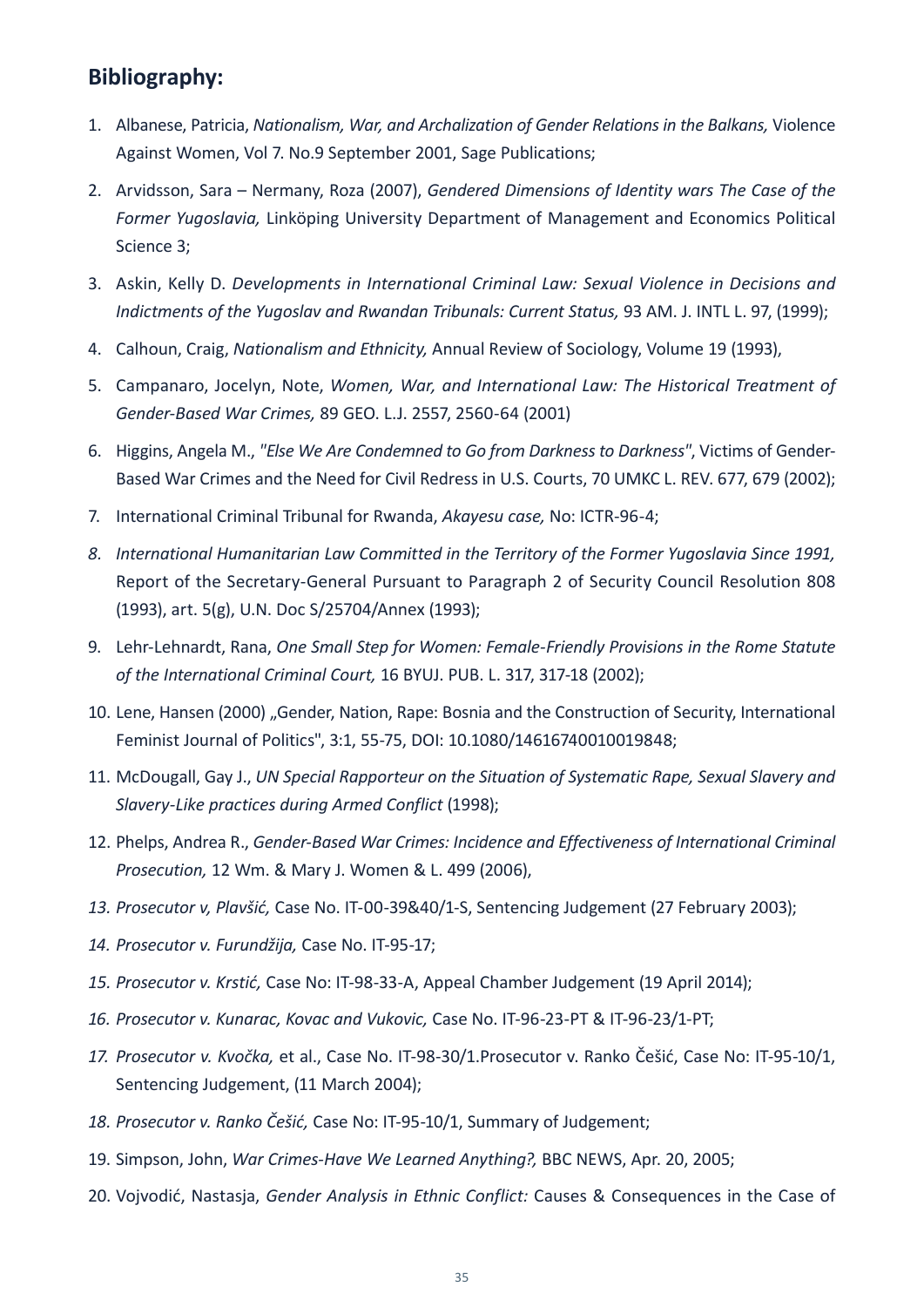### **Bibliography:**

- 1. Albanese, Patricia, *Nationalism, War, and Archalization of Gender Relations in the Balkans,* Violence Against Women, Vol 7. No.9 September 2001, Sage Publications;
- 2. Arvidsson, Sara Nermany, Roza (2007), *Gendered Dimensions of Identity wars The Case of the Former Yugoslavia,* Linköping University Department of Management and Economics Political Science 3;
- 3. Askin, Kelly D. *Developments in International Criminal Law: Sexual Violence in Decisions and Indictments of the Yugoslav and Rwandan Tribunals: Current Status,* 93 AM. J. INTL L. 97, (1999);
- 4. Calhoun, Craig, *Nationalism and Ethnicity,* Annual Review of Sociology, Volume 19 (1993),
- 5. Campanaro, Jocelyn, Note, *Women, War, and International Law: The Historical Treatment of Gender-Based War Crimes,* 89 GEO. L.J. 2557, 2560-64 (2001)
- 6. Higgins, Angela M., *"Else We Are Condemned to Go from Darkness to Darkness"*, Victims of Gender-Based War Crimes and the Need for Civil Redress in U.S. Courts, 70 UMKC L. REV. 677, 679 (2002);
- 7. International Criminal Tribunal for Rwanda, *Akayesu case,* No: ICTR-96-4;
- *8. International Humanitarian Law Committed in the Territory of the Former Yugoslavia Since 1991,*  Report of the Secretary-General Pursuant to Paragraph 2 of Security Council Resolution 808 (1993), art. 5(g), U.N. Doc S/25704/Annex (1993);
- 9. Lehr-Lehnardt, Rana, *One Small Step for Women: Female-Friendly Provisions in the Rome Statute of the International Criminal Court,* 16 BYUJ. PUB. L. 317, 317-18 (2002);
- 10. Lene, Hansen (2000) "Gender, Nation, Rape: Bosnia and the Construction of Security, International Feminist Journal of Politics", 3:1, 55-75, DOI: 10.1080/14616740010019848;
- 11. McDougall, Gay J., *UN Special Rapporteur on the Situation of Systematic Rape, Sexual Slavery and Slavery-Like practices during Armed Conflict* (1998);
- 12. Phelps, Andrea R., *Gender-Based War Crimes: Incidence and Effectiveness of International Criminal Prosecution,* 12 Wm. & Mary J. Women & L. 499 (2006),
- *13. Prosecutor v, Plavšić,* Case No. IT-00-39&40/1-S, Sentencing Judgement (27 February 2003);
- *14. Prosecutor v. Furundžija,* Case No. IT-95-17;
- *15. Prosecutor v. Krstić,* Case No: IT-98-33-A, Appeal Chamber Judgement (19 April 2014);
- *16. Prosecutor v. Kunarac, Kovac and Vukovic,* Case No. IT-96-23-PT & IT-96-23/1-PT;
- *17. Prosecutor v. Kvočka,* et al., Case No. IT-98-30/1.Prosecutor v. Ranko Češić, Case No: IT-95-10/1, Sentencing Judgement, (11 March 2004);
- *18. Prosecutor v. Ranko Češić,* Case No: IT-95-10/1, Summary of Judgement;
- 19. Simpson, John, *War Crimes-Have We Learned Anything?,* BBC NEWS, Apr. 20, 2005;
- 20. Vojvodić, Nastasja, *Gender Analysis in Ethnic Conflict:* Causes & Consequences in the Case of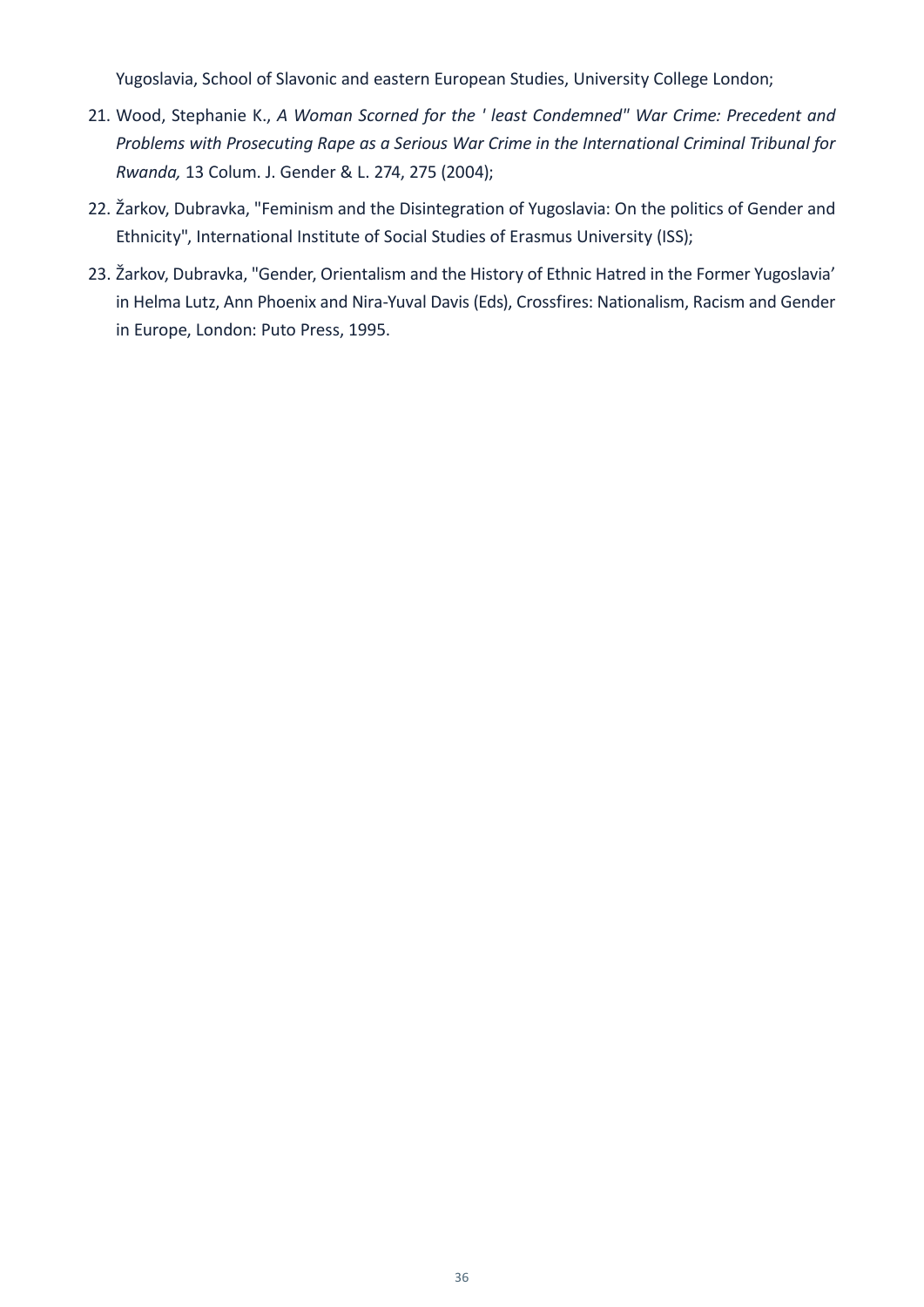Yugoslavia, School of Slavonic and eastern European Studies, University College London;

- 21. Wood, Stephanie K., *A Woman Scorned for the ' least Condemned" War Crime: Precedent and Problems with Prosecuting Rape as a Serious War Crime in the International Criminal Tribunal for Rwanda,* 13 Colum. J. Gender & L. 274, 275 (2004);
- 22. Žarkov, Dubravka, "Feminism and the Disintegration of Yugoslavia: On the politics of Gender and Ethnicity", International Institute of Social Studies of Erasmus University (ISS);
- 23. Žarkov, Dubravka, "Gender, Orientalism and the History of Ethnic Hatred in the Former Yugoslavia' in Helma Lutz, Ann Phoenix and Nira-Yuval Davis (Eds), Crossfires: Nationalism, Racism and Gender in Europe, London: Puto Press, 1995.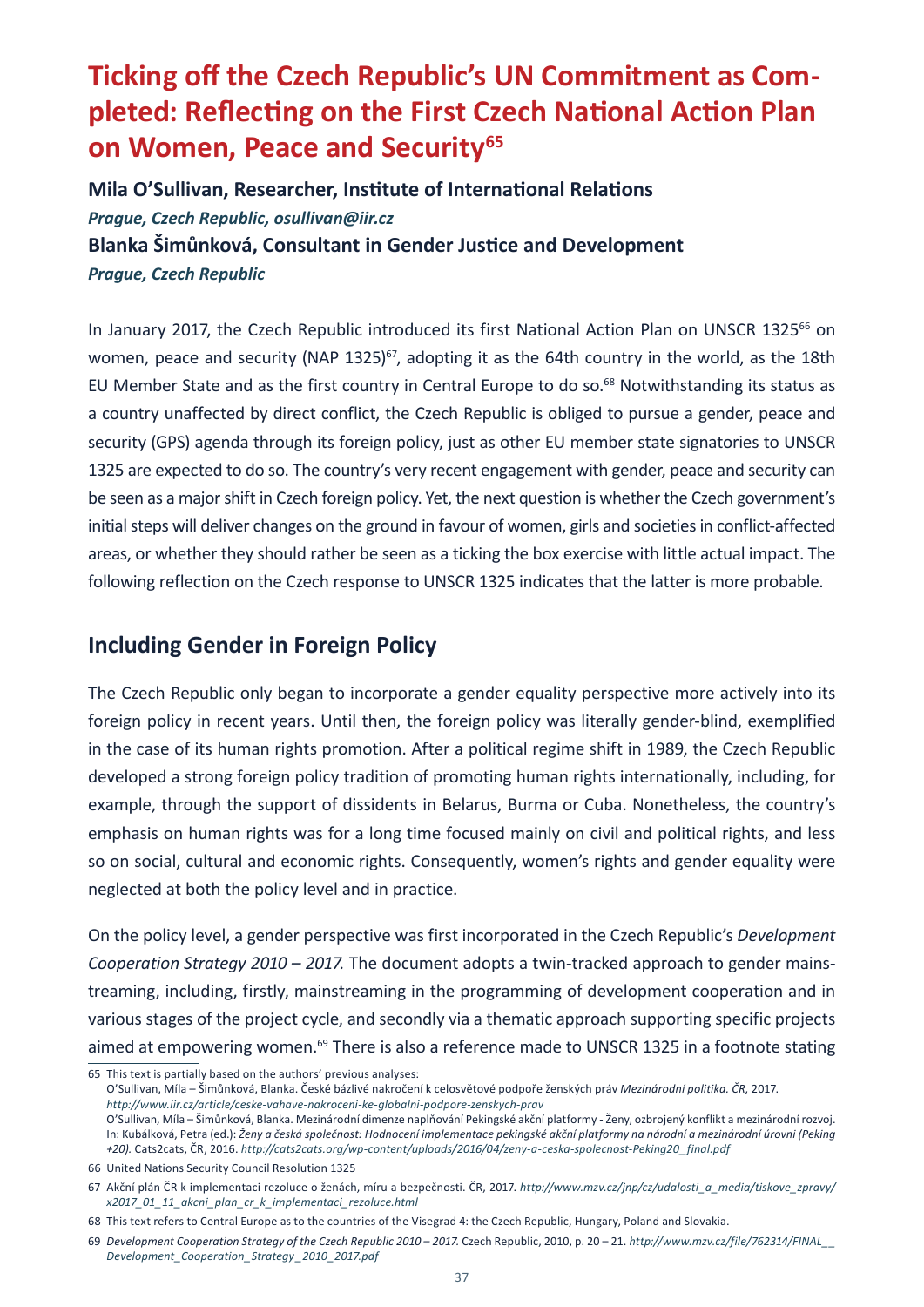# <span id="page-38-0"></span>**Ticking off the Czech Republic's UN Commitment as Completed: Reflecting on the First Czech National Action Plan on Women, Peace and Security<sup>65</sup>**

**Mila O'Sullivan, Researcher, Institute of International Relations** *Prague, Czech Republic, osullivan@iir.cz*  **Blanka Šimůnková, Consultant in Gender Justice and Development** *Prague, Czech Republic*

In January 2017, the Czech Republic introduced its first National Action Plan on UNSCR 1325<sup>66</sup> on women, peace and security (NAP 1325)<sup>67</sup>, adopting it as the 64th country in the world, as the 18th EU Member State and as the first country in Central Europe to do so.<sup>68</sup> Notwithstanding its status as a country unaffected by direct conflict, the Czech Republic is obliged to pursue a gender, peace and security (GPS) agenda through its foreign policy, just as other EU member state signatories to UNSCR 1325 are expected to do so. The country's very recent engagement with gender, peace and security can be seen as a major shift in Czech foreign policy. Yet, the next question is whether the Czech government's initial steps will deliver changes on the ground in favour of women, girls and societies in conflict-affected areas, or whether they should rather be seen as a ticking the box exercise with little actual impact. The following reflection on the Czech response to UNSCR 1325 indicates that the latter is more probable.

#### **Including Gender in Foreign Policy**

The Czech Republic only began to incorporate a gender equality perspective more actively into its foreign policy in recent years. Until then, the foreign policy was literally gender-blind, exemplified in the case of its human rights promotion. After a political regime shift in 1989, the Czech Republic developed a strong foreign policy tradition of promoting human rights internationally, including, for example, through the support of dissidents in Belarus, Burma or Cuba. Nonetheless, the country's emphasis on human rights was for a long time focused mainly on civil and political rights, and less so on social, cultural and economic rights. Consequently, women's rights and gender equality were neglected at both the policy level and in practice.

On the policy level, a gender perspective was first incorporated in the Czech Republic's *Development Cooperation Strategy 2010 – 2017.* The document adopts a twin-tracked approach to gender mainstreaming, including, firstly, mainstreaming in the programming of development cooperation and in various stages of the project cycle, and secondly via a thematic approach supporting specific projects aimed at empowering women.<sup>69</sup> There is also a reference made to UNSCR 1325 in a footnote stating

O'Sullivan, Míla – Šimůnková, Blanka. České bázlivé nakročení k celosvětové podpoře ženských práv *Mezinárodní politika. ČR,* 2017. *<http://www.iir.cz/article/ceske-vahave-nakroceni-ke-globalni-podpore-zenskych-prav>*

O'Sullivan, Míla – Šimůnková, Blanka. Mezinárodní dimenze naplňování Pekingské akční platformy - Ženy, ozbrojený konflikt a mezinárodní rozvoj. In: Kubálková, Petra (ed.): *Ženy a česká společnost: Hodnocení implementace pekingské akční platformy na národní a mezinárodní úrovni (Peking +20).* Cats2cats, ČR, 2016. *[http://cats2cats.org/wp-content/uploads/2016/04/zeny-a-ceska-spolecnost-Peking20\\_final.pdf](http://cats2cats.org/wp-content/uploads/2016/04/zeny-a-ceska-spolecnost-Peking20_final.pdf)*

<sup>65</sup> This text is partially based on the authors' previous analyses:

<sup>66</sup> United Nations Security Council Resolution 1325

<sup>67</sup> Akční plán ČR k implementaci rezoluce o ženách, míru a bezpečnosti. ČR, 2017. *[http://www.mzv.cz/jnp/cz/udalosti\\_a\\_media/tiskove\\_zpravy/](http://www.mzv.cz/jnp/cz/udalosti_a_media/tiskove_zpravy/x2017_01_11_akcni_plan_cr_k_implementaci_rezoluce.html) [x2017\\_01\\_11\\_akcni\\_plan\\_cr\\_k\\_implementaci\\_rezoluce.html](http://www.mzv.cz/jnp/cz/udalosti_a_media/tiskove_zpravy/x2017_01_11_akcni_plan_cr_k_implementaci_rezoluce.html)*

<sup>68</sup> This text refers to Central Europe as to the countries of the Visegrad 4: the Czech Republic, Hungary, Poland and Slovakia.

<sup>69</sup> *Development Cooperation Strategy of the Czech Republic 2010 – 2017.* Czech Republic, 2010, p. 20 – 21. *[http://www.mzv.cz/file/762314/FINAL\\_\\_](http://www.mzv.cz/file/762314/FINAL__Development_Cooperation_Strategy_2010_2017.pdf) [Development\\_Cooperation\\_Strategy \\_2010\\_2017.pdf](http://www.mzv.cz/file/762314/FINAL__Development_Cooperation_Strategy_2010_2017.pdf)*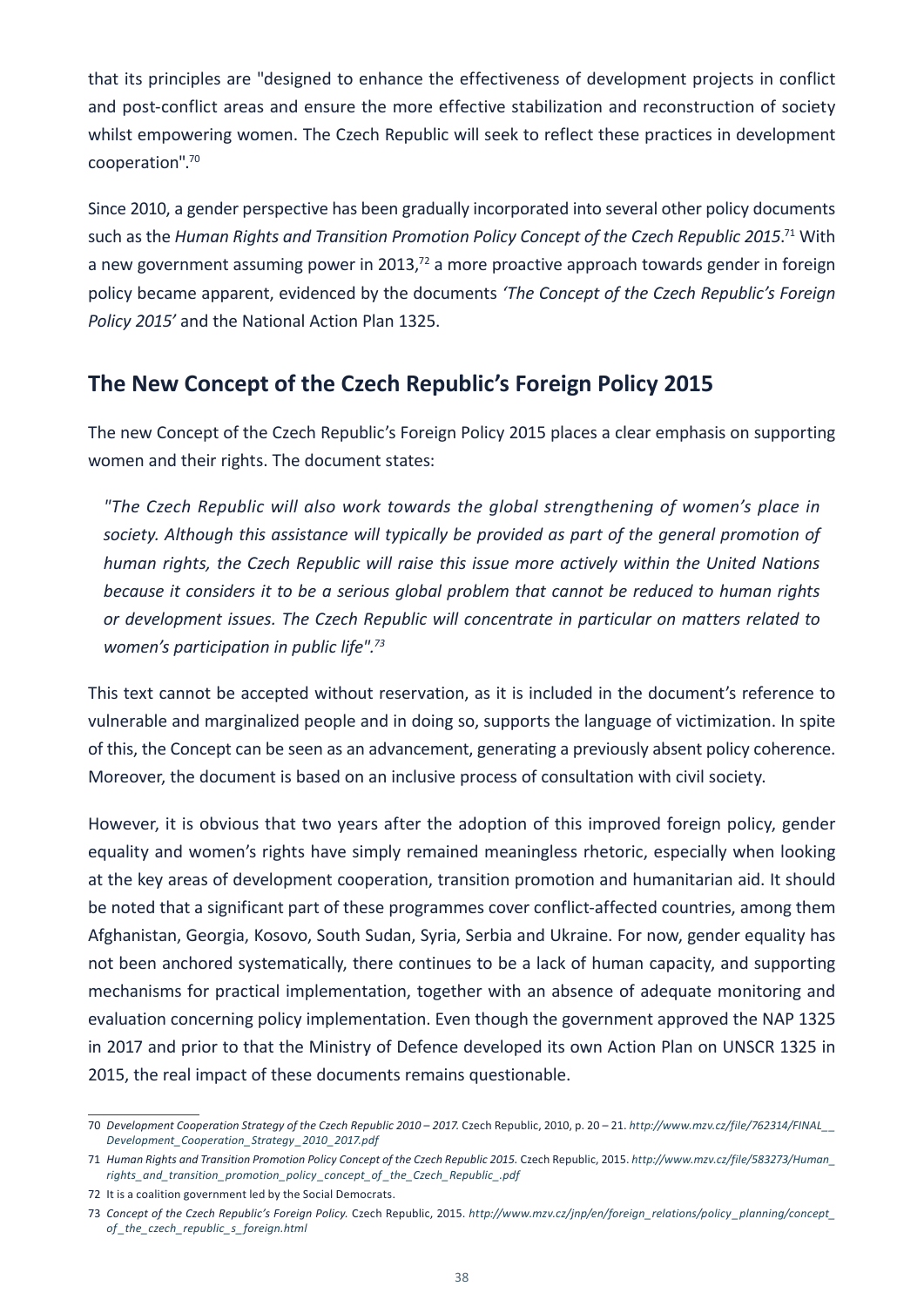that its principles are "designed to enhance the effectiveness of development projects in conflict and post-conflict areas and ensure the more effective stabilization and reconstruction of society whilst empowering women. The Czech Republic will seek to reflect these practices in development cooperation".70

Since 2010, a gender perspective has been gradually incorporated into several other policy documents such as the Human Rights and Transition Promotion Policy Concept of the Czech Republic 2015.<sup>71</sup> With a new government assuming power in 2013, $72$  a more proactive approach towards gender in foreign policy became apparent, evidenced by the documents *'The Concept of the Czech Republic's Foreign Policy 2015'* and the National Action Plan 1325.

#### **The New Concept of the Czech Republic's Foreign Policy 2015**

The new Concept of the Czech Republic's Foreign Policy 2015 places a clear emphasis on supporting women and their rights. The document states:

*"The Czech Republic will also work towards the global strengthening of women's place in*  society. Although this assistance will typically be provided as part of the general promotion of *human rights, the Czech Republic will raise this issue more actively within the United Nations because it considers it to be a serious global problem that cannot be reduced to human rights or development issues. The Czech Republic will concentrate in particular on matters related to women's participation in public life".73*

This text cannot be accepted without reservation, as it is included in the document's reference to vulnerable and marginalized people and in doing so, supports the language of victimization. In spite of this, the Concept can be seen as an advancement, generating a previously absent policy coherence. Moreover, the document is based on an inclusive process of consultation with civil society.

However, it is obvious that two years after the adoption of this improved foreign policy, gender equality and women's rights have simply remained meaningless rhetoric, especially when looking at the key areas of development cooperation, transition promotion and humanitarian aid. It should be noted that a significant part of these programmes cover conflict-affected countries, among them Afghanistan, Georgia, Kosovo, South Sudan, Syria, Serbia and Ukraine. For now, gender equality has not been anchored systematically, there continues to be a lack of human capacity, and supporting mechanisms for practical implementation, together with an absence of adequate monitoring and evaluation concerning policy implementation. Even though the government approved the NAP 1325 in 2017 and prior to that the Ministry of Defence developed its own Action Plan on UNSCR 1325 in 2015, the real impact of these documents remains questionable.

<sup>70</sup> *Development Cooperation Strategy of the Czech Republic 2010 – 2017.* Czech Republic, 2010, p. 20 – 21. *[http://www.mzv.cz/file/762314/FINAL\\_\\_](http://www.mzv.cz/file/762314/FINAL__Development_Cooperation_Strategy_2010_2017.pdf) [Development\\_Cooperation\\_Strategy \\_2010\\_2017.pdf](http://www.mzv.cz/file/762314/FINAL__Development_Cooperation_Strategy_2010_2017.pdf)*

<sup>71</sup> *Human Rights and Transition Promotion Policy Concept of the Czech Republic 2015.* Czech Republic, 2015. *[http://www.mzv.cz/file/583273/Human\\_](http://www.mzv.cz/file/583273/Human_rights_and_transition_promotion_policy_concept_of_the_Czech_Republic_.pdf) [rights\\_and\\_transition\\_promotion\\_policy \\_concept\\_of \\_the\\_Czech\\_Republic\\_.pdf](http://www.mzv.cz/file/583273/Human_rights_and_transition_promotion_policy_concept_of_the_Czech_Republic_.pdf)*

<sup>72</sup> It is a coalition government led by the Social Democrats.

<sup>73</sup> *Concept of the Czech Republic's Foreign Policy.* Czech Republic, 2015. *[http://www.mzv.cz/jnp/en/foreign\\_relations/policy \\_planning/concept\\_](http://www.mzv.cz/jnp/en/foreign_relations/policy_planning/concept_of_the_czech_republic_s_foreign.html) [of \\_the\\_czech\\_republic\\_s\\_foreign.html](http://www.mzv.cz/jnp/en/foreign_relations/policy_planning/concept_of_the_czech_republic_s_foreign.html)*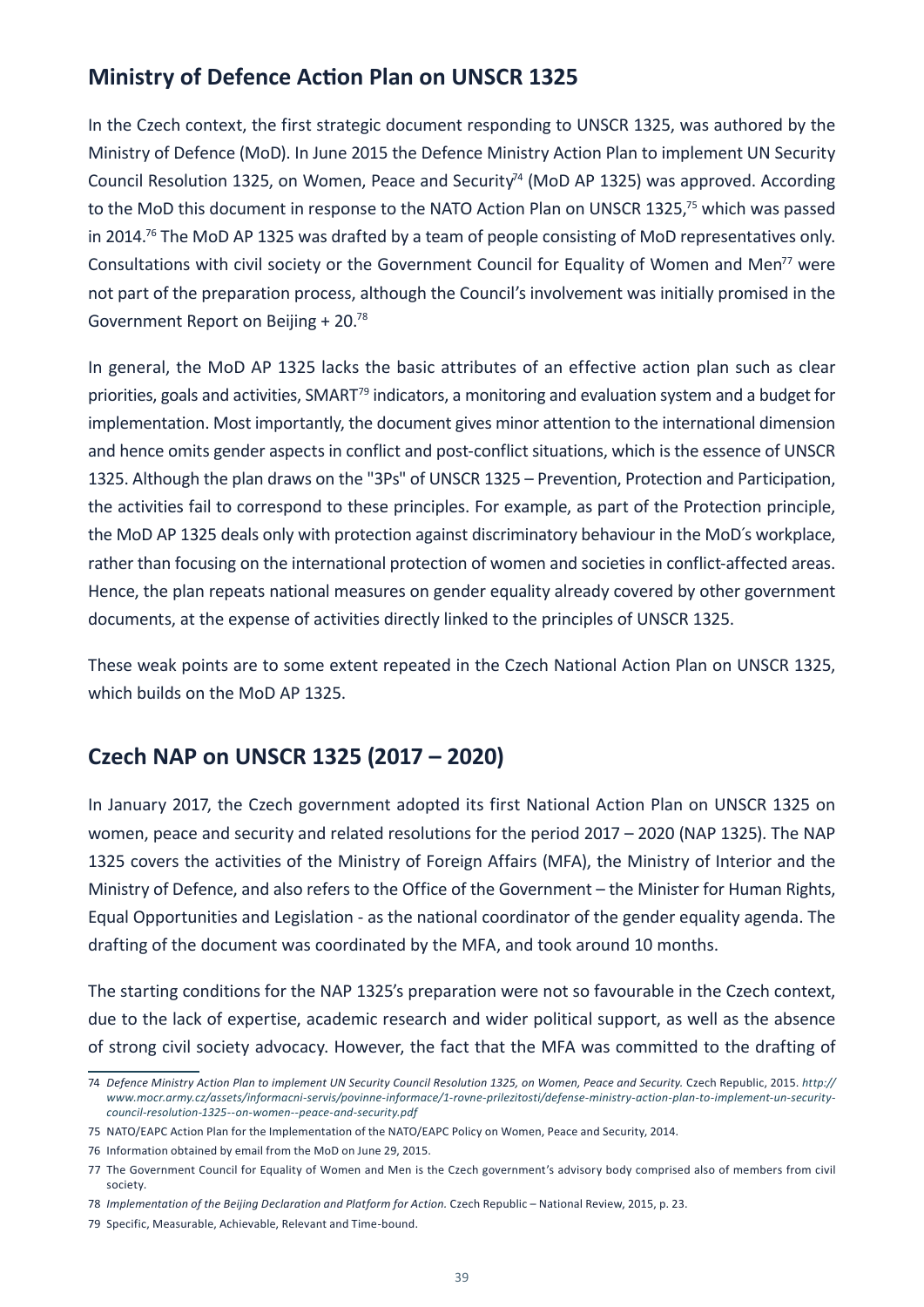### **Ministry of Defence Action Plan on UNSCR 1325**

In the Czech context, the first strategic document responding to UNSCR 1325, was authored by the Ministry of Defence (MoD). In June 2015 the Defence Ministry Action Plan to implement UN Security Council Resolution 1325, on Women, Peace and Security<sup>74</sup> (MoD AP 1325) was approved. According to the MoD this document in response to the NATO Action Plan on UNSCR 1325,75 which was passed in 2014.<sup>76</sup> The MoD AP 1325 was drafted by a team of people consisting of MoD representatives only. Consultations with civil society or the Government Council for Equality of Women and Men<sup>77</sup> were not part of the preparation process, although the Council's involvement was initially promised in the Government Report on Beijing + 20.78

In general, the MoD AP 1325 lacks the basic attributes of an effective action plan such as clear priorities, goals and activities, SMART<sup>79</sup> indicators, a monitoring and evaluation system and a budget for implementation. Most importantly, the document gives minor attention to the international dimension and hence omits gender aspects in conflict and post-conflict situations, which is the essence of UNSCR 1325. Although the plan draws on the "3Ps" of UNSCR 1325 – Prevention, Protection and Participation, the activities fail to correspond to these principles. For example, as part of the Protection principle, the MoD AP 1325 deals only with protection against discriminatory behaviour in the MoD´s workplace, rather than focusing on the international protection of women and societies in conflict-affected areas. Hence, the plan repeats national measures on gender equality already covered by other government documents, at the expense of activities directly linked to the principles of UNSCR 1325.

These weak points are to some extent repeated in the Czech National Action Plan on UNSCR 1325, which builds on the MoD AP 1325.

### **Czech NAP on UNSCR 1325 (2017 – 2020)**

In January 2017, the Czech government adopted its first National Action Plan on UNSCR 1325 on women, peace and security and related resolutions for the period 2017 – 2020 (NAP 1325). The NAP 1325 covers the activities of the Ministry of Foreign Affairs (MFA), the Ministry of Interior and the Ministry of Defence, and also refers to the Office of the Government – the Minister for Human Rights, Equal Opportunities and Legislation - as the national coordinator of the gender equality agenda. The drafting of the document was coordinated by the MFA, and took around 10 months.

The starting conditions for the NAP 1325's preparation were not so favourable in the Czech context, due to the lack of expertise, academic research and wider political support, as well as the absence of strong civil society advocacy. However, the fact that the MFA was committed to the drafting of

<sup>74</sup> *Defence Ministry Action Plan to implement UN Security Council Resolution 1325, on Women, Peace and Security.* Czech Republic, 2015. *[http://](http://www.mocr.army.cz/assets/informacni-servis/povinne-informace/1-rovne-prilezitosti/defense-ministry-action-plan-to-implement-un-security-council-resolution-1325--on-women--peace-and-security.pdf) [www.mocr.army.cz/assets/informacni-servis/povinne-informace/1-rovne-prilezitosti/defense-ministry-action-plan-to-implement-un-security](http://www.mocr.army.cz/assets/informacni-servis/povinne-informace/1-rovne-prilezitosti/defense-ministry-action-plan-to-implement-un-security-council-resolution-1325--on-women--peace-and-security.pdf)[council-resolution-1325--on-women--peace-and-security.pdf](http://www.mocr.army.cz/assets/informacni-servis/povinne-informace/1-rovne-prilezitosti/defense-ministry-action-plan-to-implement-un-security-council-resolution-1325--on-women--peace-and-security.pdf)*

<sup>75</sup> NATO/EAPC Action Plan for the Implementation of the NATO/EAPC Policy on Women, Peace and Security, 2014.

<sup>76</sup> Information obtained by email from the MoD on June 29, 2015.

<sup>77</sup> The Government Council for Equality of Women and Men is the Czech government's advisory body comprised also of members from civil society.

<sup>78</sup> *Implementation of the Beijing Declaration and Platform for Action.* Czech Republic – National Review, 2015, p. 23.

<sup>79</sup> Specific, Measurable, Achievable, Relevant and Time-bound.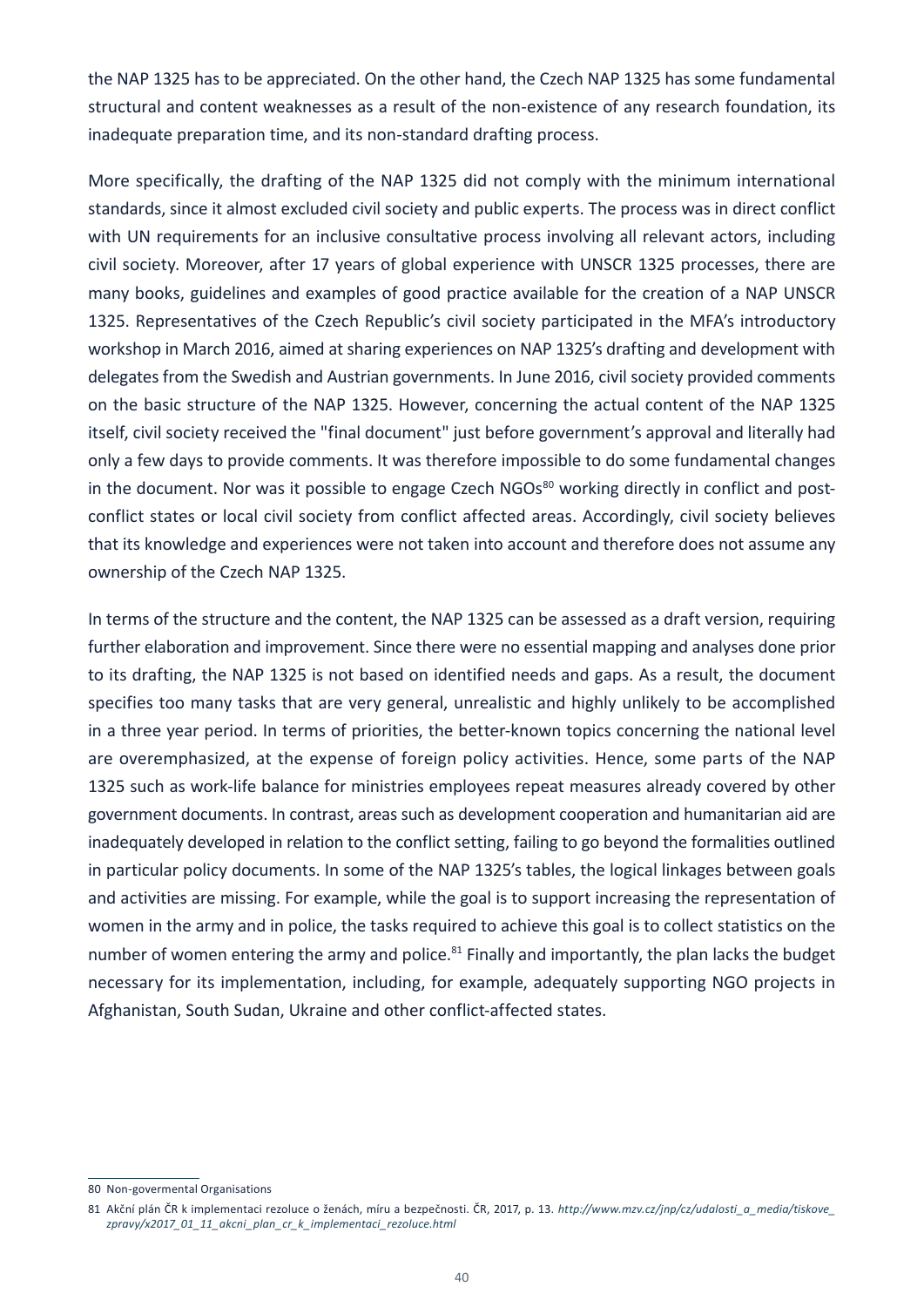the NAP 1325 has to be appreciated. On the other hand, the Czech NAP 1325 has some fundamental structural and content weaknesses as a result of the non-existence of any research foundation, its inadequate preparation time, and its non-standard drafting process.

More specifically, the drafting of the NAP 1325 did not comply with the minimum international standards, since it almost excluded civil society and public experts. The process was in direct conflict with UN requirements for an inclusive consultative process involving all relevant actors, including civil society. Moreover, after 17 years of global experience with UNSCR 1325 processes, there are many books, guidelines and examples of good practice available for the creation of a NAP UNSCR 1325. Representatives of the Czech Republic's civil society participated in the MFA's introductory workshop in March 2016, aimed at sharing experiences on NAP 1325's drafting and development with delegates from the Swedish and Austrian governments. In June 2016, civil society provided comments on the basic structure of the NAP 1325. However, concerning the actual content of the NAP 1325 itself, civil society received the "final document" just before government's approval and literally had only a few days to provide comments. It was therefore impossible to do some fundamental changes in the document. Nor was it possible to engage Czech NGOs<sup>80</sup> working directly in conflict and postconflict states or local civil society from conflict affected areas. Accordingly, civil society believes that its knowledge and experiences were not taken into account and therefore does not assume any ownership of the Czech NAP 1325.

In terms of the structure and the content, the NAP 1325 can be assessed as a draft version, requiring further elaboration and improvement. Since there were no essential mapping and analyses done prior to its drafting, the NAP 1325 is not based on identified needs and gaps. As a result, the document specifies too many tasks that are very general, unrealistic and highly unlikely to be accomplished in a three year period. In terms of priorities, the better-known topics concerning the national level are overemphasized, at the expense of foreign policy activities. Hence, some parts of the NAP 1325 such as work-life balance for ministries employees repeat measures already covered by other government documents. In contrast, areas such as development cooperation and humanitarian aid are inadequately developed in relation to the conflict setting, failing to go beyond the formalities outlined in particular policy documents. In some of the NAP 1325's tables, the logical linkages between goals and activities are missing. For example, while the goal is to support increasing the representation of women in the army and in police, the tasks required to achieve this goal is to collect statistics on the number of women entering the army and police.<sup>81</sup> Finally and importantly, the plan lacks the budget necessary for its implementation, including, for example, adequately supporting NGO projects in Afghanistan, South Sudan, Ukraine and other conflict-affected states.

<sup>80</sup> Non-govermental Organisations

<sup>81</sup> Akční plán ČR k implementaci rezoluce o ženách, míru a bezpečnosti. ČR, 2017, p. 13. *[http://www.mzv.cz/jnp/cz/udalosti\\_a\\_media/tiskove\\_](http://www.mzv.cz/jnp/cz/udalosti_a_media/tiskove_zpravy/x2017_01_11_akcni_plan_cr_k_implementaci_rezoluce.html) [zpravy/x2017\\_01\\_11\\_akcni\\_plan\\_cr\\_k\\_implementaci\\_rezoluce.html](http://www.mzv.cz/jnp/cz/udalosti_a_media/tiskove_zpravy/x2017_01_11_akcni_plan_cr_k_implementaci_rezoluce.html)*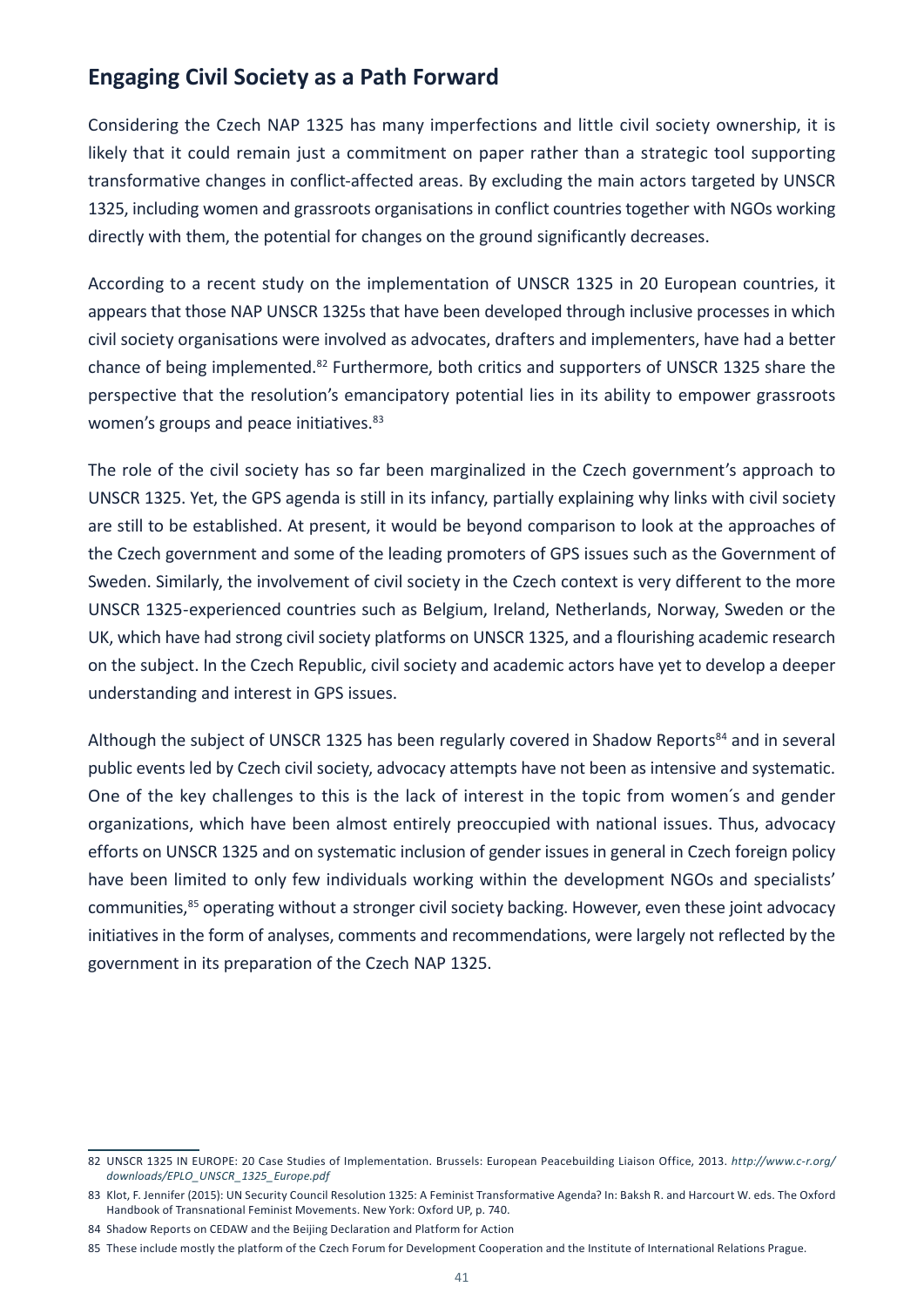### **Engaging Civil Society as a Path Forward**

Considering the Czech NAP 1325 has many imperfections and little civil society ownership, it is likely that it could remain just a commitment on paper rather than a strategic tool supporting transformative changes in conflict-affected areas. By excluding the main actors targeted by UNSCR 1325, including women and grassroots organisations in conflict countries together with NGOs working directly with them, the potential for changes on the ground significantly decreases.

According to a recent study on the implementation of UNSCR 1325 in 20 European countries, it appears that those NAP UNSCR 1325s that have been developed through inclusive processes in which civil society organisations were involved as advocates, drafters and implementers, have had a better chance of being implemented.82 Furthermore, both critics and supporters of UNSCR 1325 share the perspective that the resolution's emancipatory potential lies in its ability to empower grassroots women's groups and peace initiatives.<sup>83</sup>

The role of the civil society has so far been marginalized in the Czech government's approach to UNSCR 1325. Yet, the GPS agenda is still in its infancy, partially explaining why links with civil society are still to be established. At present, it would be beyond comparison to look at the approaches of the Czech government and some of the leading promoters of GPS issues such as the Government of Sweden. Similarly, the involvement of civil society in the Czech context is very different to the more UNSCR 1325-experienced countries such as Belgium, Ireland, Netherlands, Norway, Sweden or the UK, which have had strong civil society platforms on UNSCR 1325, and a flourishing academic research on the subject. In the Czech Republic, civil society and academic actors have yet to develop a deeper understanding and interest in GPS issues.

Although the subject of UNSCR 1325 has been regularly covered in Shadow Reports<sup>84</sup> and in several public events led by Czech civil society, advocacy attempts have not been as intensive and systematic. One of the key challenges to this is the lack of interest in the topic from women´s and gender organizations, which have been almost entirely preoccupied with national issues. Thus, advocacy efforts on UNSCR 1325 and on systematic inclusion of gender issues in general in Czech foreign policy have been limited to only few individuals working within the development NGOs and specialists' communities,<sup>85</sup> operating without a stronger civil society backing. However, even these joint advocacy initiatives in the form of analyses, comments and recommendations, were largely not reflected by the government in its preparation of the Czech NAP 1325.

<sup>82</sup> UNSCR 1325 IN EUROPE: 20 Case Studies of Implementation. Brussels: European Peacebuilding Liaison Office, 2013. *[http://www.c-r.org/](http://www.c-r.org/downloads/EPLO_UNSCR_1325_Europe.pdf) [downloads/EPLO\\_UNSCR\\_1325\\_Europe.pdf](http://www.c-r.org/downloads/EPLO_UNSCR_1325_Europe.pdf)*

<sup>83</sup> Klot, F. Jennifer (2015): UN Security Council Resolution 1325: A Feminist Transformative Agenda? In: Baksh R. and Harcourt W. eds. The Oxford Handbook of Transnational Feminist Movements. New York: Oxford UP, p. 740.

<sup>84</sup> Shadow Reports on CEDAW and the Beijing Declaration and Platform for Action

<sup>85</sup> These include mostly the platform of the Czech Forum for Development Cooperation and the Institute of International Relations Prague.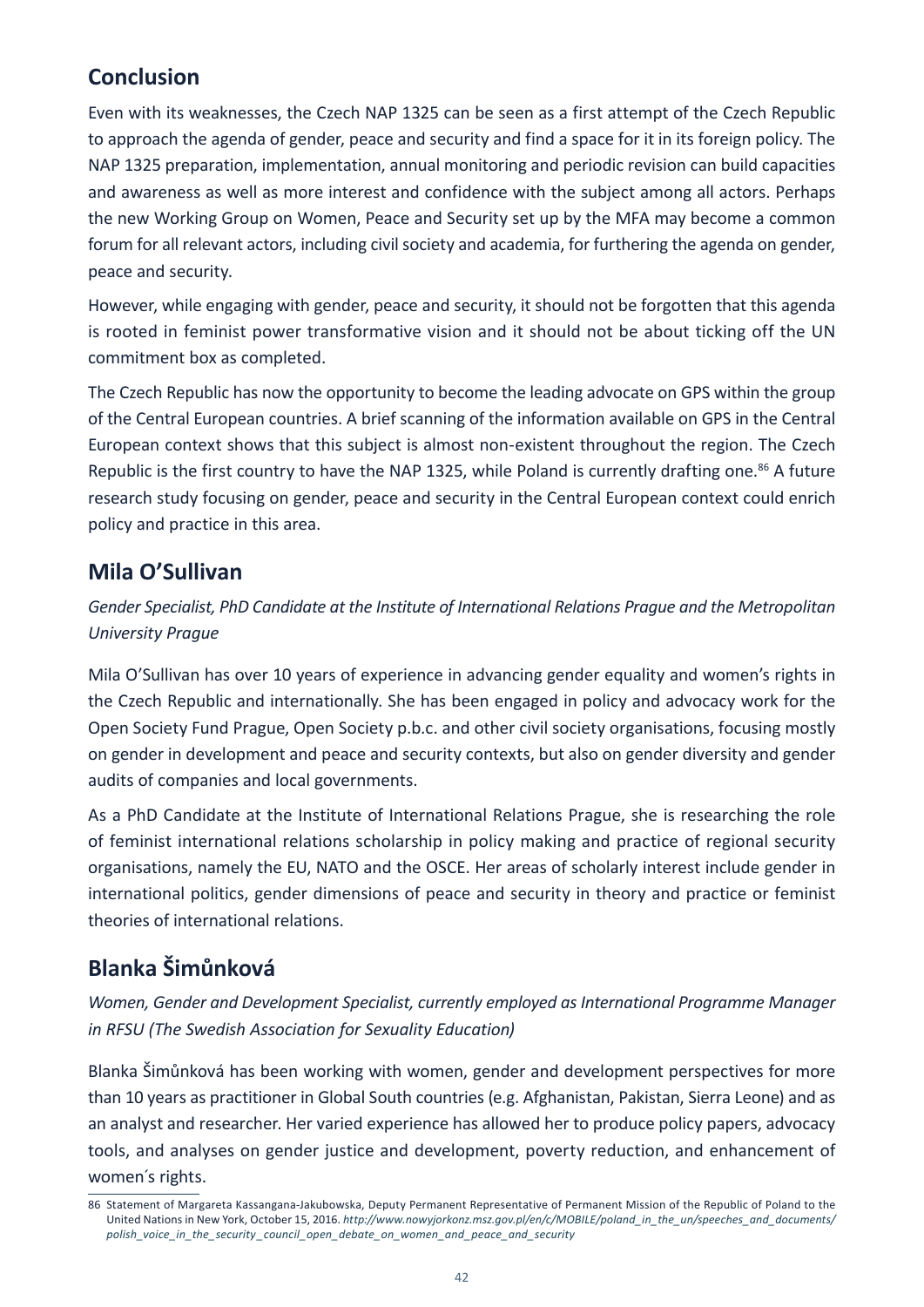# **Conclusion**

Even with its weaknesses, the Czech NAP 1325 can be seen as a first attempt of the Czech Republic to approach the agenda of gender, peace and security and find a space for it in its foreign policy. The NAP 1325 preparation, implementation, annual monitoring and periodic revision can build capacities and awareness as well as more interest and confidence with the subject among all actors. Perhaps the new Working Group on Women, Peace and Security set up by the MFA may become a common forum for all relevant actors, including civil society and academia, for furthering the agenda on gender, peace and security.

However, while engaging with gender, peace and security, it should not be forgotten that this agenda is rooted in feminist power transformative vision and it should not be about ticking off the UN commitment box as completed.

The Czech Republic has now the opportunity to become the leading advocate on GPS within the group of the Central European countries. A brief scanning of the information available on GPS in the Central European context shows that this subject is almost non-existent throughout the region. The Czech Republic is the first country to have the NAP 1325, while Poland is currently drafting one.<sup>86</sup> A future research study focusing on gender, peace and security in the Central European context could enrich policy and practice in this area.

### **Mila O'Sullivan**

*Gender Specialist, PhD Candidate at the Institute of International Relations Prague and the Metropolitan University Prague*

Mila O'Sullivan has over 10 years of experience in advancing gender equality and women's rights in the Czech Republic and internationally. She has been engaged in policy and advocacy work for the Open Society Fund Prague, Open Society p.b.c. and other civil society organisations, focusing mostly on gender in development and peace and security contexts, but also on gender diversity and gender audits of companies and local governments.

As a PhD Candidate at the Institute of International Relations Prague, she is researching the role of feminist international relations scholarship in policy making and practice of regional security organisations, namely the EU, NATO and the OSCE. Her areas of scholarly interest include gender in international politics, gender dimensions of peace and security in theory and practice or feminist theories of international relations.

# **Blanka Šimůnková**

*Women, Gender and Development Specialist, currently employed as International Programme Manager in RFSU (The Swedish Association for Sexuality Education)*

Blanka Šimůnková has been working with women, gender and development perspectives for more than 10 years as practitioner in Global South countries (e.g. Afghanistan, Pakistan, Sierra Leone) and as an analyst and researcher. Her varied experience has allowed her to produce policy papers, advocacy tools, and analyses on gender justice and development, poverty reduction, and enhancement of women´s rights.

<sup>86</sup> Statement of Margareta Kassangana-Jakubowska, Deputy Permanent Representative of Permanent Mission of the Republic of Poland to the United Nations in New York, October 15, 2016. *[http://www.nowyjorkonz.msz.gov.pl/en/c/MOBILE/poland\\_in\\_the\\_un/speeches\\_and\\_documents/](http://www.nowyjorkonz.msz.gov.pl/en/c/MOBILE/poland_in_the_un/speeches_and_documents/polish_voice_in_the_security_council_open_debate_on_women_and_peace_and_security) [polish\\_voice\\_in\\_the\\_security \\_council\\_open\\_debate\\_on\\_women\\_and\\_peace\\_and\\_security](http://www.nowyjorkonz.msz.gov.pl/en/c/MOBILE/poland_in_the_un/speeches_and_documents/polish_voice_in_the_security_council_open_debate_on_women_and_peace_and_security)*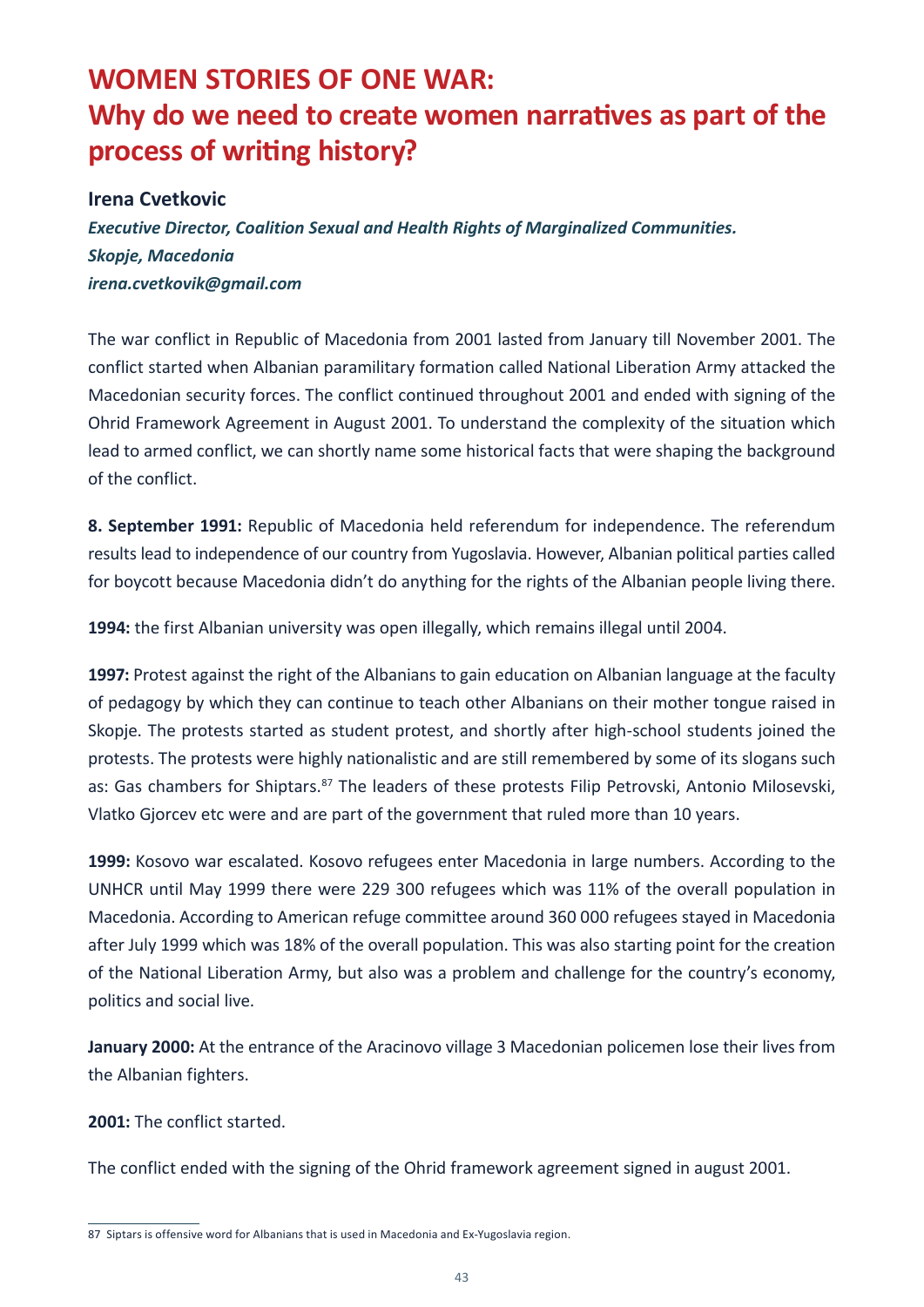# <span id="page-44-0"></span>**WOMEN STORIES OF ONE WAR: Why do we need to create women narratives as part of the process of writing history?**

#### **Irena Cvetkovic**

*Executive Director, Coalition Sexual and Health Rights of Marginalized Communities. Skopje, Macedonia irena.cvetkovik@gmail.com*

Тhe war conflict in Republic of Macedonia from 2001 lasted from January till November 2001. The conflict started when Albanian paramilitary formation called National Liberation Army attacked the Macedonian security forces. The conflict continued throughout 2001 and ended with signing of the Ohrid Framework Agreement in August 2001. To understand the complexity of the situation which lead to armed conflict, we can shortly name some historical facts that were shaping the background of the conflict.

**8. September 1991:** Republic of Macedonia held referendum for independence. The referendum results lead to independence of our country from Yugoslavia. However, Albanian political parties called for boycott because Macedonia didn't do anything for the rights of the Albanian people living there.

**1994:** the first Albanian university was open illegally, which remains illegal until 2004.

**1997:** Protest against the right of the Albanians to gain education on Albanian language at the faculty of pedagogy by which they can continue to teach other Albanians on their mother tongue raised in Skopje. The protests started as student protest, and shortly after high-school students joined the protests. The protests were highly nationalistic and are still remembered by some of its slogans such as: Gas chambers for Shiptars.<sup>87</sup> The leaders of these protests Filip Petrovski, Antonio Milosevski, Vlatko Gjorcev etc were and are part of the government that ruled more than 10 years.

**1999:** Kosovo war escalated. Kosovo refugees enter Macedonia in large numbers. According to the UNHCR until May 1999 there were 229 300 refugees which was 11% of the overall population in Macedonia. According to American refuge committee around 360 000 refugees stayed in Macedonia after July 1999 which was 18% of the overall population. This was also starting point for the creation of the National Liberation Army, but also was a problem and challenge for the country's economy, politics and social live.

**January 2000:** At the entrance of the Aracinovo village 3 Macedonian policemen lose their lives from the Albanian fighters.

**2001:** The conflict started.

The conflict ended with the signing of the Ohrid framework agreement signed in august 2001.

<sup>87</sup> Siptars is offensive word for Albanians that is used in Macedonia and Ex-Yugoslavia region.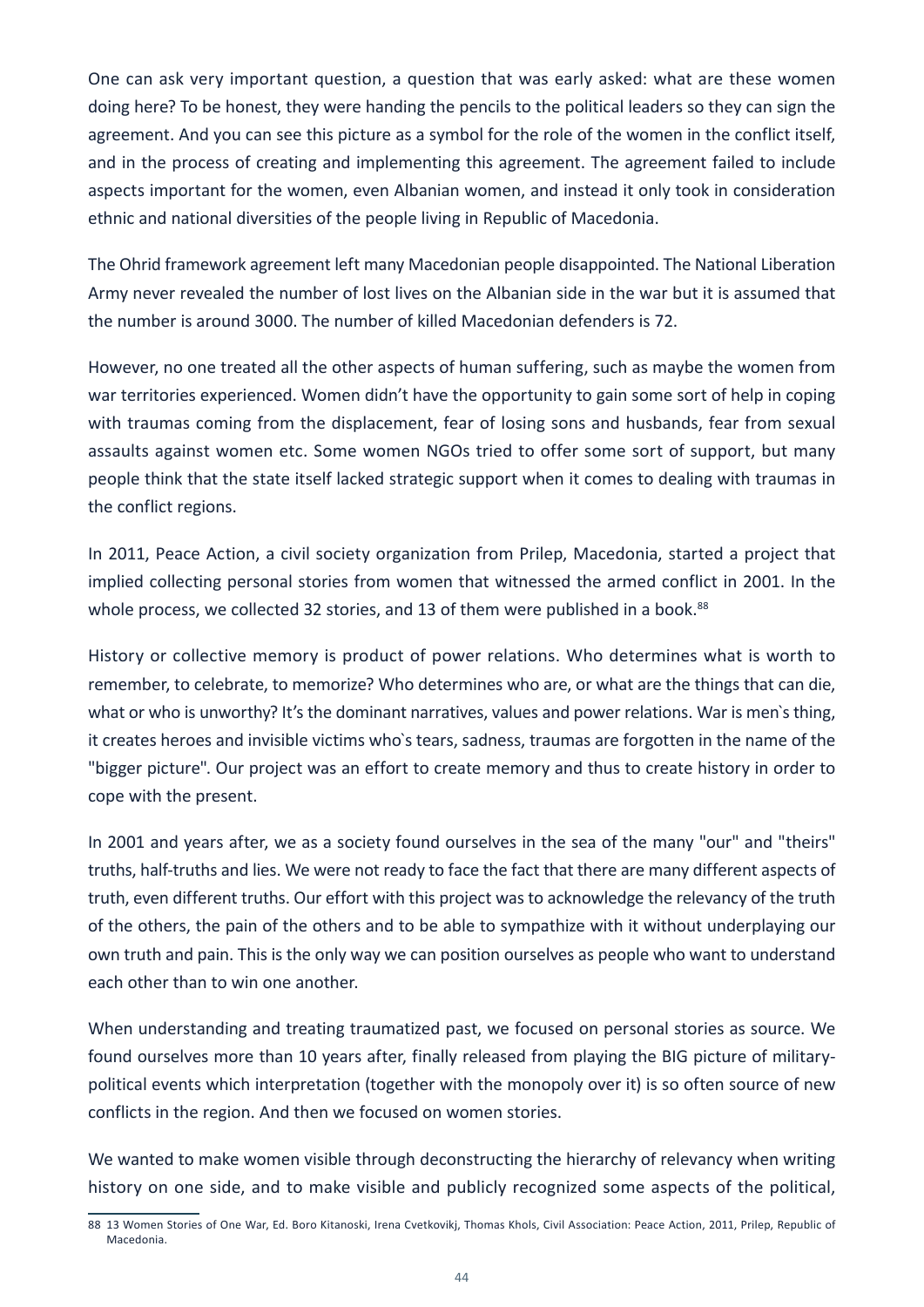One can ask very important question, a question that was early asked: what are these women doing here? To be honest, they were handing the pencils to the political leaders so they can sign the agreement. And you can see this picture as a symbol for the role of the women in the conflict itself, and in the process of creating and implementing this agreement. The agreement failed to include aspects important for the women, even Albanian women, and instead it only took in consideration ethnic and national diversities of the people living in Republic of Macedonia.

The Ohrid framework agreement left many Macedonian people disappointed. The National Liberation Army never revealed the number of lost lives on the Albanian side in the war but it is assumed that the number is around 3000. The number of killed Macedonian defenders is 72.

However, no one treated all the other aspects of human suffering, such as maybe the women from war territories experienced. Women didn't have the opportunity to gain some sort of help in coping with traumas coming from the displacement, fear of losing sons and husbands, fear from sexual assaults against women etc. Some women NGOs tried to offer some sort of support, but many people think that the state itself lacked strategic support when it comes to dealing with traumas in the conflict regions.

In 2011, Peace Action, a civil society organization from Prilep, Macedonia, started a project that implied collecting personal stories from women that witnessed the armed conflict in 2001. In the whole process, we collected 32 stories, and 13 of them were published in a book.<sup>88</sup>

History or collective memory is product of power relations. Who determines what is worth to remember, to celebrate, to memorize? Who determines who are, or what are the things that can die, what or who is unworthy? It's the dominant narratives, values and power relations. War is men's thing, it creates heroes and invisible victims who`s tears, sadness, traumas are forgotten in the name of the "bigger picture". Our project was an effort to create memory and thus to create history in order to cope with the present.

In 2001 and years after, we as a society found ourselves in the sea of the many "our" and "theirs" truths, half-truths and lies. We were not ready to face the fact that there are many different aspects of truth, even different truths. Our effort with this project was to acknowledge the relevancy of the truth of the others, the pain of the others and to be able to sympathize with it without underplaying our own truth and pain. This is the only way we can position ourselves as people who want to understand each other than to win one another.

When understanding and treating traumatized past, we focused on personal stories as source. We found ourselves more than 10 years after, finally released from playing the BIG picture of militarypolitical events which interpretation (together with the monopoly over it) is so often source of new conflicts in the region. And then we focused on women stories.

We wanted to make women visible through deconstructing the hierarchy of relevancy when writing history on one side, and to make visible and publicly recognized some aspects of the political,

<sup>88</sup> 13 Women Stories of One War, Ed. Boro Kitanoski, Irena Cvetkovikj, Thomas Khols, Civil Association: Peace Action, 2011, Prilep, Republic of Macedonia.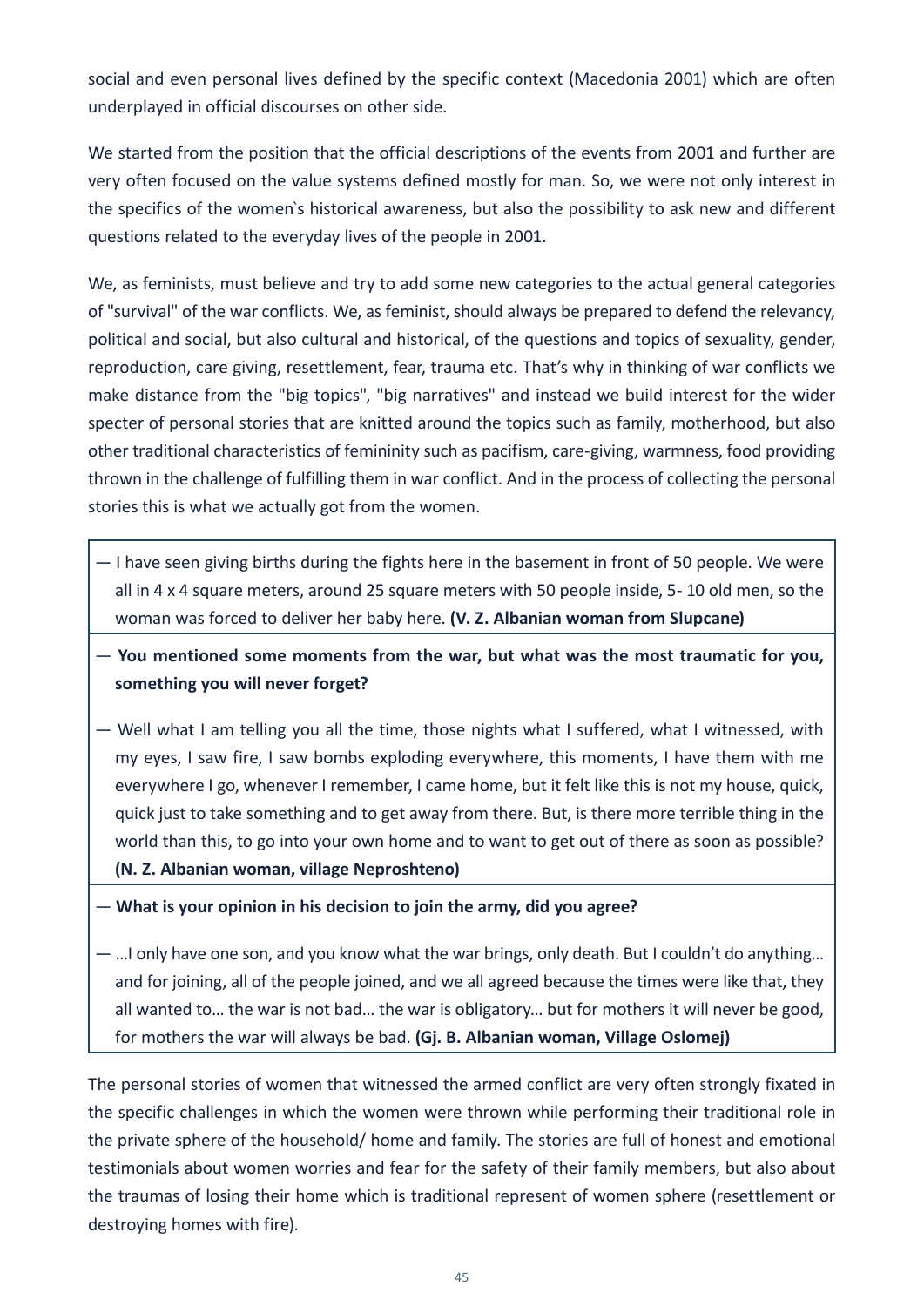social and even personal lives defined by the specific context (Macedonia 2001) which are often underplayed in official discourses on other side.

We started from the position that the official descriptions of the events from 2001 and further are very often focused on the value systems defined mostly for man. So, we were not only interest in the specifics of the women`s historical awareness, but also the possibility to ask new and different questions related to the everyday lives of the people in 2001.

We, as feminists, must believe and try to add some new categories to the actual general categories of "survival" of the war conflicts. We, as feminist, should always be prepared to defend the relevancy, political and social, but also cultural and historical, of the questions and topics of sexuality, gender, reproduction, care giving, resettlement, fear, trauma etc. That's why in thinking of war conflicts we make distance from the "big topics", "big narratives" and instead we build interest for the wider specter of personal stories that are knitted around the topics such as family, motherhood, but also other traditional characteristics of femininity such as pacifism, care-giving, warmness, food providing thrown in the challenge of fulfilling them in war conflict. And in the process of collecting the personal stories this is what we actually got from the women.

- I have seen giving births during the fights here in the basement in front of 50 people. We were all in 4 x 4 square meters, around 25 square meters with 50 people inside, 5- 10 old men, so the woman was forced to deliver her baby here. **(V. Z. Albanian woman from Slupcane)**
- **You mentioned some moments from the war, but what was the most traumatic for you, something you will never forget?**
- Well what I am telling you all the time, those nights what I suffered, what I witnessed, with my eyes, I saw fire, I saw bombs exploding everywhere, this moments, I have them with me everywhere I go, whenever I remember, I came home, but it felt like this is not my house, quick, quick just to take something and to get away from there. But, is there more terrible thing in the world than this, to go into your own home and to want to get out of there as soon as possible? **(N. Z. Albanian woman, village Neproshteno)**
- **What is your opinion in his decision to join the army, did you agree?**

— …I only have one son, and you know what the war brings, only death. But I couldn't do anything… and for joining, all of the people joined, and we all agreed because the times were like that, they all wanted to… the war is not bad… the war is obligatory… but for mothers it will never be good, for mothers the war will always be bad. **(Gj. B. Albanian woman, Village Oslomej)**

The personal stories of women that witnessed the armed conflict are very often strongly fixated in the specific challenges in which the women were thrown while performing their traditional role in the private sphere of the household/ home and family. The stories are full of honest and emotional testimonials about women worries and fear for the safety of their family members, but also about the traumas of losing their home which is traditional represent of women sphere (resettlement or destroying homes with fire).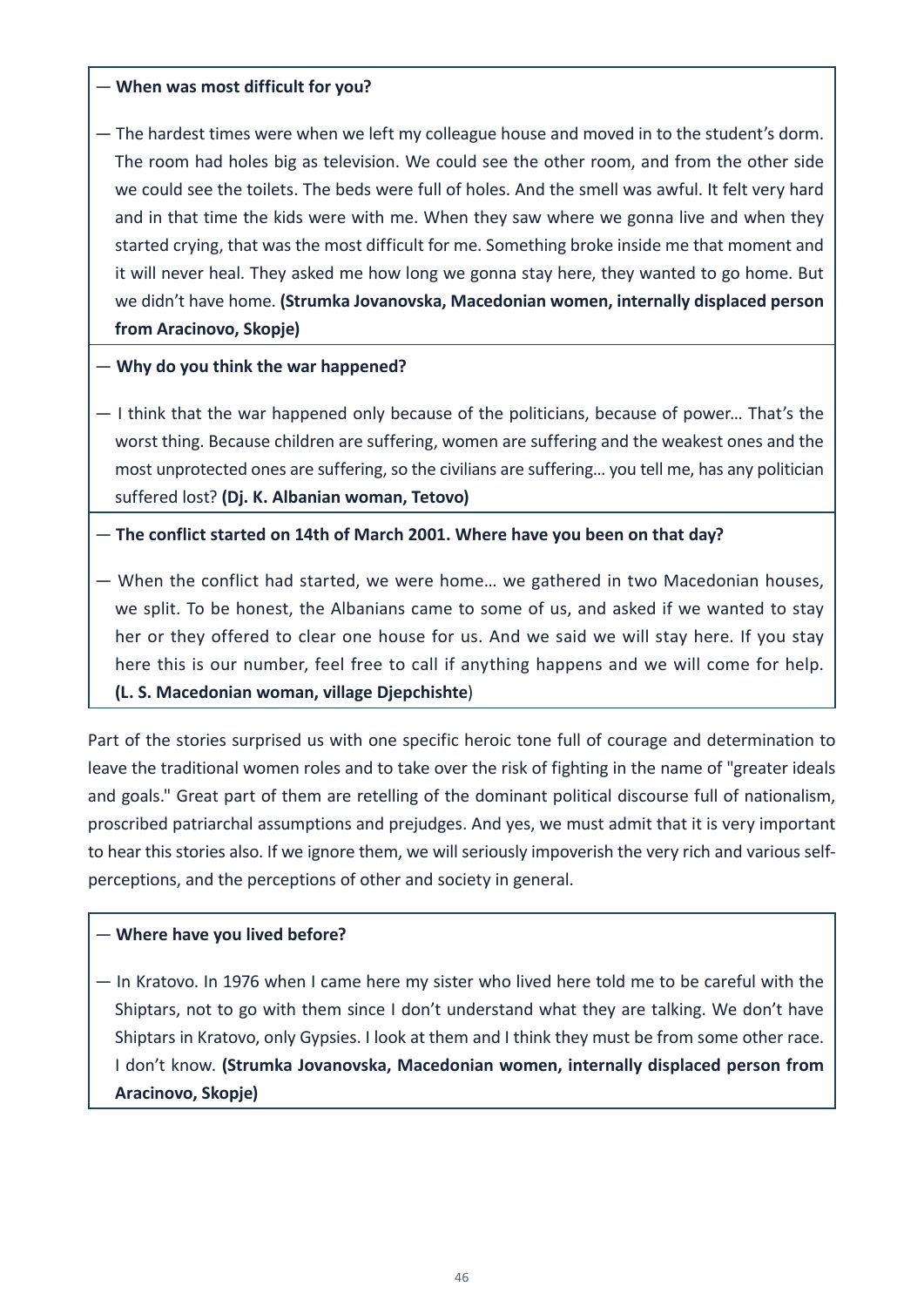#### — **When was most difficult for you?**

— The hardest times were when we left my colleague house and moved in to the student's dorm. The room had holes big as television. We could see the other room, and from the other side we could see the toilets. The beds were full of holes. And the smell was awful. It felt very hard and in that time the kids were with me. When they saw where we gonna live and when they started crying, that was the most difficult for me. Something broke inside me that moment and it will never heal. They asked me how long we gonna stay here, they wanted to go home. But we didn't have home. **(Strumka Jovanovska, Macedonian women, internally displaced person from Aracinovo, Skopje)**

— **Why do you think the war happened?**

— I think that the war happened only because of the politicians, because of power… That's the worst thing. Because children are suffering, women are suffering and the weakest ones and the most unprotected ones are suffering, so the civilians are suffering… you tell me, has any politician suffered lost? **(Dj. K. Albanian woman, Tetovo)**

— **The conflict started on 14th of March 2001. Where have you been on that day?**

— When the conflict had started, we were home… we gathered in two Macedonian houses, we split. To be honest, the Albanians came to some of us, and asked if we wanted to stay her or they offered to clear one house for us. And we said we will stay here. If you stay here this is our number, feel free to call if anything happens and we will come for help. **(L. S. Macedonian woman, village Djepchishte**)

Part of the stories surprised us with one specific heroic tone full of courage and determination to leave the traditional women roles and to take over the risk of fighting in the name of "greater ideals and goals." Great part of them are retelling of the dominant political discourse full of nationalism, proscribed patriarchal assumptions and prejudges. And yes, we must admit that it is very important to hear this stories also. If we ignore them, we will seriously impoverish the very rich and various selfperceptions, and the perceptions of other and society in general.

#### — **Where have you lived before?**

— In Kratovo. In 1976 when I came here my sister who lived here told me to be careful with the Shiptars, not to go with them since I don't understand what they are talking. We don't have Shiptars in Kratovo, only Gypsies. I look at them and I think they must be from some other race. I don't know. **(Strumka Jovanovska, Macedonian women, internally displaced person from Aracinovo, Skopje)**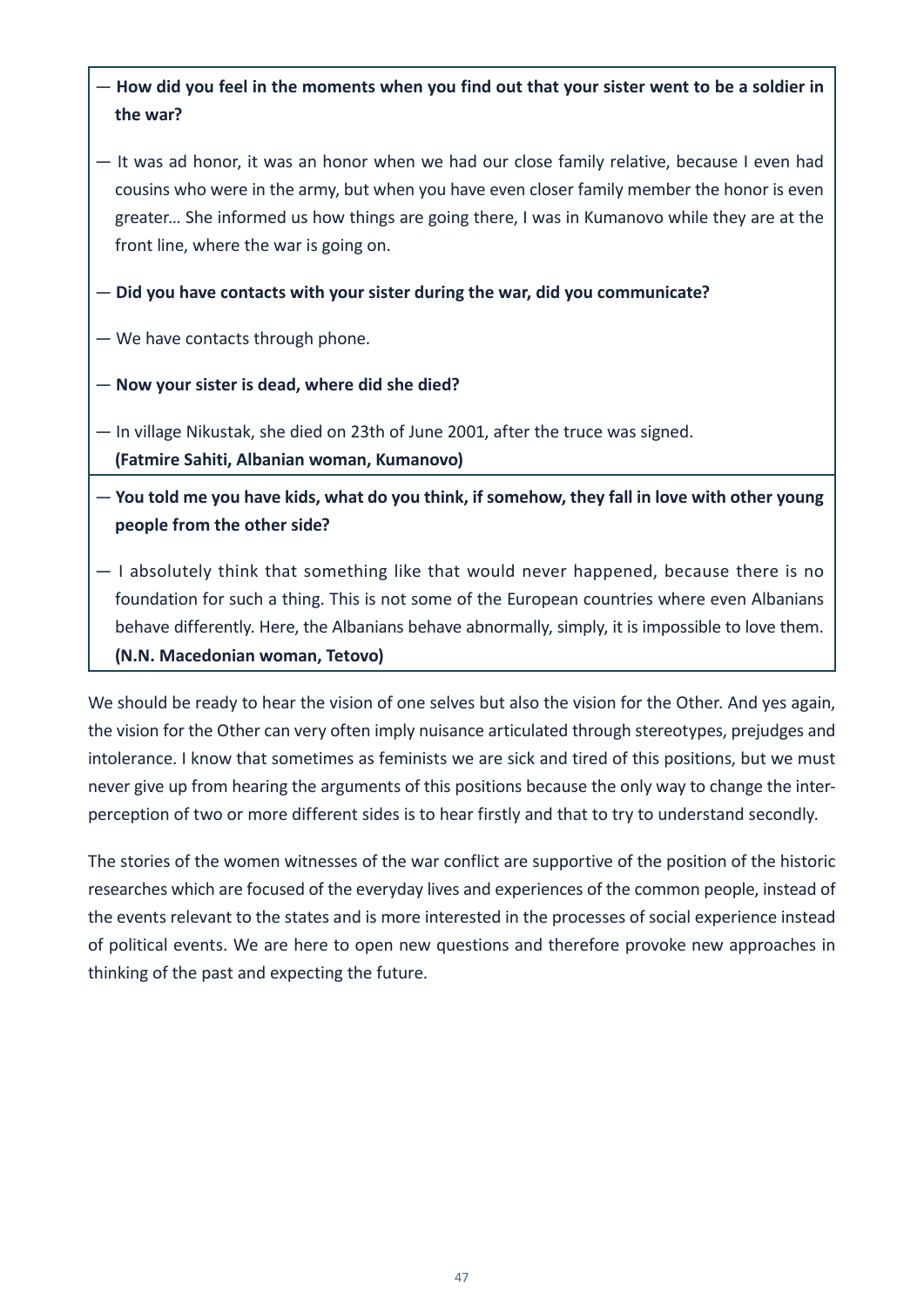#### — **How did you feel in the moments when you find out that your sister went to be a soldier in the war?**

- It was ad honor, it was an honor when we had our close family relative, because I even had cousins who were in the army, but when you have even closer family member the honor is even greater… She informed us how things are going there, I was in Kumanovo while they are at the front line, where the war is going on.
- **Did you have contacts with your sister during the war, did you communicate?**

— We have contacts through phone.

— **Now your sister is dead, where did she died?**

— In village Nikustak, she died on 23th of June 2001, after the truce was signed. **(Fatmire Sahiti, Albanian woman, Kumanovo)**

— **You told me you have kids, what do you think, if somehow, they fall in love with other young people from the other side?**

— I absolutely think that something like that would never happened, because there is no foundation for such a thing. This is not some of the European countries where even Albanians behave differently. Here, the Albanians behave abnormally, simply, it is impossible to love them. **(N.N. Macedonian woman, Tetovo)**

We should be ready to hear the vision of one selves but also the vision for the Other. And yes again, the vision for the Other can very often imply nuisance articulated through stereotypes, prejudges and intolerance. I know that sometimes as feminists we are sick and tired of this positions, but we must never give up from hearing the arguments of this positions because the only way to change the interperception of two or more different sides is to hear firstly and that to try to understand secondly.

The stories of the women witnesses of the war conflict are supportive of the position of the historic researches which are focused of the everyday lives and experiences of the common people, instead of the events relevant to the states and is more interested in the processes of social experience instead of political events. We are here to open new questions and therefore provoke new approaches in thinking of the past and expecting the future.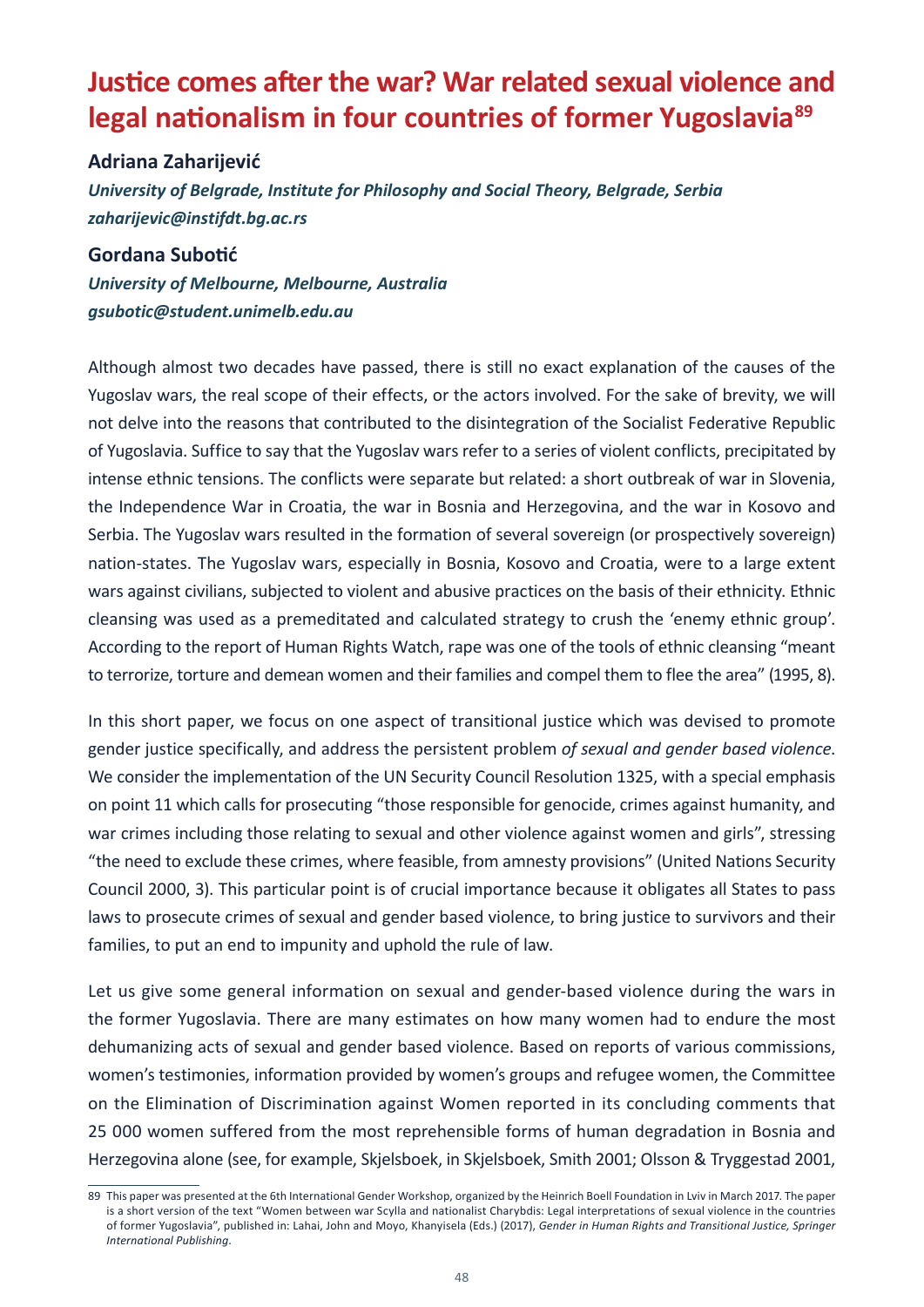# <span id="page-49-0"></span>**Justice comes after the war? War related sexual violence and legal nationalism in four countries of former Yugoslavia89**

#### **Adriana Zaharijević**

*University of Belgrade, Institute for Philosophy and Social Theory, Belgrade, Serbia zaharijevic@instifdt.bg.ac.rs* 

#### **Gordana Subotić**

*University of Melbourne, Melbourne, Australia gsubotic@student.unimelb.edu.au* 

Although almost two decades have passed, there is still no exact explanation of the causes of the Yugoslav wars, the real scope of their effects, or the actors involved. For the sake of brevity, we will not delve into the reasons that contributed to the disintegration of the Socialist Federative Republic of Yugoslavia. Suffice to say that the Yugoslav wars refer to a series of violent conflicts, precipitated by intense ethnic tensions. The conflicts were separate but related: a short outbreak of war in Slovenia, the Independence War in Croatia, the war in Bosnia and Herzegovina, and the war in Kosovo and Serbia. The Yugoslav wars resulted in the formation of several sovereign (or prospectively sovereign) nation-states. The Yugoslav wars, especially in Bosnia, Kosovo and Croatia, were to a large extent wars against civilians, subjected to violent and abusive practices on the basis of their ethnicity. Ethnic cleansing was used as a premeditated and calculated strategy to crush the 'enemy ethnic group'. According to the report of Human Rights Watch, rape was one of the tools of ethnic cleansing "meant to terrorize, torture and demean women and their families and compel them to flee the area" (1995, 8).

In this short paper, we focus on one aspect of transitional justice which was devised to promote gender justice specifically, and address the persistent problem *of sexual and gender based violence*. We consider the implementation of the UN Security Council Resolution 1325, with a special emphasis on point 11 which calls for prosecuting "those responsible for genocide, crimes against humanity, and war crimes including those relating to sexual and other violence against women and girls", stressing "the need to exclude these crimes, where feasible, from amnesty provisions" (United Nations Security Council 2000, 3). This particular point is of crucial importance because it obligates all States to pass laws to prosecute crimes of sexual and gender based violence, to bring justice to survivors and their families, to put an end to impunity and uphold the rule of law.

Let us give some general information on sexual and gender-based violence during the wars in the former Yugoslavia. There are many estimates on how many women had to endure the most dehumanizing acts of sexual and gender based violence. Based on reports of various commissions, women's testimonies, information provided by women's groups and refugee women, the Committee on the Elimination of Discrimination against Women reported in its concluding comments that 25 000 women suffered from the most reprehensible forms of human degradation in Bosnia and Herzegovina alone (see, for example, Skjelsboek, in Skjelsboek, Smith 2001; Olsson & Tryggestad 2001,

<sup>89</sup> This paper was presented at the 6th International Gender Workshop, organized by the Heinrich Boell Foundation in Lviv in March 2017. The paper is a short version of the text "Women between war Scylla and nationalist Charybdis: Legal interpretations of sexual violence in the countries of former Yugoslavia", published in: Lahai, John and Moyo, Khanyisela (Eds.) (2017), *Gender in Human Rights and Transitional Justice, Springer International Publishing*.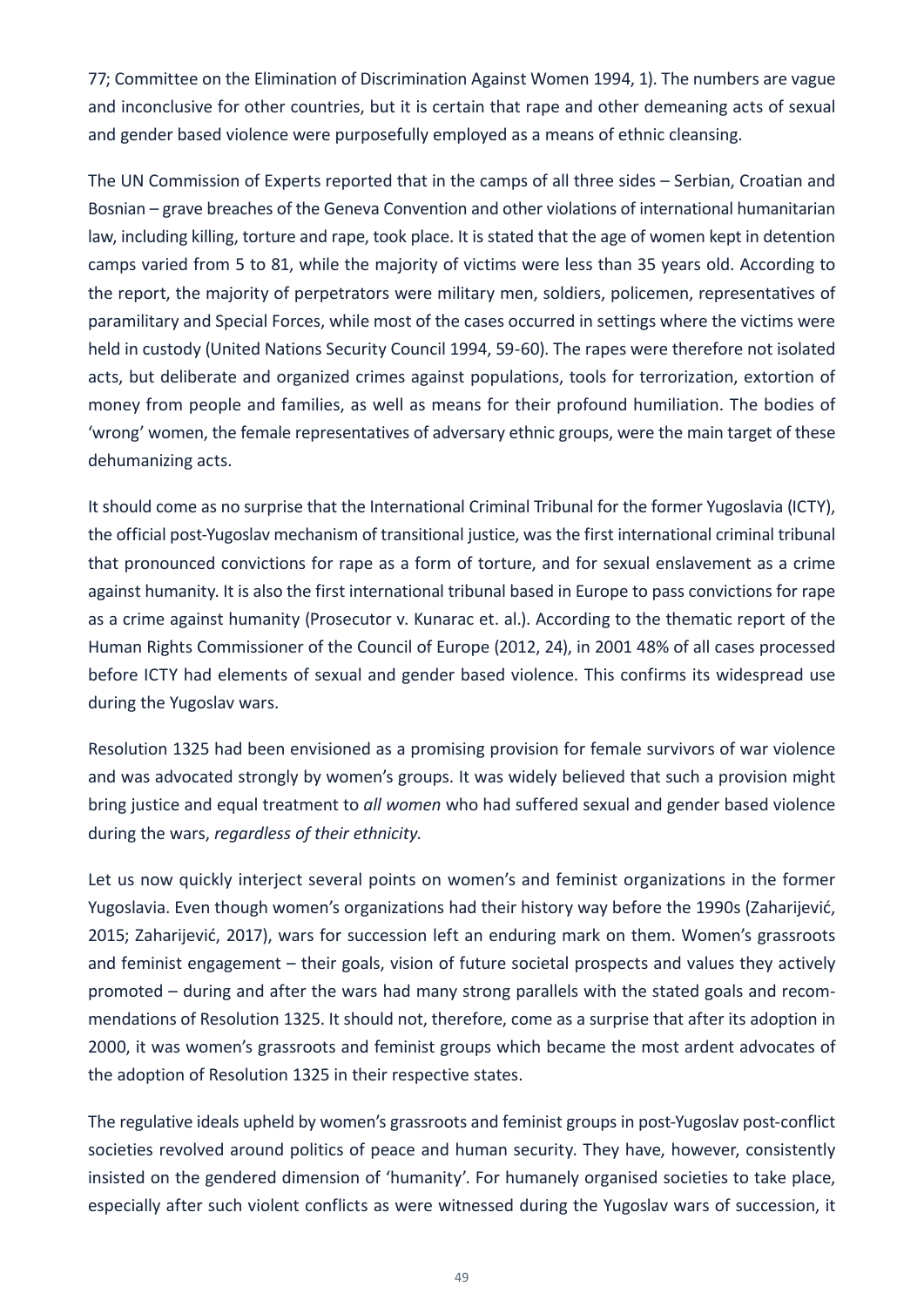77; Committee on the Elimination of Discrimination Against Women 1994, 1). The numbers are vague and inconclusive for other countries, but it is certain that rape and other demeaning acts of sexual and gender based violence were purposefully employed as a means of ethnic cleansing.

The UN Commission of Experts reported that in the camps of all three sides – Serbian, Croatian and Bosnian – grave breaches of the Geneva Convention and other violations of international humanitarian law, including killing, torture and rape, took place. It is stated that the age of women kept in detention camps varied from 5 to 81, while the majority of victims were less than 35 years old. According to the report, the majority of perpetrators were military men, soldiers, policemen, representatives of paramilitary and Special Forces, while most of the cases occurred in settings where the victims were held in custody (United Nations Security Council 1994, 59-60). The rapes were therefore not isolated acts, but deliberate and organized crimes against populations, tools for terrorization, extortion of money from people and families, as well as means for their profound humiliation. The bodies of 'wrong' women, the female representatives of adversary ethnic groups, were the main target of these dehumanizing acts.

It should come as no surprise that the International Criminal Tribunal for the former Yugoslavia (ICTY), the official post-Yugoslav mechanism of transitional justice, was the first international criminal tribunal that pronounced convictions for rape as a form of torture, and for sexual enslavement as a crime against humanity. It is also the first international tribunal based in Europe to pass convictions for rape as a crime against humanity (Prosecutor v. Kunarac et. al.). According to the thematic report of the Human Rights Commissioner of the Council of Europe (2012, 24), in 2001 48% of all cases processed before ICTY had elements of sexual and gender based violence. This confirms its widespread use during the Yugoslav wars.

Resolution 1325 had been envisioned as a promising provision for female survivors of war violence and was advocated strongly by women's groups. It was widely believed that such a provision might bring justice and equal treatment to *all women* who had suffered sexual and gender based violence during the wars, *regardless of their ethnicity*.

Let us now quickly interject several points on women's and feminist organizations in the former Yugoslavia. Even though women's organizations had their history way before the 1990s (Zaharijević, 2015; Zaharijević, 2017), wars for succession left an enduring mark on them. Women's grassroots and feminist engagement – their goals, vision of future societal prospects and values they actively promoted – during and after the wars had many strong parallels with the stated goals and recommendations of Resolution 1325. It should not, therefore, come as a surprise that after its adoption in 2000, it was women's grassroots and feminist groups which became the most ardent advocates of the adoption of Resolution 1325 in their respective states.

The regulative ideals upheld by women's grassroots and feminist groups in post-Yugoslav post-conflict societies revolved around politics of peace and human security. They have, however, consistently insisted on the gendered dimension of 'humanity'. For humanely organised societies to take place, especially after such violent conflicts as were witnessed during the Yugoslav wars of succession, it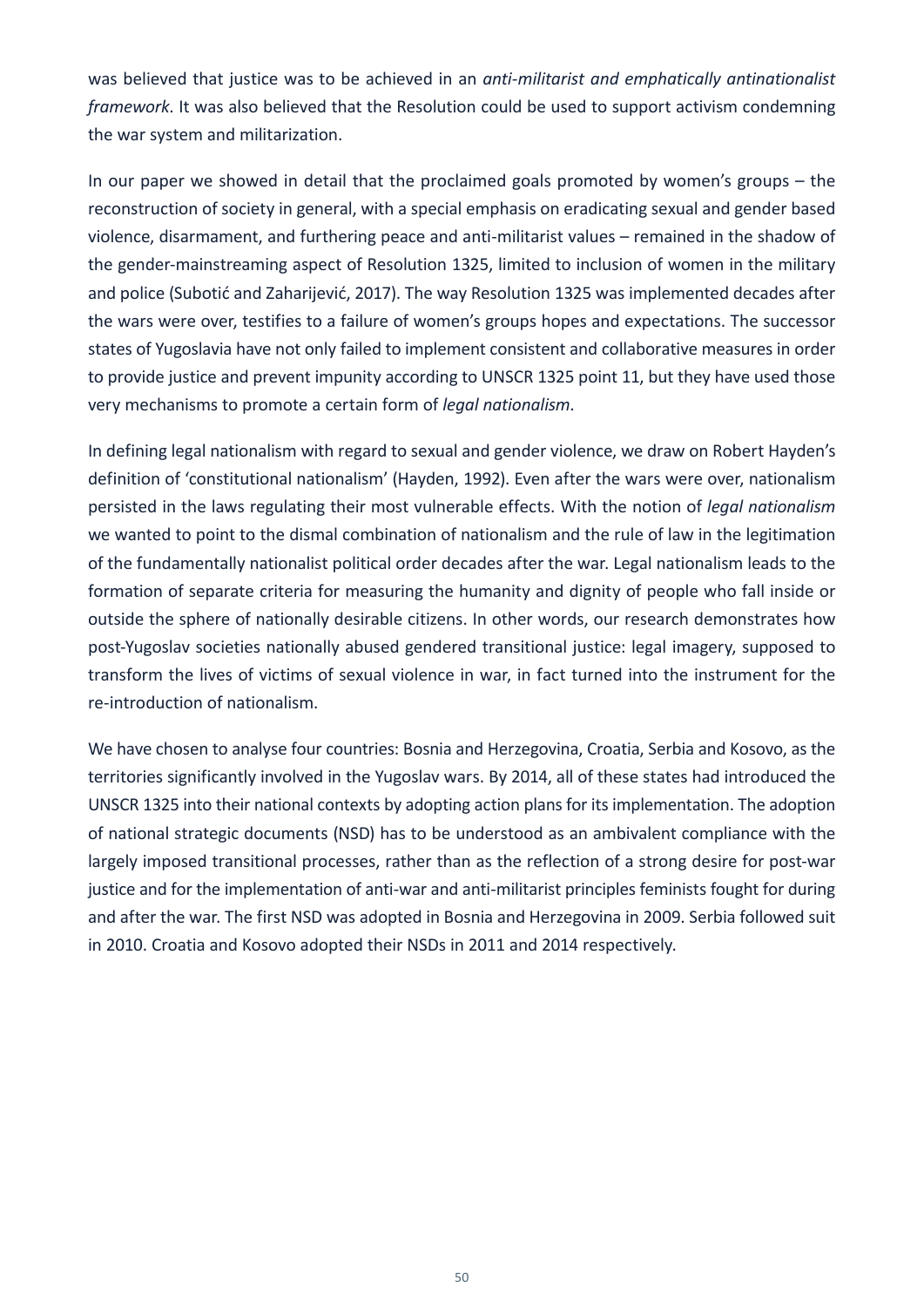was believed that justice was to be achieved in an *anti-militarist and emphatically antinationalist framework*. It was also believed that the Resolution could be used to support activism condemning the war system and militarization.

In our paper we showed in detail that the proclaimed goals promoted by women's groups – the reconstruction of society in general, with a special emphasis on eradicating sexual and gender based violence, disarmament, and furthering peace and anti-militarist values – remained in the shadow of the gender-mainstreaming aspect of Resolution 1325, limited to inclusion of women in the military and police (Subotić and Zaharijević, 2017). The way Resolution 1325 was implemented decades after the wars were over, testifies to a failure of women's groups hopes and expectations. The successor states of Yugoslavia have not only failed to implement consistent and collaborative measures in order to provide justice and prevent impunity according to UNSCR 1325 point 11, but they have used those very mechanisms to promote a certain form of *legal nationalism*.

In defining legal nationalism with regard to sexual and gender violence, we draw on Robert Hayden's definition of 'constitutional nationalism' (Hayden, 1992). Even after the wars were over, nationalism persisted in the laws regulating their most vulnerable effects. With the notion of *legal nationalism*  we wanted to point to the dismal combination of nationalism and the rule of law in the legitimation of the fundamentally nationalist political order decades after the war. Legal nationalism leads to the formation of separate criteria for measuring the humanity and dignity of people who fall inside or outside the sphere of nationally desirable citizens. In other words, our research demonstrates how post-Yugoslav societies nationally abused gendered transitional justice: legal imagery, supposed to transform the lives of victims of sexual violence in war, in fact turned into the instrument for the re-introduction of nationalism.

We have chosen to analyse four countries: Bosnia and Herzegovina, Croatia, Serbia and Kosovo, as the territories significantly involved in the Yugoslav wars. By 2014, all of these states had introduced the UNSCR 1325 into their national contexts by adopting action plans for its implementation. The adoption of national strategic documents (NSD) has to be understood as an ambivalent compliance with the largely imposed transitional processes, rather than as the reflection of a strong desire for post-war justice and for the implementation of anti-war and anti-militarist principles feminists fought for during and after the war. The first NSD was adopted in Bosnia and Herzegovina in 2009. Serbia followed suit in 2010. Croatia and Kosovo adopted their NSDs in 2011 and 2014 respectively.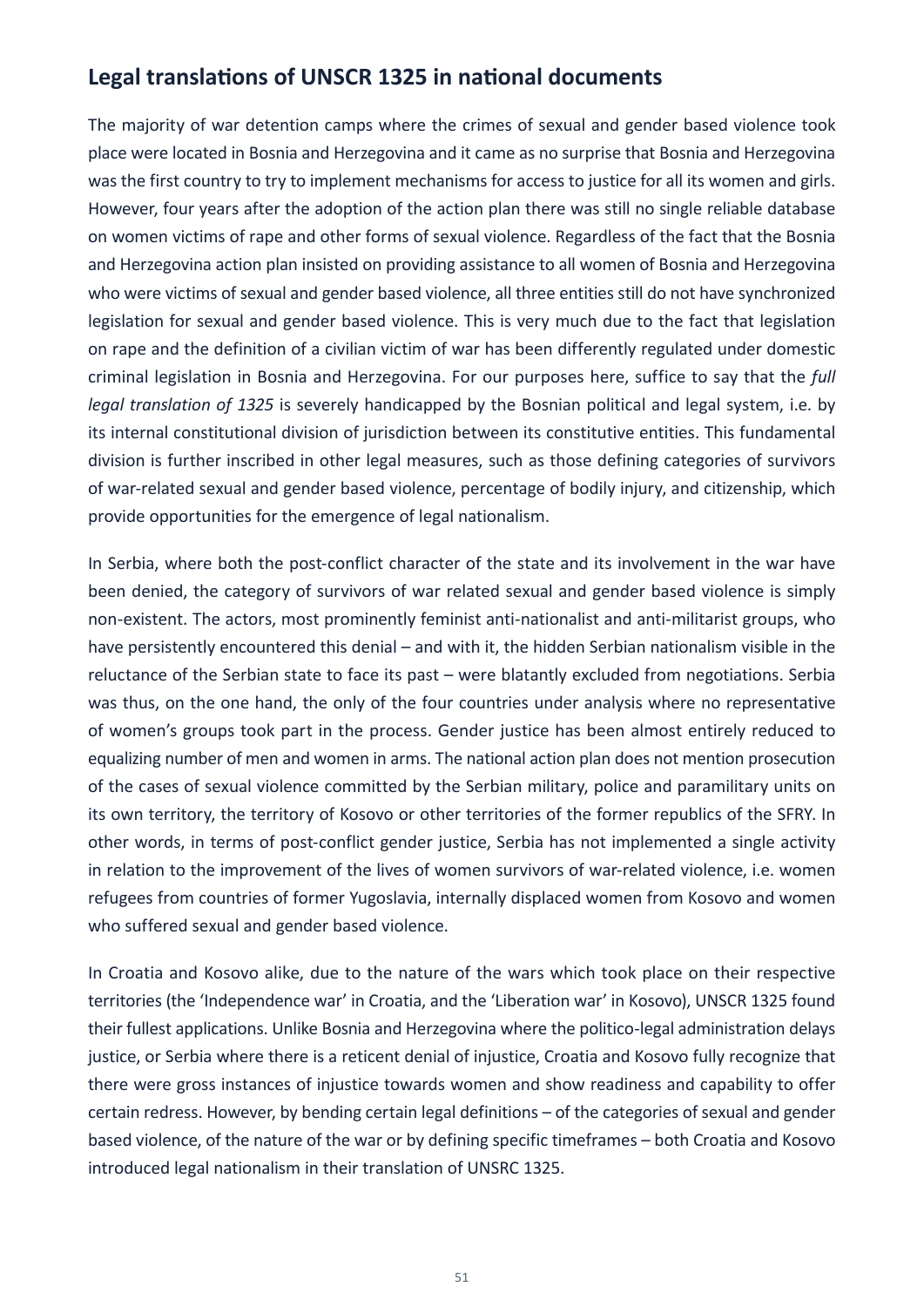### **Legal translations of UNSCR 1325 in national documents**

The majority of war detention camps where the crimes of sexual and gender based violence took place were located in Bosnia and Herzegovina and it came as no surprise that Bosnia and Herzegovina was the first country to try to implement mechanisms for access to justice for all its women and girls. However, four years after the adoption of the action plan there was still no single reliable database on women victims of rape and other forms of sexual violence. Regardless of the fact that the Bosnia and Herzegovina action plan insisted on providing assistance to all women of Bosnia and Herzegovina who were victims of sexual and gender based violence, all three entities still do not have synchronized legislation for sexual and gender based violence. This is very much due to the fact that legislation on rape and the definition of a civilian victim of war has been differently regulated under domestic criminal legislation in Bosnia and Herzegovina. For our purposes here, suffice to say that the *full legal translation of 1325* is severely handicapped by the Bosnian political and legal system, i.e. by its internal constitutional division of jurisdiction between its constitutive entities. This fundamental division is further inscribed in other legal measures, such as those defining categories of survivors of war-related sexual and gender based violence, percentage of bodily injury, and citizenship, which provide opportunities for the emergence of legal nationalism.

In Serbia, where both the post-conflict character of the state and its involvement in the war have been denied, the category of survivors of war related sexual and gender based violence is simply non-existent. The actors, most prominently feminist anti-nationalist and anti-militarist groups, who have persistently encountered this denial – and with it, the hidden Serbian nationalism visible in the reluctance of the Serbian state to face its past – were blatantly excluded from negotiations. Serbia was thus, on the one hand, the only of the four countries under analysis where no representative of women's groups took part in the process. Gender justice has been almost entirely reduced to equalizing number of men and women in arms. The national action plan does not mention prosecution of the cases of sexual violence committed by the Serbian military, police and paramilitary units on its own territory, the territory of Kosovo or other territories of the former republics of the SFRY. In other words, in terms of post-conflict gender justice, Serbia has not implemented a single activity in relation to the improvement of the lives of women survivors of war-related violence, i.e. women refugees from countries of former Yugoslavia, internally displaced women from Kosovo and women who suffered sexual and gender based violence.

In Croatia and Kosovo alike, due to the nature of the wars which took place on their respective territories (the 'Independence war' in Croatia, and the 'Liberation war' in Kosovo), UNSCR 1325 found their fullest applications. Unlike Bosnia and Herzegovina where the politico-legal administration delays justice, or Serbia where there is a reticent denial of injustice, Croatia and Kosovo fully recognize that there were gross instances of injustice towards women and show readiness and capability to offer certain redress. However, by bending certain legal definitions – of the categories of sexual and gender based violence, of the nature of the war or by defining specific timeframes – both Croatia and Kosovo introduced legal nationalism in their translation of UNSRC 1325.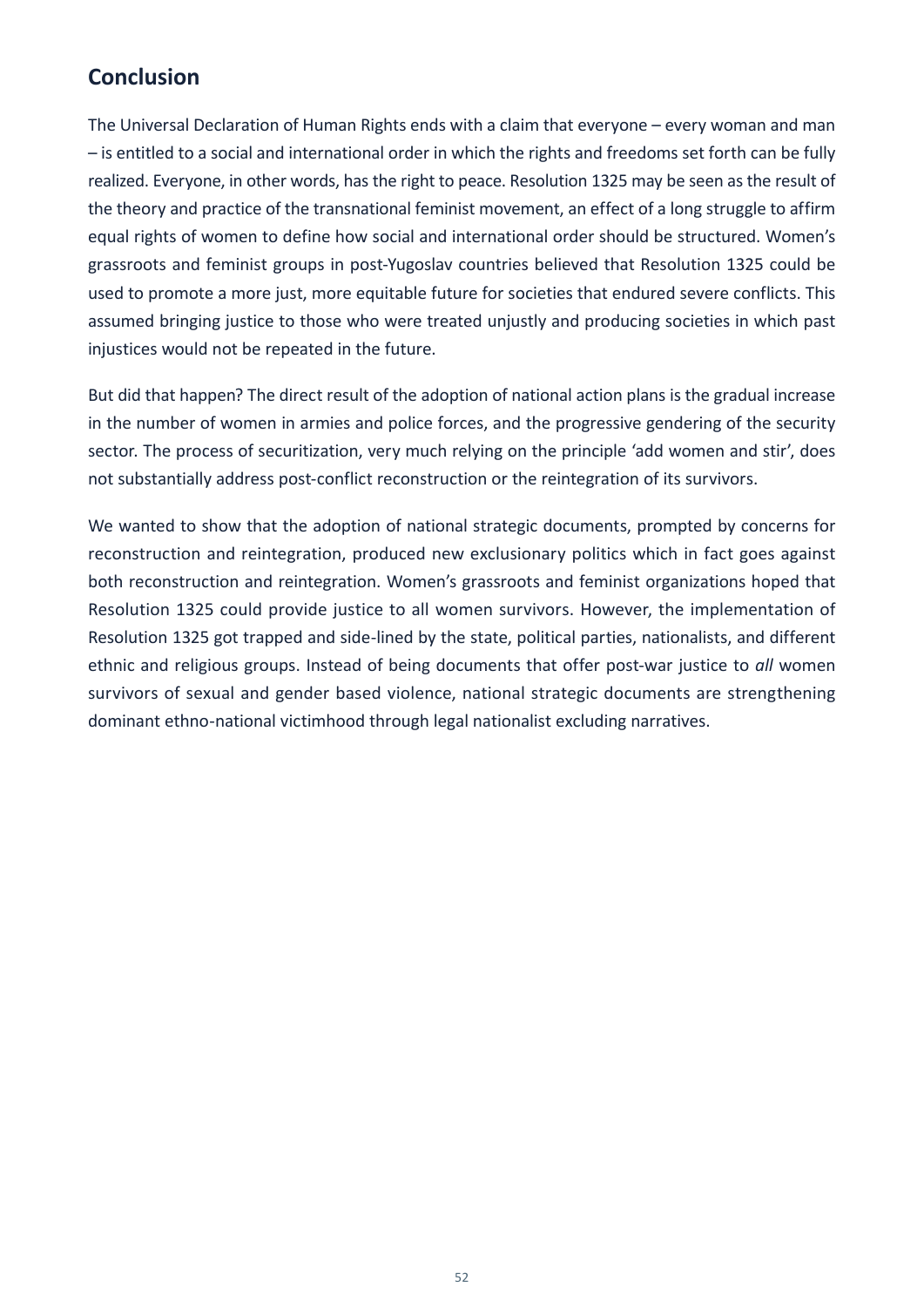# **Conclusion**

The Universal Declaration of Human Rights ends with a claim that everyone – every woman and man – is entitled to a social and international order in which the rights and freedoms set forth can be fully realized. Everyone, in other words, has the right to peace. Resolution 1325 may be seen as the result of the theory and practice of the transnational feminist movement, an effect of a long struggle to affirm equal rights of women to define how social and international order should be structured. Women's grassroots and feminist groups in post-Yugoslav countries believed that Resolution 1325 could be used to promote a more just, more equitable future for societies that endured severe conflicts. This assumed bringing justice to those who were treated unjustly and producing societies in which past injustices would not be repeated in the future.

But did that happen? The direct result of the adoption of national action plans is the gradual increase in the number of women in armies and police forces, and the progressive gendering of the security sector. The process of securitization, very much relying on the principle 'add women and stir', does not substantially address post-conflict reconstruction or the reintegration of its survivors.

We wanted to show that the adoption of national strategic documents, prompted by concerns for reconstruction and reintegration, produced new exclusionary politics which in fact goes against both reconstruction and reintegration. Women's grassroots and feminist organizations hoped that Resolution 1325 could provide justice to all women survivors. However, the implementation of Resolution 1325 got trapped and side-lined by the state, political parties, nationalists, and different ethnic and religious groups. Instead of being documents that offer post-war justice to *all* women survivors of sexual and gender based violence, national strategic documents are strengthening dominant ethno-national victimhood through legal nationalist excluding narratives.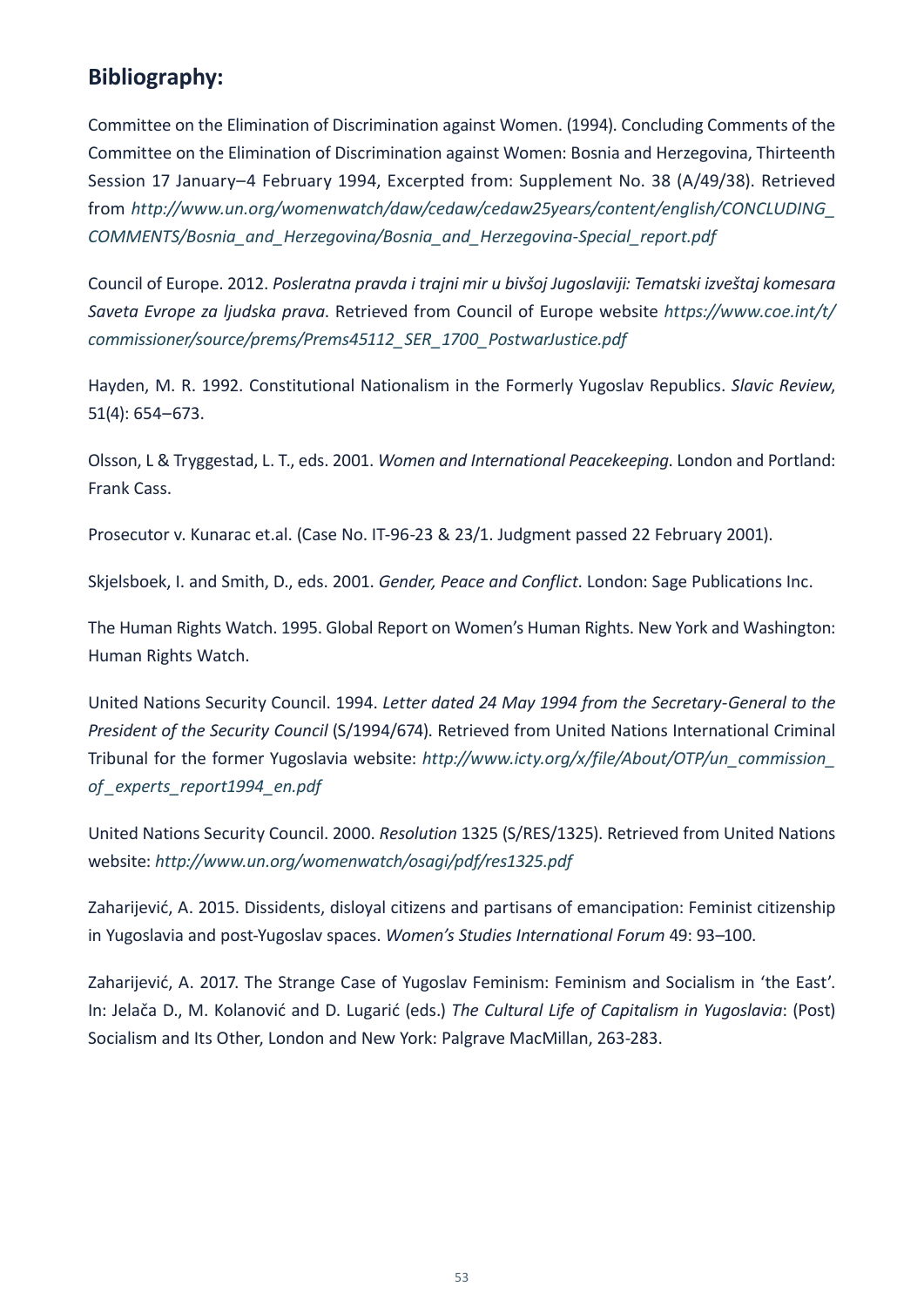### **Bibliography:**

Committee on the Elimination of Discrimination against Women. (1994). Concluding Comments of the Committee on the Elimination of Discrimination against Women: Bosnia and Herzegovina, Thirteenth Session 17 January–4 February 1994, Excerpted from: Supplement No. 38 (A/49/38). Retrieved from *[http://www.un.org/womenwatch/daw/cedaw/cedaw25years/content/english/CONCLUDING\\_](http://www.un.org/womenwatch/daw/cedaw/cedaw25years/content/english/CONCLUDING_COMMENTS/Bosnia_and_Herzegovina/Bosnia_and_Herzegovina-Special_report.pdf) [COMMENTS/Bosnia\\_and\\_Herzegovina/Bosnia\\_and\\_Herzegovina-Special\\_report.pdf](http://www.un.org/womenwatch/daw/cedaw/cedaw25years/content/english/CONCLUDING_COMMENTS/Bosnia_and_Herzegovina/Bosnia_and_Herzegovina-Special_report.pdf)*

Council of Europe. 2012. *Posleratna pravda i trajni mir u bivšoj Jugoslaviji: Tematski izveštaj komesara Saveta Evrope za ljudska prava*. Retrieved from Council of Europe website *[https://www.coe.int/t/](https://www.coe.int/t/commissioner/source/prems/Prems45112_SER_1700_PostwarJustice.pdf) [commissioner/source/prems/Prems45112\\_SER\\_1700\\_PostwarJustice.pdf](https://www.coe.int/t/commissioner/source/prems/Prems45112_SER_1700_PostwarJustice.pdf)*

Hayden, M. R. 1992. Constitutional Nationalism in the Formerly Yugoslav Republics. *Slavic Review*, 51(4): 654–673.

Olsson, L & Tryggestad, L. T., eds. 2001. *Women and International Peacekeeping*. London and Portland: Frank Cass.

Prosecutor v. Kunarac et.al. (Case No. IT-96-23 & 23/1. Judgment passed 22 February 2001).

Skjelsboek, I. and Smith, D., eds. 2001. *Gender, Peace and Conflict*. London: Sage Publications Inc.

The Human Rights Watch. 1995. Global Report on Women's Human Rights. New York and Washington: Human Rights Watch.

United Nations Security Council. 1994. *Letter dated 24 May 1994 from the Secretary-General to the President of the Security Council* (S/1994/674). Retrieved from United Nations International Criminal Tribunal for the former Yugoslavia website: *[http://www.icty.org/x/file/About/OTP/un\\_commission\\_](http://www.icty.org/x/file/About/OTP/un_commission_of_experts_report1994_en.pdf) [of \\_experts\\_report1994\\_en.pdf](http://www.icty.org/x/file/About/OTP/un_commission_of_experts_report1994_en.pdf)*

United Nations Security Council. 2000. *Resolution* 1325 (S/RES/1325). Retrieved from United Nations website: *<http://www.un.org/womenwatch/osagi/pdf/res1325.pdf>*

Zaharijević, A. 2015. Dissidents, disloyal citizens and partisans of emancipation: Feminist citizenship in Yugoslavia and post-Yugoslav spaces. *Women's Studies International Forum* 49: 93–100.

Zaharijević, A. 2017. The Strange Case of Yugoslav Feminism: Feminism and Socialism in 'the East'. In: Jelača D., M. Kolanović and D. Lugarić (eds.) *The Cultural Life of Capitalism in Yugoslavia*: (Post) Socialism and Its Other, London and New York: Palgrave MacMillan, 263-283.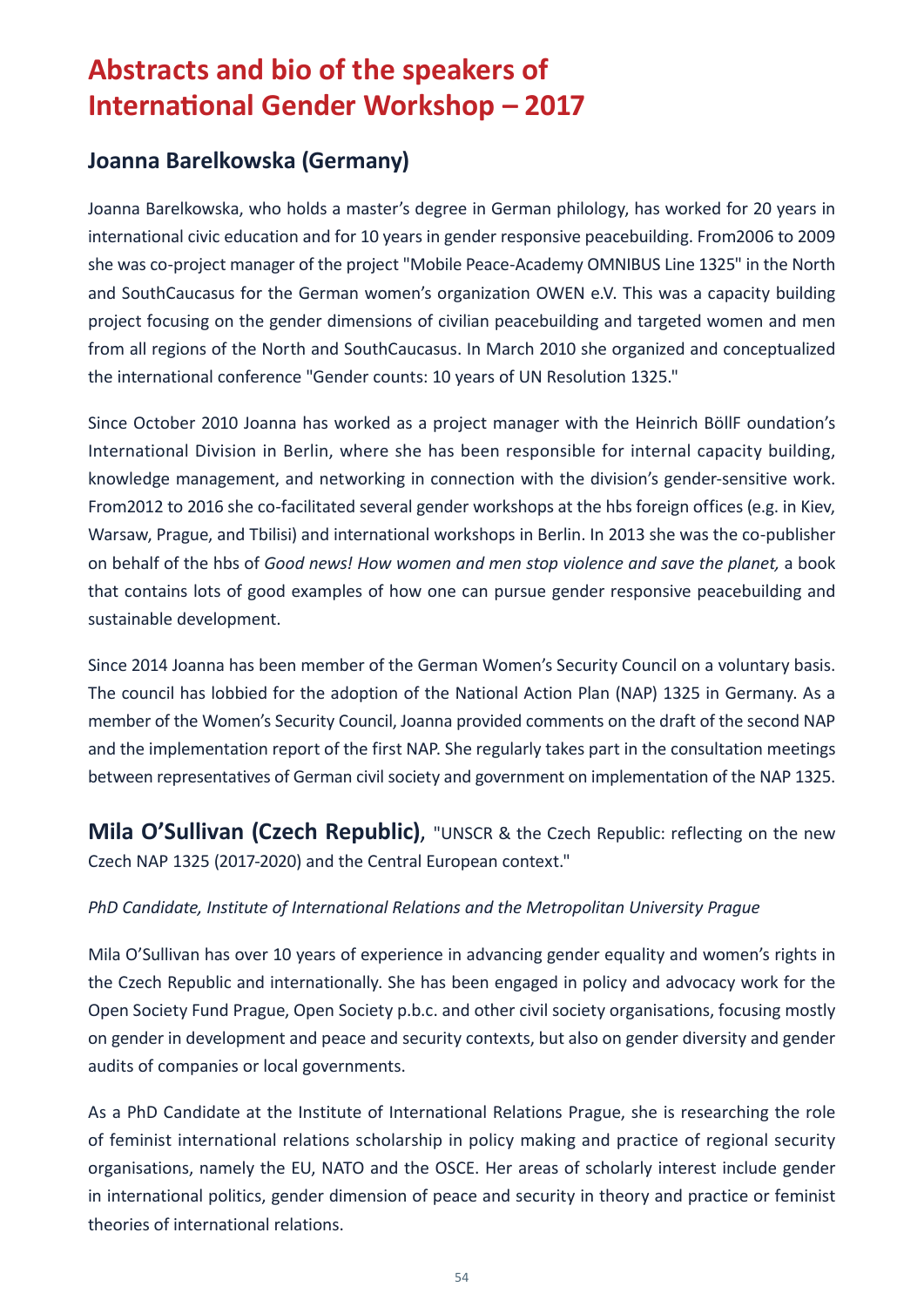# <span id="page-55-0"></span>**Abstracts and bio of the speakers of International Gender Workshop – 2017**

### **Joanna Barelkowska (Germany)**

Joanna Barelkowska, who holds a master's degree in German philology, has worked for 20 years in international civic education and for 10 years in gender responsive peacebuilding. From2006 to 2009 she was co-project manager of the project "Mobile Peace-Academy OMNIBUS Line 1325" in the North and SouthCaucasus for the German women's organization OWEN e.V. This was a capacity building project focusing on the gender dimensions of civilian peacebuilding and targeted women and men from all regions of the North and SouthCaucasus. In March 2010 she organized and conceptualized the international conference "Gender counts: 10 years of UN Resolution 1325."

Since October 2010 Joanna has worked as a project manager with the Heinrich BöllF oundation's International Division in Berlin, where she has been responsible for internal capacity building, knowledge management, and networking in connection with the division's gender-sensitive work. From2012 to 2016 she co-facilitated several gender workshops at the hbs foreign offices (e.g. in Kiev, Warsaw, Prague, and Tbilisi) and international workshops in Berlin. In 2013 she was the co-publisher on behalf of the hbs of *Good news! How women and men stop violence and save the planet,* a book that contains lots of good examples of how one can pursue gender responsive peacebuilding and sustainable development.

Since 2014 Joanna has been member of the German Women's Security Council on a voluntary basis. The council has lobbied for the adoption of the National Action Plan (NAP) 1325 in Germany. As a member of the Women's Security Council, Joanna provided comments on the draft of the second NAP and the implementation report of the first NAP. She regularly takes part in the consultation meetings between representatives of German civil society and government on implementation of the NAP 1325.

**Mila O'Sullivan (Czech Republic)**, "UNSCR & the Czech Republic: reflecting on the new Czech NAP 1325 (2017-2020) and the Central European context."

#### *PhD Candidate, Institute of International Relations and the Metropolitan University Prague*

Mila O'Sullivan has over 10 years of experience in advancing gender equality and women's rights in the Czech Republic and internationally. She has been engaged in policy and advocacy work for the Open Society Fund Prague, Open Society p.b.c. and other civil society organisations, focusing mostly on gender in development and peace and security contexts, but also on gender diversity and gender audits of companies or local governments.

As a PhD Candidate at the Institute of International Relations Prague, she is researching the role of feminist international relations scholarship in policy making and practice of regional security organisations, namely the EU, NATO and the OSCE. Her areas of scholarly interest include gender in international politics, gender dimension of peace and security in theory and practice or feminist theories of international relations.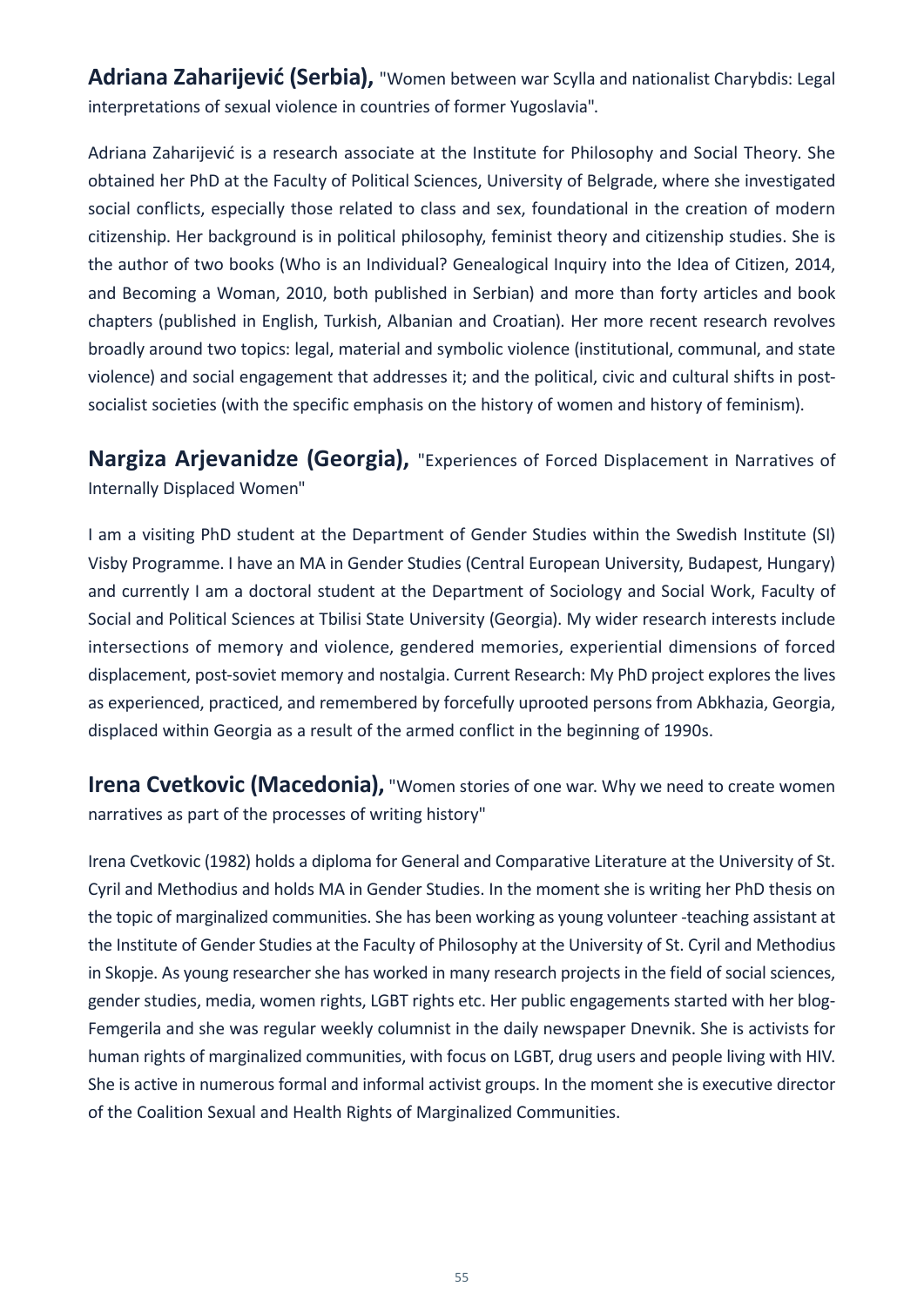**Adriana Zaharijević (Serbia),** "Women between war Scylla and nationalist Charybdis: Legal interpretations of sexual violence in countries of former Yugoslavia".

Adriana Zaharijević is a research associate at the Institute for Philosophy and Social Theory. She obtained her PhD at the Faculty of Political Sciences, University of Belgrade, where she investigated social conflicts, especially those related to class and sex, foundational in the creation of modern citizenship. Her background is in political philosophy, feminist theory and citizenship studies. She is the author of two books (Who is an Individual? Genealogical Inquiry into the Idea of Citizen, 2014, and Becoming a Woman, 2010, both published in Serbian) and more than forty articles and book chapters (published in English, Turkish, Albanian and Croatian). Her more recent research revolves broadly around two topics: legal, material and symbolic violence (institutional, communal, and state violence) and social engagement that addresses it; and the political, civic and cultural shifts in postsocialist societies (with the specific emphasis on the history of women and history of feminism).

**Nargiza Arjevanidze (Georgia),** "Experiences of Forced Displacement in Narratives of Internally Displaced Women"

I am a visiting PhD student at the Department of Gender Studies within the Swedish Institute (SI) Visby Programme. I have an MA in Gender Studies (Central European University, Budapest, Hungary) and currently I am a doctoral student at the Department of Sociology and Social Work, Faculty of Social and Political Sciences at Tbilisi State University (Georgia). My wider research interests include intersections of memory and violence, gendered memories, experiential dimensions of forced displacement, post-soviet memory and nostalgia. Current Research: My PhD project explores the lives as experienced, practiced, and remembered by forcefully uprooted persons from Abkhazia, Georgia, displaced within Georgia as a result of the armed conflict in the beginning of 1990s.

**Irena Cvetkovic (Macedonia),** "Women stories of one war. Why we need to create women narratives as part of the processes of writing history"

Irena Cvetkovic (1982) holds a diploma for General and Comparative Literature at the University of St. Cyril and Methodius and holds MA in Gender Studies. In the moment she is writing her PhD thesis on the topic of marginalized communities. She has been working as young volunteer -teaching assistant at the Institute of Gender Studies at the Faculty of Philosophy at the University of St. Cyril and Methodius in Skopje. As young researcher she has worked in many research projects in the field of social sciences, gender studies, media, women rights, LGBT rights etc. Her public engagements started with her blog-Femgerila and she was regular weekly columnist in the daily newspaper Dnevnik. She is activists for human rights of marginalized communities, with focus on LGBT, drug users and people living with HIV. She is active in numerous formal and informal activist groups. In the moment she is executive director of the Coalition Sexual and Health Rights of Marginalized Communities.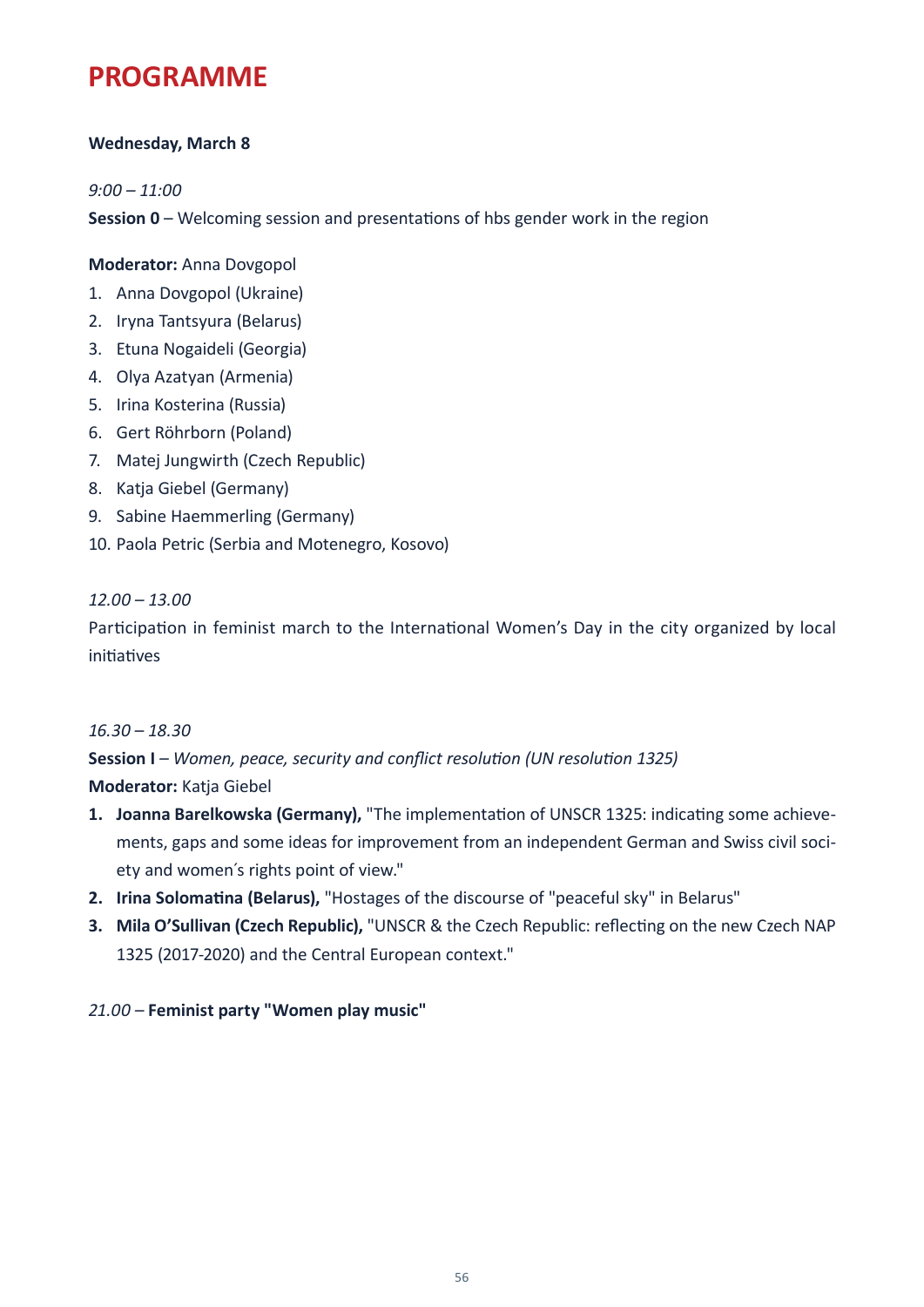# <span id="page-57-0"></span>**PROGRAMME**

#### **Wednesday, March 8**

*9:00 – 11:00*

**Session 0** – Welcoming session and presentations of hbs gender work in the region

**Moderator:** Anna Dovgopol

- 1. Anna Dovgopol (Ukraine)
- 2. Iryna Tantsyura (Belarus)
- 3. Etuna Nogaideli (Georgia)
- 4. Olya Azatyan (Armenia)
- 5. Irina Kosterina (Russia)
- 6. Gert Röhrborn (Poland)
- 7. Matej Jungwirth (Czech Republic)
- 8. Katja Giebel (Germany)
- 9. Sabine Haemmerling (Germany)
- 10. Paola Petric (Serbia and Motenegro, Kosovo)

*12.00 – 13.00*

Participation in feminist march to the International Women's Day in the city organized by local initiatives

#### *16.30 – 18.30*

**Session I** *– Women, peace, security and conflict resolution (UN resolution 1325)*  **Moderator:** Katja Giebel

- **1. Joanna Barelkowska (Germany),** "The implementation of UNSCR 1325: indicating some achievements, gaps and some ideas for improvement from an independent German and Swiss civil society and women´s rights point of view."
- **2. Irina Solomatina (Belarus),** "Hostages of the discourse of "peaceful sky" in Belarus"
- **3. Mila O'Sullivan (Czech Republic),** "UNSCR & the Czech Republic: reflecting on the new Czech NAP 1325 (2017-2020) and the Central European context."

#### *21.00 –* **Feminist party "Women play music"**